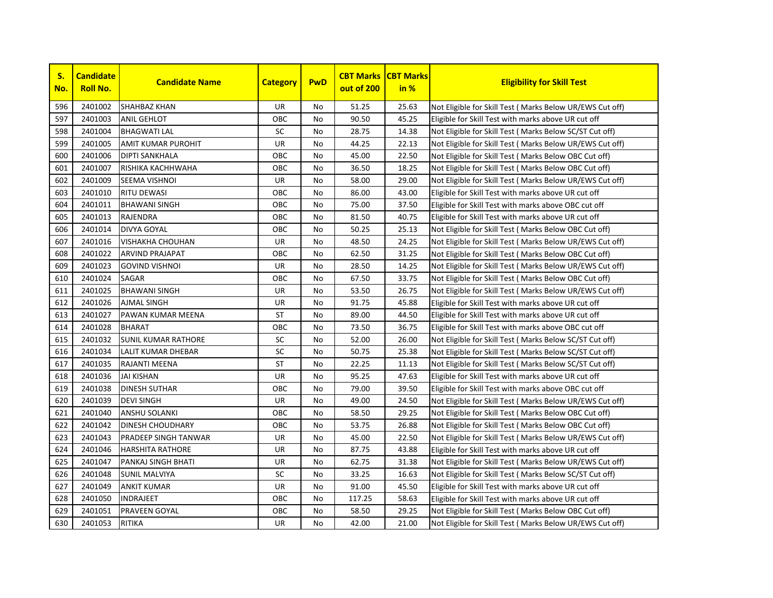| S.<br>No. | <b>Candidate</b><br><b>Roll No.</b> | <b>Candidate Name</b>      | <b>Category</b> | <b>PwD</b> | <b>CBT Marks</b><br>out of 200 | <b>CBT Marks</b><br>in % | <b>Eligibility for Skill Test</b>                         |
|-----------|-------------------------------------|----------------------------|-----------------|------------|--------------------------------|--------------------------|-----------------------------------------------------------|
| 596       | 2401002                             | SHAHBAZ KHAN               | <b>UR</b>       | No         | 51.25                          | 25.63                    | Not Eligible for Skill Test (Marks Below UR/EWS Cut off)  |
| 597       | 2401003                             | ANIL GEHLOT                | OBC             | <b>No</b>  | 90.50                          | 45.25                    | Eligible for Skill Test with marks above UR cut off       |
| 598       | 2401004                             | <b>BHAGWATI LAL</b>        | SC              | No         | 28.75                          | 14.38                    | Not Eligible for Skill Test (Marks Below SC/ST Cut off)   |
| 599       | 2401005                             | AMIT KUMAR PUROHIT         | <b>UR</b>       | <b>No</b>  | 44.25                          | 22.13                    | Not Eligible for Skill Test (Marks Below UR/EWS Cut off)  |
| 600       | 2401006                             | <b>DIPTI SANKHALA</b>      | OBC             | <b>No</b>  | 45.00                          | 22.50                    | Not Eligible for Skill Test (Marks Below OBC Cut off)     |
| 601       | 2401007                             | RISHIKA KACHHWAHA          | OBC             | <b>No</b>  | 36.50                          | 18.25                    | Not Eligible for Skill Test (Marks Below OBC Cut off)     |
| 602       | 2401009                             | <b>SEEMA VISHNOI</b>       | <b>UR</b>       | <b>No</b>  | 58.00                          | 29.00                    | Not Eligible for Skill Test (Marks Below UR/EWS Cut off)  |
| 603       | 2401010                             | <b>RITU DEWASI</b>         | OBC             | No         | 86.00                          | 43.00                    | Eligible for Skill Test with marks above UR cut off       |
| 604       | 2401011                             | <b>BHAWANI SINGH</b>       | OBC             | No         | 75.00                          | 37.50                    | Eligible for Skill Test with marks above OBC cut off      |
| 605       | 2401013                             | <b>RAJENDRA</b>            | OBC             | No         | 81.50                          | 40.75                    | Eligible for Skill Test with marks above UR cut off       |
| 606       | 2401014                             | <b>DIVYA GOYAL</b>         | OBC             | <b>No</b>  | 50.25                          | 25.13                    | Not Eligible for Skill Test ( Marks Below OBC Cut off)    |
| 607       | 2401016                             | <b>VISHAKHA CHOUHAN</b>    | UR              | <b>No</b>  | 48.50                          | 24.25                    | Not Eligible for Skill Test (Marks Below UR/EWS Cut off)  |
| 608       | 2401022                             | <b>ARVIND PRAJAPAT</b>     | OBC             | <b>No</b>  | 62.50                          | 31.25                    | Not Eligible for Skill Test (Marks Below OBC Cut off)     |
| 609       | 2401023                             | <b>GOVIND VISHNOI</b>      | UR              | <b>No</b>  | 28.50                          | 14.25                    | Not Eligible for Skill Test (Marks Below UR/EWS Cut off)  |
| 610       | 2401024                             | SAGAR                      | OBC             | <b>No</b>  | 67.50                          | 33.75                    | Not Eligible for Skill Test (Marks Below OBC Cut off)     |
| 611       | 2401025                             | <b>BHAWANI SINGH</b>       | UR              | No         | 53.50                          | 26.75                    | Not Eligible for Skill Test (Marks Below UR/EWS Cut off)  |
| 612       | 2401026                             | <b>AJMAL SINGH</b>         | <b>UR</b>       | <b>No</b>  | 91.75                          | 45.88                    | Eligible for Skill Test with marks above UR cut off       |
| 613       | 2401027                             | PAWAN KUMAR MEENA          | <b>ST</b>       | <b>No</b>  | 89.00                          | 44.50                    | Eligible for Skill Test with marks above UR cut off       |
| 614       | 2401028                             | <b>BHARAT</b>              | OBC             | No         | 73.50                          | 36.75                    | Eligible for Skill Test with marks above OBC cut off      |
| 615       | 2401032                             | <b>SUNIL KUMAR RATHORE</b> | <b>SC</b>       | No         | 52.00                          | 26.00                    | Not Eligible for Skill Test ( Marks Below SC/ST Cut off)  |
| 616       | 2401034                             | LALIT KUMAR DHEBAR         | SC              | No         | 50.75                          | 25.38                    | Not Eligible for Skill Test (Marks Below SC/ST Cut off)   |
| 617       | 2401035                             | RAJANTI MEENA              | ST              | No         | 22.25                          | 11.13                    | Not Eligible for Skill Test (Marks Below SC/ST Cut off)   |
| 618       | 2401036                             | <b>JAI KISHAN</b>          | UR              | No         | 95.25                          | 47.63                    | Eligible for Skill Test with marks above UR cut off       |
| 619       | 2401038                             | <b>DINESH SUTHAR</b>       | OBC             | <b>No</b>  | 79.00                          | 39.50                    | Eligible for Skill Test with marks above OBC cut off      |
| 620       | 2401039                             | <b>DEVI SINGH</b>          | UR              | No         | 49.00                          | 24.50                    | Not Eligible for Skill Test (Marks Below UR/EWS Cut off)  |
| 621       | 2401040                             | <b>ANSHU SOLANKI</b>       | OBC             | <b>No</b>  | 58.50                          | 29.25                    | Not Eligible for Skill Test (Marks Below OBC Cut off)     |
| 622       | 2401042                             | DINESH CHOUDHARY           | OBC             | <b>No</b>  | 53.75                          | 26.88                    | Not Eligible for Skill Test (Marks Below OBC Cut off)     |
| 623       | 2401043                             | PRADEEP SINGH TANWAR       | <b>UR</b>       | No         | 45.00                          | 22.50                    | Not Eligible for Skill Test (Marks Below UR/EWS Cut off)  |
| 624       | 2401046                             | <b>HARSHITA RATHORE</b>    | UR              | No         | 87.75                          | 43.88                    | Eligible for Skill Test with marks above UR cut off       |
| 625       | 2401047                             | PANKAJ SINGH BHATI         | <b>UR</b>       | <b>No</b>  | 62.75                          | 31.38                    | Not Eligible for Skill Test ( Marks Below UR/EWS Cut off) |
| 626       | 2401048                             | SUNIL MALVIYA              | SC              | No         | 33.25                          | 16.63                    | Not Eligible for Skill Test ( Marks Below SC/ST Cut off)  |
| 627       | 2401049                             | <b>ANKIT KUMAR</b>         | UR              | <b>No</b>  | 91.00                          | 45.50                    | Eligible for Skill Test with marks above UR cut off       |
| 628       | 2401050                             | <b>INDRAJEET</b>           | OBC             | No         | 117.25                         | 58.63                    | Eligible for Skill Test with marks above UR cut off       |
| 629       | 2401051                             | <b>PRAVEEN GOYAL</b>       | OBC             | No         | 58.50                          | 29.25                    | Not Eligible for Skill Test (Marks Below OBC Cut off)     |
| 630       | 2401053                             | <b>RITIKA</b>              | <b>UR</b>       | No         | 42.00                          | 21.00                    | Not Eligible for Skill Test (Marks Below UR/EWS Cut off)  |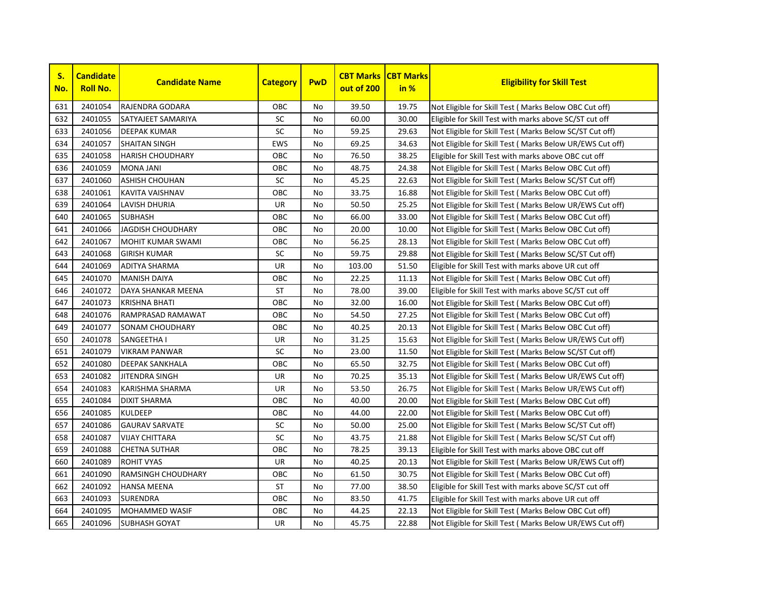

| S.<br>No. | <b>Candidate</b><br><b>Roll No.</b> | <b>Candidate Name</b>    | <b>Category</b> | <b>PwD</b> | <b>CBT Marks</b><br>out of 200 | <b>CBT Marks</b><br>in % | <b>Eligibility for Skill Test</b>                         |
|-----------|-------------------------------------|--------------------------|-----------------|------------|--------------------------------|--------------------------|-----------------------------------------------------------|
| 631       | 2401054                             | RAJENDRA GODARA          | OBC             | No         | 39.50                          | 19.75                    | Not Eligible for Skill Test (Marks Below OBC Cut off)     |
| 632       | 2401055                             | SATYAJEET SAMARIYA       | SC              | No         | 60.00                          | 30.00                    | Eligible for Skill Test with marks above SC/ST cut off    |
| 633       | 2401056                             | <b>DEEPAK KUMAR</b>      | SC              | <b>No</b>  | 59.25                          | 29.63                    | Not Eligible for Skill Test (Marks Below SC/ST Cut off)   |
| 634       | 2401057                             | <b>SHAITAN SINGH</b>     | <b>EWS</b>      | No         | 69.25                          | 34.63                    | Not Eligible for Skill Test (Marks Below UR/EWS Cut off)  |
| 635       | 2401058                             | <b>HARISH CHOUDHARY</b>  | OBC             | No         | 76.50                          | 38.25                    | Eligible for Skill Test with marks above OBC cut off      |
| 636       | 2401059                             | <b>MONA JANI</b>         | OBC             | No         | 48.75                          | 24.38                    | Not Eligible for Skill Test ( Marks Below OBC Cut off)    |
| 637       | 2401060                             | <b>ASHISH CHOUHAN</b>    | SC              | No         | 45.25                          | 22.63                    | Not Eligible for Skill Test (Marks Below SC/ST Cut off)   |
| 638       | 2401061                             | <b>KAVITA VAISHNAV</b>   | OBC             | No         | 33.75                          | 16.88                    | Not Eligible for Skill Test (Marks Below OBC Cut off)     |
| 639       | 2401064                             | LAVISH DHURIA            | UR              | No         | 50.50                          | 25.25                    | Not Eligible for Skill Test ( Marks Below UR/EWS Cut off) |
| 640       | 2401065                             | <b>SUBHASH</b>           | OBC             | No         | 66.00                          | 33.00                    | Not Eligible for Skill Test ( Marks Below OBC Cut off)    |
| 641       | 2401066                             | JAGDISH CHOUDHARY        | OBC             | No         | 20.00                          | 10.00                    | Not Eligible for Skill Test ( Marks Below OBC Cut off)    |
| 642       | 2401067                             | <b>MOHIT KUMAR SWAMI</b> | OBC             | No         | 56.25                          | 28.13                    | Not Eligible for Skill Test (Marks Below OBC Cut off)     |
| 643       | 2401068                             | <b>GIRISH KUMAR</b>      | SC              | No         | 59.75                          | 29.88                    | Not Eligible for Skill Test (Marks Below SC/ST Cut off)   |
| 644       | 2401069                             | <b>ADITYA SHARMA</b>     | UR              | No         | 103.00                         | 51.50                    | Eligible for Skill Test with marks above UR cut off       |
| 645       | 2401070                             | <b>MANISH DAIYA</b>      | OBC             | No         | 22.25                          | 11.13                    | Not Eligible for Skill Test (Marks Below OBC Cut off)     |
| 646       | 2401072                             | DAYA SHANKAR MEENA       | ST              | No         | 78.00                          | 39.00                    | Eligible for Skill Test with marks above SC/ST cut off    |
| 647       | 2401073                             | <b>KRISHNA BHATI</b>     | OBC             | No         | 32.00                          | 16.00                    | Not Eligible for Skill Test ( Marks Below OBC Cut off)    |
| 648       | 2401076                             | RAMPRASAD RAMAWAT        | OBC             | <b>No</b>  | 54.50                          | 27.25                    | Not Eligible for Skill Test ( Marks Below OBC Cut off)    |
| 649       | 2401077                             | <b>SONAM CHOUDHARY</b>   | OBC             | <b>No</b>  | 40.25                          | 20.13                    | Not Eligible for Skill Test ( Marks Below OBC Cut off)    |
| 650       | 2401078                             | SANGEETHA I              | UR              | No         | 31.25                          | 15.63                    | Not Eligible for Skill Test ( Marks Below UR/EWS Cut off) |
| 651       | 2401079                             | <b>VIKRAM PANWAR</b>     | SC              | <b>No</b>  | 23.00                          | 11.50                    | Not Eligible for Skill Test (Marks Below SC/ST Cut off)   |
| 652       | 2401080                             | <b>DEEPAK SANKHALA</b>   | OBC             | No         | 65.50                          | 32.75                    | Not Eligible for Skill Test ( Marks Below OBC Cut off)    |
| 653       | 2401082                             | <b>JITENDRA SINGH</b>    | UR              | No         | 70.25                          | 35.13                    | Not Eligible for Skill Test ( Marks Below UR/EWS Cut off) |
| 654       | 2401083                             | KARISHMA SHARMA          | UR              | No         | 53.50                          | 26.75                    | Not Eligible for Skill Test ( Marks Below UR/EWS Cut off) |
| 655       | 2401084                             | <b>DIXIT SHARMA</b>      | OBC             | No         | 40.00                          | 20.00                    | Not Eligible for Skill Test (Marks Below OBC Cut off)     |
| 656       | 2401085                             | <b>KULDEEP</b>           | OBC             | No         | 44.00                          | 22.00                    | Not Eligible for Skill Test (Marks Below OBC Cut off)     |
| 657       | 2401086                             | <b>GAURAV SARVATE</b>    | SC              | No         | 50.00                          | 25.00                    | Not Eligible for Skill Test (Marks Below SC/ST Cut off)   |
| 658       | 2401087                             | <b>VIJAY CHITTARA</b>    | SC              | No         | 43.75                          | 21.88                    | Not Eligible for Skill Test (Marks Below SC/ST Cut off)   |
| 659       | 2401088                             | <b>CHETNA SUTHAR</b>     | OBC             | No         | 78.25                          | 39.13                    | Eligible for Skill Test with marks above OBC cut off      |
| 660       | 2401089                             | <b>ROHIT VYAS</b>        | <b>UR</b>       | <b>No</b>  | 40.25                          | 20.13                    | Not Eligible for Skill Test ( Marks Below UR/EWS Cut off) |
| 661       | 2401090                             | RAMSINGH CHOUDHARY       | OBC             | No         | 61.50                          | 30.75                    | Not Eligible for Skill Test ( Marks Below OBC Cut off)    |
| 662       | 2401092                             | <b>HANSA MEENA</b>       | <b>ST</b>       | No         | 77.00                          | 38.50                    | Eligible for Skill Test with marks above SC/ST cut off    |
| 663       | 2401093                             | <b>SURENDRA</b>          | OBC             | No         | 83.50                          | 41.75                    | Eligible for Skill Test with marks above UR cut off       |
| 664       | 2401095                             | <b>MOHAMMED WASIF</b>    | OBC             | No         | 44.25                          | 22.13                    | Not Eligible for Skill Test (Marks Below OBC Cut off)     |
| 665       | 2401096                             | <b>SUBHASH GOYAT</b>     | <b>UR</b>       | No         | 45.75                          | 22.88                    | Not Eligible for Skill Test (Marks Below UR/EWS Cut off)  |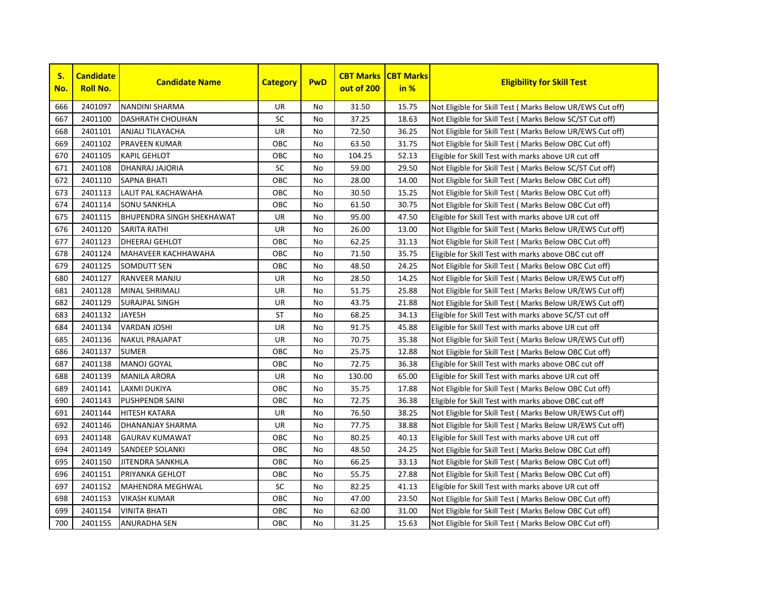

| S.<br>No. | <b>Candidate</b><br><b>Roll No.</b> | <b>Candidate Name</b>            | <b>Category</b> | <b>PwD</b> | <b>CBT Marks</b><br>out of 200 | <b>CBT Marks</b><br>in % | <b>Eligibility for Skill Test</b>                         |
|-----------|-------------------------------------|----------------------------------|-----------------|------------|--------------------------------|--------------------------|-----------------------------------------------------------|
| 666       | 2401097                             | <b>NANDINI SHARMA</b>            | UR              | No         | 31.50                          | 15.75                    | Not Eligible for Skill Test (Marks Below UR/EWS Cut off)  |
| 667       | 2401100                             | <b>DASHRATH CHOUHAN</b>          | SC              | No         | 37.25                          | 18.63                    | Not Eligible for Skill Test (Marks Below SC/ST Cut off)   |
| 668       | 2401101                             | <b>ANJALI TILAYACHA</b>          | UR              | <b>No</b>  | 72.50                          | 36.25                    | Not Eligible for Skill Test (Marks Below UR/EWS Cut off)  |
| 669       | 2401102                             | <b>PRAVEEN KUMAR</b>             | ОВС             | <b>No</b>  | 63.50                          | 31.75                    | Not Eligible for Skill Test (Marks Below OBC Cut off)     |
| 670       | 2401105                             | <b>KAPIL GEHLOT</b>              | OBC             | <b>No</b>  | 104.25                         | 52.13                    | Eligible for Skill Test with marks above UR cut off       |
| 671       | 2401108                             | DHANRAJ JAJORIA                  | SC              | No         | 59.00                          | 29.50                    | Not Eligible for Skill Test ( Marks Below SC/ST Cut off)  |
| 672       | 2401110                             | <b>SAPNA BHATI</b>               | OBC             | No         | 28.00                          | 14.00                    | Not Eligible for Skill Test ( Marks Below OBC Cut off)    |
| 673       | 2401113                             | LALIT PAL KACHAWAHA              | OBC             | No         | 30.50                          | 15.25                    | Not Eligible for Skill Test ( Marks Below OBC Cut off)    |
| 674       | 2401114                             | <b>SONU SANKHLA</b>              | OBC             | No         | 61.50                          | 30.75                    | Not Eligible for Skill Test ( Marks Below OBC Cut off)    |
| 675       | 2401115                             | <b>BHUPENDRA SINGH SHEKHAWAT</b> | UR              | No         | 95.00                          | 47.50                    | Eligible for Skill Test with marks above UR cut off       |
| 676       | 2401120                             | <b>SARITA RATHI</b>              | UR              | <b>No</b>  | 26.00                          | 13.00                    | Not Eligible for Skill Test ( Marks Below UR/EWS Cut off) |
| 677       | 2401123                             | <b>DHEERAJ GEHLOT</b>            | OBC             | <b>No</b>  | 62.25                          | 31.13                    | Not Eligible for Skill Test (Marks Below OBC Cut off)     |
| 678       | 2401124                             | MAHAVEER KACHHAWAHA              | OBC             | <b>No</b>  | 71.50                          | 35.75                    | Eligible for Skill Test with marks above OBC cut off      |
| 679       | 2401125                             | <b>SOMDUTT SEN</b>               | OBC             | <b>No</b>  | 48.50                          | 24.25                    | Not Eligible for Skill Test (Marks Below OBC Cut off)     |
| 680       | 2401127                             | <b>RANVEER MANJU</b>             | UR              | No         | 28.50                          | 14.25                    | Not Eligible for Skill Test ( Marks Below UR/EWS Cut off) |
| 681       | 2401128                             | MINAL SHRIMALI                   | UR              | No         | 51.75                          | 25.88                    | Not Eligible for Skill Test ( Marks Below UR/EWS Cut off) |
| 682       | 2401129                             | <b>SURAJPAL SINGH</b>            | UR              | No         | 43.75                          | 21.88                    | Not Eligible for Skill Test ( Marks Below UR/EWS Cut off) |
| 683       | 2401132                             | <b>JAYESH</b>                    | <b>ST</b>       | <b>No</b>  | 68.25                          | 34.13                    | Eligible for Skill Test with marks above SC/ST cut off    |
| 684       | 2401134                             | <b>VARDAN JOSHI</b>              | UR              | <b>No</b>  | 91.75                          | 45.88                    | Eligible for Skill Test with marks above UR cut off       |
| 685       | 2401136                             | <b>NAKUL PRAJAPAT</b>            | UR              | <b>No</b>  | 70.75                          | 35.38                    | Not Eligible for Skill Test ( Marks Below UR/EWS Cut off) |
| 686       | 2401137                             | <b>SUMER</b>                     | OBC             | <b>No</b>  | 25.75                          | 12.88                    | Not Eligible for Skill Test (Marks Below OBC Cut off)     |
| 687       | 2401138                             | <b>MANOJ GOYAL</b>               | OBC             | No         | 72.75                          | 36.38                    | Eligible for Skill Test with marks above OBC cut off      |
| 688       | 2401139                             | <b>MANILA ARORA</b>              | UR              | No         | 130.00                         | 65.00                    | Eligible for Skill Test with marks above UR cut off       |
| 689       | 2401141                             | <b>LAXMI DUKIYA</b>              | ОВС             | No         | 35.75                          | 17.88                    | Not Eligible for Skill Test ( Marks Below OBC Cut off)    |
| 690       | 2401143                             | <b>PUSHPENDR SAINI</b>           | ОВС             | No         | 72.75                          | 36.38                    | Eligible for Skill Test with marks above OBC cut off      |
| 691       | 2401144                             | <b>HITESH KATARA</b>             | UR              | No         | 76.50                          | 38.25                    | Not Eligible for Skill Test (Marks Below UR/EWS Cut off)  |
| 692       | 2401146                             | DHANANJAY SHARMA                 | UR              | No         | 77.75                          | 38.88                    | Not Eligible for Skill Test ( Marks Below UR/EWS Cut off) |
| 693       | 2401148                             | <b>GAURAV KUMAWAT</b>            | овс             | No         | 80.25                          | 40.13                    | Eligible for Skill Test with marks above UR cut off       |
| 694       | 2401149                             | <b>SANDEEP SOLANKI</b>           | OBC             | <b>No</b>  | 48.50                          | 24.25                    | Not Eligible for Skill Test ( Marks Below OBC Cut off)    |
| 695       | 2401150                             | <b>JITENDRA SANKHLA</b>          | OBC             | <b>No</b>  | 66.25                          | 33.13                    | Not Eligible for Skill Test (Marks Below OBC Cut off)     |
| 696       | 2401151                             | PRIYANKA GEHLOT                  | OBC             | <b>No</b>  | 55.75                          | 27.88                    | Not Eligible for Skill Test ( Marks Below OBC Cut off)    |
| 697       | 2401152                             | <b>MAHENDRA MEGHWAL</b>          | SC              | No         | 82.25                          | 41.13                    | Eligible for Skill Test with marks above UR cut off       |
| 698       | 2401153                             | <b>VIKASH KUMAR</b>              | OBC             | No         | 47.00                          | 23.50                    | Not Eligible for Skill Test (Marks Below OBC Cut off)     |
| 699       | 2401154                             | <b>VINITA BHATI</b>              | ОВС             | No         | 62.00                          | 31.00                    | Not Eligible for Skill Test (Marks Below OBC Cut off)     |
| 700       | 2401155                             | <b>ANURADHA SEN</b>              | OBC             | No         | 31.25                          | 15.63                    | Not Eligible for Skill Test (Marks Below OBC Cut off)     |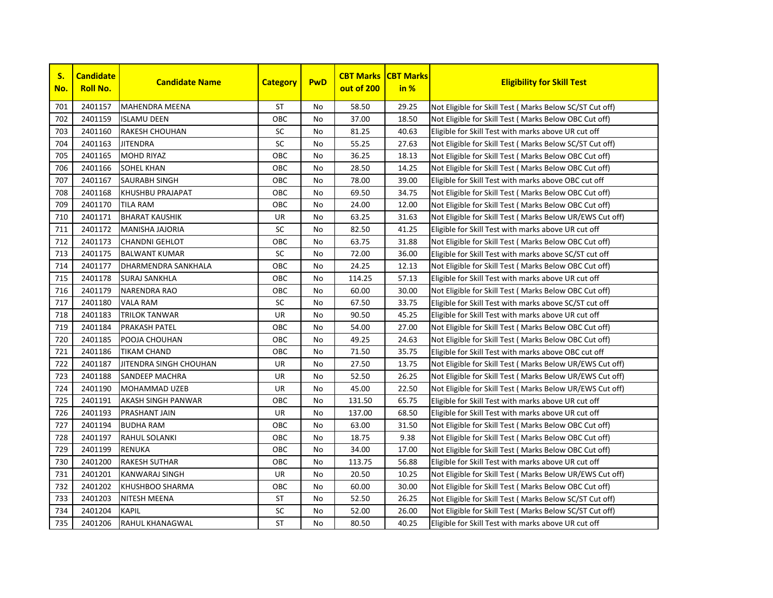

| S.<br>No. | <b>Candidate</b><br><b>Roll No.</b> | <b>Candidate Name</b>   | <b>Category</b> | <b>PwD</b> | <b>CBT Marks</b><br>out of 200 | <b>CBT Marks</b><br>in % | <b>Eligibility for Skill Test</b>                         |
|-----------|-------------------------------------|-------------------------|-----------------|------------|--------------------------------|--------------------------|-----------------------------------------------------------|
| 701       | 2401157                             | <b>MAHENDRA MEENA</b>   | ST              | No         | 58.50                          | 29.25                    | Not Eligible for Skill Test (Marks Below SC/ST Cut off)   |
| 702       | 2401159                             | <b>ISLAMU DEEN</b>      | OBC             | No         | 37.00                          | 18.50                    | Not Eligible for Skill Test ( Marks Below OBC Cut off)    |
| 703       | 2401160                             | <b>RAKESH CHOUHAN</b>   | SC              | No         | 81.25                          | 40.63                    | Eligible for Skill Test with marks above UR cut off       |
| 704       | 2401163                             | <b>JITENDRA</b>         | SC              | <b>No</b>  | 55.25                          | 27.63                    | Not Eligible for Skill Test ( Marks Below SC/ST Cut off)  |
| 705       | 2401165                             | <b>MOHD RIYAZ</b>       | OBC             | <b>No</b>  | 36.25                          | 18.13                    | Not Eligible for Skill Test ( Marks Below OBC Cut off)    |
| 706       | 2401166                             | <b>SOHEL KHAN</b>       | OBC             | No         | 28.50                          | 14.25                    | Not Eligible for Skill Test (Marks Below OBC Cut off)     |
| 707       | 2401167                             | <b>SAURABH SINGH</b>    | OBC             | <b>No</b>  | 78.00                          | 39.00                    | Eligible for Skill Test with marks above OBC cut off      |
| 708       | 2401168                             | <b>KHUSHBU PRAJAPAT</b> | ОВС             | No         | 69.50                          | 34.75                    | Not Eligible for Skill Test (Marks Below OBC Cut off)     |
| 709       | 2401170                             | <b>TILA RAM</b>         | ОВС             | No         | 24.00                          | 12.00                    | Not Eligible for Skill Test ( Marks Below OBC Cut off)    |
| 710       | 2401171                             | <b>BHARAT KAUSHIK</b>   | UR              | <b>No</b>  | 63.25                          | 31.63                    | Not Eligible for Skill Test ( Marks Below UR/EWS Cut off) |
| 711       | 2401172                             | <b>MANISHA JAJORIA</b>  | SC              | No         | 82.50                          | 41.25                    | Eligible for Skill Test with marks above UR cut off       |
| 712       | 2401173                             | <b>CHANDNI GEHLOT</b>   | OBC             | No         | 63.75                          | 31.88                    | Not Eligible for Skill Test (Marks Below OBC Cut off)     |
| 713       | 2401175                             | <b>BALWANT KUMAR</b>    | SC              | No         | 72.00                          | 36.00                    | Eligible for Skill Test with marks above SC/ST cut off    |
| 714       | 2401177                             | DHARMENDRA SANKHALA     | ОВС             | No         | 24.25                          | 12.13                    | Not Eligible for Skill Test (Marks Below OBC Cut off)     |
| 715       | 2401178                             | <b>SURAJ SANKHLA</b>    | OBC             | No         | 114.25                         | 57.13                    | Eligible for Skill Test with marks above UR cut off       |
| 716       | 2401179                             | <b>NARENDRA RAO</b>     | OBC             | No         | 60.00                          | 30.00                    | Not Eligible for Skill Test ( Marks Below OBC Cut off)    |
| 717       | 2401180                             | VALA RAM                | SC              | No         | 67.50                          | 33.75                    | Eligible for Skill Test with marks above SC/ST cut off    |
| 718       | 2401183                             | <b>TRILOK TANWAR</b>    | UR              | No         | 90.50                          | 45.25                    | Eligible for Skill Test with marks above UR cut off       |
| 719       | 2401184                             | <b>PRAKASH PATEL</b>    | OBC             | No         | 54.00                          | 27.00                    | Not Eligible for Skill Test ( Marks Below OBC Cut off)    |
| 720       | 2401185                             | POOJA CHOUHAN           | ОВС             | No         | 49.25                          | 24.63                    | Not Eligible for Skill Test ( Marks Below OBC Cut off)    |
| 721       | 2401186                             | <b>TIKAM CHAND</b>      | ОВС             | No         | 71.50                          | 35.75                    | Eligible for Skill Test with marks above OBC cut off      |
| 722       | 2401187                             | JITENDRA SINGH CHOUHAN  | UR              | No         | 27.50                          | 13.75                    | Not Eligible for Skill Test ( Marks Below UR/EWS Cut off) |
| 723       | 2401188                             | <b>SANDEEP MACHRA</b>   | UR              | No         | 52.50                          | 26.25                    | Not Eligible for Skill Test ( Marks Below UR/EWS Cut off) |
| 724       | 2401190                             | <b>MOHAMMAD UZEB</b>    | UR              | No         | 45.00                          | 22.50                    | Not Eligible for Skill Test (Marks Below UR/EWS Cut off)  |
| 725       | 2401191                             | AKASH SINGH PANWAR      | ОВС             | No         | 131.50                         | 65.75                    | Eligible for Skill Test with marks above UR cut off       |
| 726       | 2401193                             | PRASHANT JAIN           | UR              | No         | 137.00                         | 68.50                    | Eligible for Skill Test with marks above UR cut off       |
| 727       | 2401194                             | <b>BUDHA RAM</b>        | овс             | <b>No</b>  | 63.00                          | 31.50                    | Not Eligible for Skill Test ( Marks Below OBC Cut off)    |
| 728       | 2401197                             | <b>RAHUL SOLANKI</b>    | ОВС             | No         | 18.75                          | 9.38                     | Not Eligible for Skill Test (Marks Below OBC Cut off)     |
| 729       | 2401199                             | <b>RENUKA</b>           | OBC             | <b>No</b>  | 34.00                          | 17.00                    | Not Eligible for Skill Test ( Marks Below OBC Cut off)    |
| 730       | 2401200                             | <b>RAKESH SUTHAR</b>    | OBC             | <b>No</b>  | 113.75                         | 56.88                    | Eligible for Skill Test with marks above UR cut off       |
| 731       | 2401201                             | <b>KANWARAJ SINGH</b>   | UR              | No         | 20.50                          | 10.25                    | Not Eligible for Skill Test ( Marks Below UR/EWS Cut off) |
| 732       | 2401202                             | <b>KHUSHBOO SHARMA</b>  | ОВС             | No         | 60.00                          | 30.00                    | Not Eligible for Skill Test ( Marks Below OBC Cut off)    |
| 733       | 2401203                             | NITESH MEENA            | ST              | No         | 52.50                          | 26.25                    | Not Eligible for Skill Test (Marks Below SC/ST Cut off)   |
| 734       | 2401204                             | <b>KAPIL</b>            | SC              | No         | 52.00                          | 26.00                    | Not Eligible for Skill Test ( Marks Below SC/ST Cut off)  |
| 735       | 2401206                             | <b>RAHUL KHANAGWAL</b>  | <b>ST</b>       | <b>No</b>  | 80.50                          | 40.25                    | Eligible for Skill Test with marks above UR cut off       |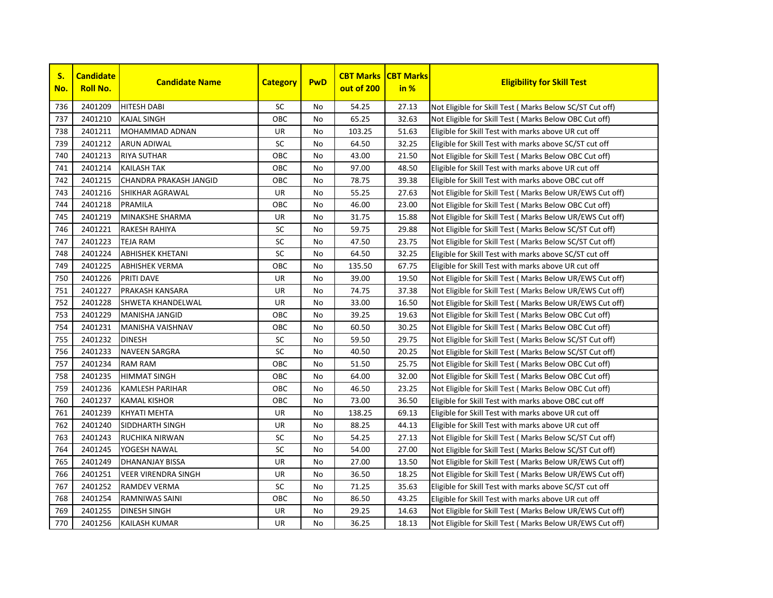

| S.<br>No. | <b>Candidate</b><br><b>Roll No.</b> | <b>Candidate Name</b>         | <b>Category</b> | <b>PwD</b> | <b>CBT Marks</b><br>out of 200 | <b>CBT Marks</b><br>in % | <b>Eligibility for Skill Test</b>                         |
|-----------|-------------------------------------|-------------------------------|-----------------|------------|--------------------------------|--------------------------|-----------------------------------------------------------|
| 736       | 2401209                             | <b>HITESH DABI</b>            | SC              | No         | 54.25                          | 27.13                    | Not Eligible for Skill Test (Marks Below SC/ST Cut off)   |
| 737       | 2401210                             | <b>KAJAL SINGH</b>            | OBC             | No.        | 65.25                          | 32.63                    | Not Eligible for Skill Test ( Marks Below OBC Cut off)    |
| 738       | 2401211                             | <b>MOHAMMAD ADNAN</b>         | UR              | No         | 103.25                         | 51.63                    | Eligible for Skill Test with marks above UR cut off       |
| 739       | 2401212                             | <b>ARUN ADIWAL</b>            | SC              | No         | 64.50                          | 32.25                    | Eligible for Skill Test with marks above SC/ST cut off    |
| 740       | 2401213                             | <b>RIYA SUTHAR</b>            | OBC             | No.        | 43.00                          | 21.50                    | Not Eligible for Skill Test (Marks Below OBC Cut off)     |
| 741       | 2401214                             | <b>KAILASH TAK</b>            | OBC             | No.        | 97.00                          | 48.50                    | Eligible for Skill Test with marks above UR cut off       |
| 742       | 2401215                             | <b>CHANDRA PRAKASH JANGID</b> | OBC             | <b>No</b>  | 78.75                          | 39.38                    | Eligible for Skill Test with marks above OBC cut off      |
| 743       | 2401216                             | SHIKHAR AGRAWAL               | UR              | No         | 55.25                          | 27.63                    | Not Eligible for Skill Test ( Marks Below UR/EWS Cut off) |
| 744       | 2401218                             | PRAMILA                       | OBC             | No         | 46.00                          | 23.00                    | Not Eligible for Skill Test (Marks Below OBC Cut off)     |
| 745       | 2401219                             | <b>MINAKSHE SHARMA</b>        | UR              | No         | 31.75                          | 15.88                    | Not Eligible for Skill Test ( Marks Below UR/EWS Cut off) |
| 746       | 2401221                             | <b>RAKESH RAHIYA</b>          | SC              | No         | 59.75                          | 29.88                    | Not Eligible for Skill Test (Marks Below SC/ST Cut off)   |
| 747       | 2401223                             | <b>TEJA RAM</b>               | SC              | No         | 47.50                          | 23.75                    | Not Eligible for Skill Test ( Marks Below SC/ST Cut off)  |
| 748       | 2401224                             | <b>ABHISHEK KHETANI</b>       | SC              | No         | 64.50                          | 32.25                    | Eligible for Skill Test with marks above SC/ST cut off    |
| 749       | 2401225                             | <b>ABHISHEK VERMA</b>         | OBC             | No         | 135.50                         | 67.75                    | Eligible for Skill Test with marks above UR cut off       |
| 750       | 2401226                             | PRITI DAVE                    | UR              | No         | 39.00                          | 19.50                    | Not Eligible for Skill Test ( Marks Below UR/EWS Cut off) |
| 751       | 2401227                             | <b>PRAKASH KANSARA</b>        | UR              | No         | 74.75                          | 37.38                    | Not Eligible for Skill Test (Marks Below UR/EWS Cut off)  |
| 752       | 2401228                             | <b>SHWETA KHANDELWAL</b>      | UR              | No         | 33.00                          | 16.50                    | Not Eligible for Skill Test (Marks Below UR/EWS Cut off)  |
| 753       | 2401229                             | <b>MANISHA JANGID</b>         | OBC             | No.        | 39.25                          | 19.63                    | Not Eligible for Skill Test ( Marks Below OBC Cut off)    |
| 754       | 2401231                             | <b>MANISHA VAISHNAV</b>       | OBC             | No         | 60.50                          | 30.25                    | Not Eligible for Skill Test ( Marks Below OBC Cut off)    |
| 755       | 2401232                             | <b>DINESH</b>                 | SC              | No         | 59.50                          | 29.75                    | Not Eligible for Skill Test ( Marks Below SC/ST Cut off)  |
| 756       | 2401233                             | <b>NAVEEN SARGRA</b>          | SC              | No         | 40.50                          | 20.25                    | Not Eligible for Skill Test (Marks Below SC/ST Cut off)   |
| 757       | 2401234                             | <b>RAM RAM</b>                | OBC             | No         | 51.50                          | 25.75                    | Not Eligible for Skill Test (Marks Below OBC Cut off)     |
| 758       | 2401235                             | <b>HIMMAT SINGH</b>           | OBC             | No         | 64.00                          | 32.00                    | Not Eligible for Skill Test (Marks Below OBC Cut off)     |
| 759       | 2401236                             | <b>KAMLESH PARIHAR</b>        | OBC             | No         | 46.50                          | 23.25                    | Not Eligible for Skill Test (Marks Below OBC Cut off)     |
| 760       | 2401237                             | <b>KAMAL KISHOR</b>           | OBC             | No         | 73.00                          | 36.50                    | Eligible for Skill Test with marks above OBC cut off      |
| 761       | 2401239                             | <b>KHYATI MEHTA</b>           | UR              | No         | 138.25                         | 69.13                    | Eligible for Skill Test with marks above UR cut off       |
| 762       | 2401240                             | <b>SIDDHARTH SINGH</b>        | UR              | No         | 88.25                          | 44.13                    | Eligible for Skill Test with marks above UR cut off       |
| 763       | 2401243                             | RUCHIKA NIRWAN                | SC              | No         | 54.25                          | 27.13                    | Not Eligible for Skill Test (Marks Below SC/ST Cut off)   |
| 764       | 2401245                             | YOGESH NAWAL                  | SC              | No         | 54.00                          | 27.00                    | Not Eligible for Skill Test (Marks Below SC/ST Cut off)   |
| 765       | 2401249                             | <b>DHANANJAY BISSA</b>        | UR              | No.        | 27.00                          | 13.50                    | Not Eligible for Skill Test ( Marks Below UR/EWS Cut off) |
| 766       | 2401251                             | <b>VEER VIRENDRA SINGH</b>    | UR              | No         | 36.50                          | 18.25                    | Not Eligible for Skill Test ( Marks Below UR/EWS Cut off) |
| 767       | 2401252                             | RAMDEV VERMA                  | SC              | No         | 71.25                          | 35.63                    | Eligible for Skill Test with marks above SC/ST cut off    |
| 768       | 2401254                             | RAMNIWAS SAINI                | OBC             | No         | 86.50                          | 43.25                    | Eligible for Skill Test with marks above UR cut off       |
| 769       | 2401255                             | <b>DINESH SINGH</b>           | UR              | No         | 29.25                          | 14.63                    | Not Eligible for Skill Test (Marks Below UR/EWS Cut off)  |
| 770       | 2401256                             | <b>KAILASH KUMAR</b>          | <b>UR</b>       | No         | 36.25                          | 18.13                    | Not Eligible for Skill Test (Marks Below UR/EWS Cut off)  |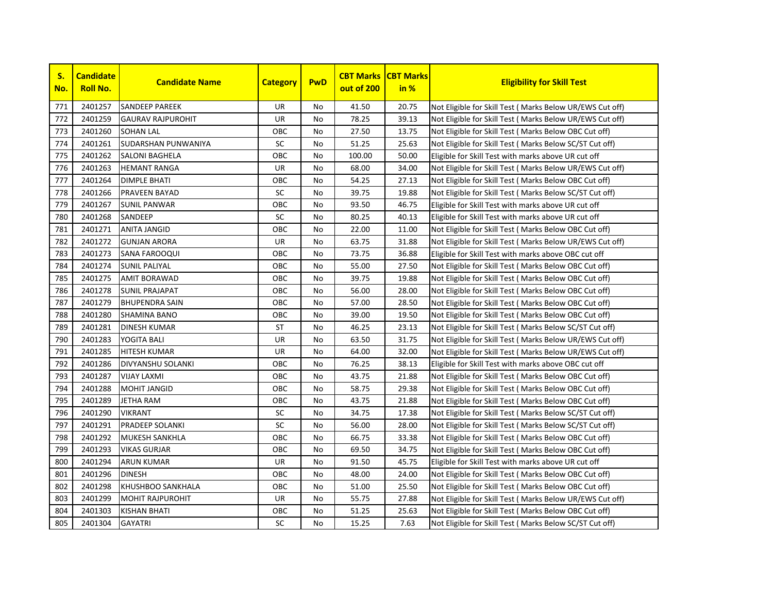

| S.<br>No. | <b>Candidate</b><br><b>Roll No.</b> | <b>Candidate Name</b>    | <b>Category</b> | <b>PwD</b> | <b>CBT Marks</b><br>out of 200 | <b>CBT Marks</b><br>in % | <b>Eligibility for Skill Test</b>                         |
|-----------|-------------------------------------|--------------------------|-----------------|------------|--------------------------------|--------------------------|-----------------------------------------------------------|
| 771       | 2401257                             | <b>SANDEEP PAREEK</b>    | UR              | No         | 41.50                          | 20.75                    | Not Eligible for Skill Test (Marks Below UR/EWS Cut off)  |
| 772       | 2401259                             | <b>GAURAV RAJPUROHIT</b> | UR              | No         | 78.25                          | 39.13                    | Not Eligible for Skill Test ( Marks Below UR/EWS Cut off) |
| 773       | 2401260                             | <b>SOHAN LAL</b>         | ОВС             | No         | 27.50                          | 13.75                    | Not Eligible for Skill Test (Marks Below OBC Cut off)     |
| 774       | 2401261                             | SUDARSHAN PUNWANIYA      | <b>SC</b>       | <b>No</b>  | 51.25                          | 25.63                    | Not Eligible for Skill Test (Marks Below SC/ST Cut off)   |
| 775       | 2401262                             | <b>SALONI BAGHELA</b>    | OBC             | <b>No</b>  | 100.00                         | 50.00                    | Eligible for Skill Test with marks above UR cut off       |
| 776       | 2401263                             | <b>HEMANT RANGA</b>      | UR              | No         | 68.00                          | 34.00                    | Not Eligible for Skill Test ( Marks Below UR/EWS Cut off) |
| 777       | 2401264                             | <b>DIMPLE BHATI</b>      | OBC             | No         | 54.25                          | 27.13                    | Not Eligible for Skill Test ( Marks Below OBC Cut off)    |
| 778       | 2401266                             | <b>PRAVEEN BAYAD</b>     | SC              | No         | 39.75                          | 19.88                    | Not Eligible for Skill Test (Marks Below SC/ST Cut off)   |
| 779       | 2401267                             | <b>SUNIL PANWAR</b>      | OBC             | <b>No</b>  | 93.50                          | 46.75                    | Eligible for Skill Test with marks above UR cut off       |
| 780       | 2401268                             | <b>SANDEEP</b>           | SC              | <b>No</b>  | 80.25                          | 40.13                    | Eligible for Skill Test with marks above UR cut off       |
| 781       | 2401271                             | <b>ANITA JANGID</b>      | ОВС             | <b>No</b>  | 22.00                          | 11.00                    | Not Eligible for Skill Test ( Marks Below OBC Cut off)    |
| 782       | 2401272                             | <b>GUNJAN ARORA</b>      | UR              | <b>No</b>  | 63.75                          | 31.88                    | Not Eligible for Skill Test (Marks Below UR/EWS Cut off)  |
| 783       | 2401273                             | <b>SANA FAROOQUI</b>     | OBC             | <b>No</b>  | 73.75                          | 36.88                    | Eligible for Skill Test with marks above OBC cut off      |
| 784       | 2401274                             | <b>SUNIL PALIYAL</b>     | OBC             | <b>No</b>  | 55.00                          | 27.50                    | Not Eligible for Skill Test (Marks Below OBC Cut off)     |
| 785       | 2401275                             | <b>AMIT BORAWAD</b>      | ОВС             | No         | 39.75                          | 19.88                    | Not Eligible for Skill Test (Marks Below OBC Cut off)     |
| 786       | 2401278                             | <b>SUNIL PRAJAPAT</b>    | OBC             | No         | 56.00                          | 28.00                    | Not Eligible for Skill Test ( Marks Below OBC Cut off)    |
| 787       | 2401279                             | <b>BHUPENDRA SAIN</b>    | OBC             | <b>No</b>  | 57.00                          | 28.50                    | Not Eligible for Skill Test ( Marks Below OBC Cut off)    |
| 788       | 2401280                             | <b>SHAMINA BANO</b>      | OBC             | No         | 39.00                          | 19.50                    | Not Eligible for Skill Test (Marks Below OBC Cut off)     |
| 789       | 2401281                             | <b>DINESH KUMAR</b>      | ST              | No         | 46.25                          | 23.13                    | Not Eligible for Skill Test (Marks Below SC/ST Cut off)   |
| 790       | 2401283                             | YOGITA BALI              | UR              | No         | 63.50                          | 31.75                    | Not Eligible for Skill Test (Marks Below UR/EWS Cut off)  |
| 791       | 2401285                             | <b>HITESH KUMAR</b>      | UR              | <b>No</b>  | 64.00                          | 32.00                    | Not Eligible for Skill Test (Marks Below UR/EWS Cut off)  |
| 792       | 2401286                             | <b>DIVYANSHU SOLANKI</b> | OBC             | <b>No</b>  | 76.25                          | 38.13                    | Eligible for Skill Test with marks above OBC cut off      |
| 793       | 2401287                             | <b>VIJAY LAXMI</b>       | OBC             | <b>No</b>  | 43.75                          | 21.88                    | Not Eligible for Skill Test ( Marks Below OBC Cut off)    |
| 794       | 2401288                             | <b>MOHIT JANGID</b>      | ОВС             | No         | 58.75                          | 29.38                    | Not Eligible for Skill Test (Marks Below OBC Cut off)     |
| 795       | 2401289                             | <b>JETHA RAM</b>         | овс             | No         | 43.75                          | 21.88                    | Not Eligible for Skill Test (Marks Below OBC Cut off)     |
| 796       | 2401290                             | <b>VIKRANT</b>           | SC              | No         | 34.75                          | 17.38                    | Not Eligible for Skill Test ( Marks Below SC/ST Cut off)  |
| 797       | 2401291                             | <b>PRADEEP SOLANKI</b>   | SC              | <b>No</b>  | 56.00                          | 28.00                    | Not Eligible for Skill Test ( Marks Below SC/ST Cut off)  |
| 798       | 2401292                             | <b>MUKESH SANKHLA</b>    | OBC             | <b>No</b>  | 66.75                          | 33.38                    | Not Eligible for Skill Test ( Marks Below OBC Cut off)    |
| 799       | 2401293                             | <b>VIKAS GURJAR</b>      | OBC             | <b>No</b>  | 69.50                          | 34.75                    | Not Eligible for Skill Test ( Marks Below OBC Cut off)    |
| 800       | 2401294                             | <b>ARUN KUMAR</b>        | UR              | No         | 91.50                          | 45.75                    | Eligible for Skill Test with marks above UR cut off       |
| 801       | 2401296                             | <b>DINESH</b>            | OBC             | No         | 48.00                          | 24.00                    | Not Eligible for Skill Test (Marks Below OBC Cut off)     |
| 802       | 2401298                             | KHUSHBOO SANKHALA        | OBC             | No         | 51.00                          | 25.50                    | Not Eligible for Skill Test (Marks Below OBC Cut off)     |
| 803       | 2401299                             | <b>MOHIT RAJPUROHIT</b>  | UR              | No         | 55.75                          | 27.88                    | Not Eligible for Skill Test ( Marks Below UR/EWS Cut off) |
| 804       | 2401303                             | <b>KISHAN BHATI</b>      | ОВС             | No         | 51.25                          | 25.63                    | Not Eligible for Skill Test (Marks Below OBC Cut off)     |
| 805       | 2401304                             | <b>GAYATRI</b>           | <b>SC</b>       | No         | 15.25                          | 7.63                     | Not Eligible for Skill Test (Marks Below SC/ST Cut off)   |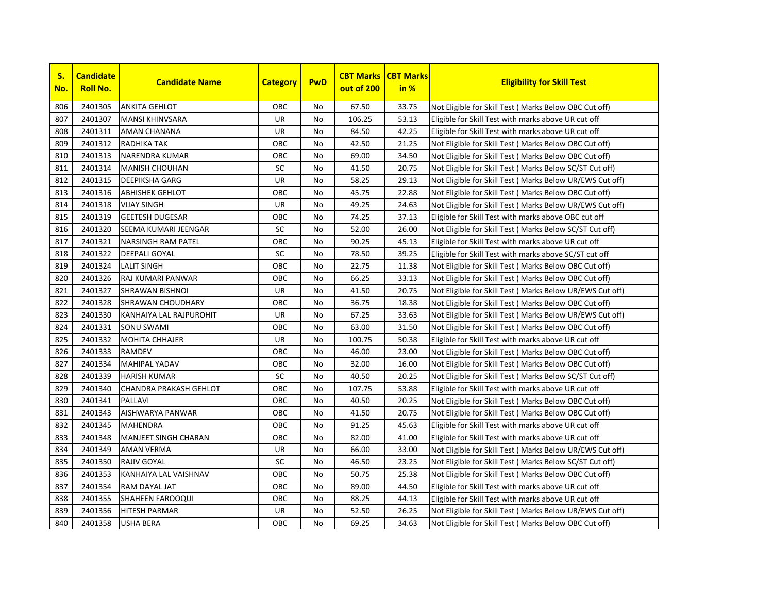

| S.<br>No. | <b>Candidate</b><br><b>Roll No.</b> | <b>Candidate Name</b>         | <b>Category</b> | <b>PwD</b>     | <b>CBT Marks</b><br>out of 200 | <b>CBT Marks</b><br>in % | <b>Eligibility for Skill Test</b>                         |
|-----------|-------------------------------------|-------------------------------|-----------------|----------------|--------------------------------|--------------------------|-----------------------------------------------------------|
| 806       | 2401305                             | <b>ANKITA GEHLOT</b>          | OBC             | No             | 67.50                          | 33.75                    | Not Eligible for Skill Test (Marks Below OBC Cut off)     |
| 807       | 2401307                             | <b>MANSI KHINVSARA</b>        | <b>UR</b>       | No             | 106.25                         | 53.13                    | Eligible for Skill Test with marks above UR cut off       |
| 808       | 2401311                             | <b>AMAN CHANANA</b>           | UR              | No             | 84.50                          | 42.25                    | Eligible for Skill Test with marks above UR cut off       |
| 809       | 2401312                             | RADHIKA TAK                   | OBC             | No             | 42.50                          | 21.25                    | Not Eligible for Skill Test (Marks Below OBC Cut off)     |
| 810       | 2401313                             | <b>NARENDRA KUMAR</b>         | OBC             | No.            | 69.00                          | 34.50                    | Not Eligible for Skill Test (Marks Below OBC Cut off)     |
| 811       | 2401314                             | <b>MANISH CHOUHAN</b>         | <b>SC</b>       | No             | 41.50                          | 20.75                    | Not Eligible for Skill Test (Marks Below SC/ST Cut off)   |
| 812       | 2401315                             | <b>DEEPIKSHA GARG</b>         | UR              | No             | 58.25                          | 29.13                    | Not Eligible for Skill Test ( Marks Below UR/EWS Cut off) |
| 813       | 2401316                             | <b>ABHISHEK GEHLOT</b>        | OBC             | No             | 45.75                          | 22.88                    | Not Eligible for Skill Test (Marks Below OBC Cut off)     |
| 814       | 2401318                             | <b>VIJAY SINGH</b>            | UR              | No             | 49.25                          | 24.63                    | Not Eligible for Skill Test ( Marks Below UR/EWS Cut off) |
| 815       | 2401319                             | <b>GEETESH DUGESAR</b>        | OBC             | No             | 74.25                          | 37.13                    | Eligible for Skill Test with marks above OBC cut off      |
| 816       | 2401320                             | SEEMA KUMARI JEENGAR          | <b>SC</b>       | No             | 52.00                          | 26.00                    | Not Eligible for Skill Test (Marks Below SC/ST Cut off)   |
| 817       | 2401321                             | <b>NARSINGH RAM PATEL</b>     | OBC             | No             | 90.25                          | 45.13                    | Eligible for Skill Test with marks above UR cut off       |
| 818       | 2401322                             | <b>DEEPALI GOYAL</b>          | <b>SC</b>       | No.            | 78.50                          | 39.25                    | Eligible for Skill Test with marks above SC/ST cut off    |
| 819       | 2401324                             | <b>LALIT SINGH</b>            | OBC             | No             | 22.75                          | 11.38                    | Not Eligible for Skill Test (Marks Below OBC Cut off)     |
| 820       | 2401326                             | RAJ KUMARI PANWAR             | OBC             | No             | 66.25                          | 33.13                    | Not Eligible for Skill Test (Marks Below OBC Cut off)     |
| 821       | 2401327                             | <b>SHRAWAN BISHNOI</b>        | UR              | No             | 41.50                          | 20.75                    | Not Eligible for Skill Test ( Marks Below UR/EWS Cut off) |
| 822       | 2401328                             | <b>SHRAWAN CHOUDHARY</b>      | OBC             | No             | 36.75                          | 18.38                    | Not Eligible for Skill Test ( Marks Below OBC Cut off)    |
| 823       | 2401330                             | KANHAIYA LAL RAJPUROHIT       | UR              | No             | 67.25                          | 33.63                    | Not Eligible for Skill Test (Marks Below UR/EWS Cut off)  |
| 824       | 2401331                             | <b>SONU SWAMI</b>             | OBC             | No.            | 63.00                          | 31.50                    | Not Eligible for Skill Test (Marks Below OBC Cut off)     |
| 825       | 2401332                             | <b>MOHITA CHHAJER</b>         | UR              | No.            | 100.75                         | 50.38                    | Eligible for Skill Test with marks above UR cut off       |
| 826       | 2401333                             | <b>RAMDEV</b>                 | OBC             | No.            | 46.00                          | 23.00                    | Not Eligible for Skill Test (Marks Below OBC Cut off)     |
| 827       | 2401334                             | <b>MAHIPAL YADAV</b>          | OBC             | No             | 32.00                          | 16.00                    | Not Eligible for Skill Test (Marks Below OBC Cut off)     |
| 828       | 2401339                             | <b>HARISH KUMAR</b>           | SC              | N <sub>o</sub> | 40.50                          | 20.25                    | Not Eligible for Skill Test ( Marks Below SC/ST Cut off)  |
| 829       | 2401340                             | <b>CHANDRA PRAKASH GEHLOT</b> | OBC             | No             | 107.75                         | 53.88                    | Eligible for Skill Test with marks above UR cut off       |
| 830       | 2401341                             | <b>PALLAVI</b>                | OBC             | No             | 40.50                          | 20.25                    | Not Eligible for Skill Test (Marks Below OBC Cut off)     |
| 831       | 2401343                             | AISHWARYA PANWAR              | OBC             | No             | 41.50                          | 20.75                    | Not Eligible for Skill Test (Marks Below OBC Cut off)     |
| 832       | 2401345                             | <b>MAHENDRA</b>               | OBC             | No.            | 91.25                          | 45.63                    | Eligible for Skill Test with marks above UR cut off       |
| 833       | 2401348                             | <b>MANJEET SINGH CHARAN</b>   | OBC             | No             | 82.00                          | 41.00                    | Eligible for Skill Test with marks above UR cut off       |
| 834       | 2401349                             | <b>AMAN VERMA</b>             | <b>UR</b>       | No             | 66.00                          | 33.00                    | Not Eligible for Skill Test (Marks Below UR/EWS Cut off)  |
| 835       | 2401350                             | <b>RAJIV GOYAL</b>            | <b>SC</b>       | No             | 46.50                          | 23.25                    | Not Eligible for Skill Test (Marks Below SC/ST Cut off)   |
| 836       | 2401353                             | KANHAIYA LAL VAISHNAV         | OBC             | No.            | 50.75                          | 25.38                    | Not Eligible for Skill Test (Marks Below OBC Cut off)     |
| 837       | 2401354                             | RAM DAYAL JAT                 | OBC             | No             | 89.00                          | 44.50                    | Eligible for Skill Test with marks above UR cut off       |
| 838       | 2401355                             | <b>SHAHEEN FAROOQUI</b>       | OBC             | No             | 88.25                          | 44.13                    | Eligible for Skill Test with marks above UR cut off       |
| 839       | 2401356                             | <b>HITESH PARMAR</b>          | UR              | No             | 52.50                          | 26.25                    | Not Eligible for Skill Test (Marks Below UR/EWS Cut off)  |
| 840       | 2401358                             | <b>USHA BERA</b>              | OBC             | No             | 69.25                          | 34.63                    | Not Eligible for Skill Test (Marks Below OBC Cut off)     |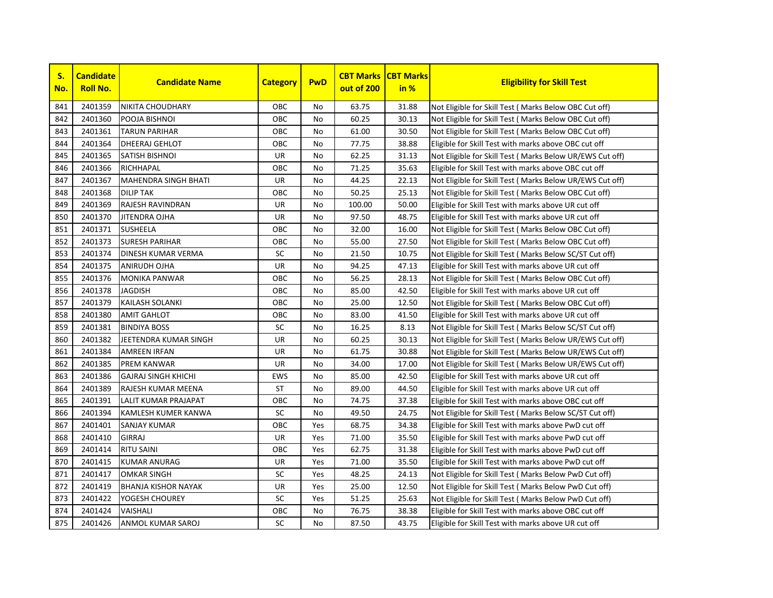

| S.<br>No. | <b>Candidate</b><br><b>Roll No.</b> | <b>Candidate Name</b>       | <b>Category</b> | <b>PwD</b> | <b>CBT Marks</b><br>out of 200 | <b>CBT Marks</b><br>in % | <b>Eligibility for Skill Test</b>                         |
|-----------|-------------------------------------|-----------------------------|-----------------|------------|--------------------------------|--------------------------|-----------------------------------------------------------|
| 841       | 2401359                             | <b>NIKITA CHOUDHARY</b>     | OBC             | No         | 63.75                          | 31.88                    | Not Eligible for Skill Test (Marks Below OBC Cut off)     |
| 842       | 2401360                             | POOJA BISHNOI               | <b>OBC</b>      | No         | 60.25                          | 30.13                    | Not Eligible for Skill Test (Marks Below OBC Cut off)     |
| 843       | 2401361                             | <b>TARUN PARIHAR</b>        | OBC             | <b>No</b>  | 61.00                          | 30.50                    | Not Eligible for Skill Test (Marks Below OBC Cut off)     |
| 844       | 2401364                             | DHEERAJ GEHLOT              | OBC             | <b>No</b>  | 77.75                          | 38.88                    | Eligible for Skill Test with marks above OBC cut off      |
| 845       | 2401365                             | <b>SATISH BISHNOI</b>       | UR              | <b>No</b>  | 62.25                          | 31.13                    | Not Eligible for Skill Test (Marks Below UR/EWS Cut off)  |
| 846       | 2401366                             | RICHHAPAL                   | OBC             | No         | 71.25                          | 35.63                    | Eligible for Skill Test with marks above OBC cut off      |
| 847       | 2401367                             | <b>MAHENDRA SINGH BHATI</b> | UR              | No         | 44.25                          | 22.13                    | Not Eligible for Skill Test ( Marks Below UR/EWS Cut off) |
| 848       | 2401368                             | <b>DILIP TAK</b>            | OBC             | No         | 50.25                          | 25.13                    | Not Eligible for Skill Test (Marks Below OBC Cut off)     |
| 849       | 2401369                             | <b>RAJESH RAVINDRAN</b>     | UR              | No         | 100.00                         | 50.00                    | Eligible for Skill Test with marks above UR cut off       |
| 850       | 2401370                             | <b>JITENDRA OJHA</b>        | UR              | No         | 97.50                          | 48.75                    | Eligible for Skill Test with marks above UR cut off       |
| 851       | 2401371                             | <b>SUSHEELA</b>             | OBC             | No         | 32.00                          | 16.00                    | Not Eligible for Skill Test ( Marks Below OBC Cut off)    |
| 852       | 2401373                             | <b>SURESH PARIHAR</b>       | OBC             | <b>No</b>  | 55.00                          | 27.50                    | Not Eligible for Skill Test ( Marks Below OBC Cut off)    |
| 853       | 2401374                             | <b>DINESH KUMAR VERMA</b>   | SC              | No         | 21.50                          | 10.75                    | Not Eligible for Skill Test (Marks Below SC/ST Cut off)   |
| 854       | 2401375                             | <b>ANIRUDH OJHA</b>         | <b>UR</b>       | <b>No</b>  | 94.25                          | 47.13                    | Eligible for Skill Test with marks above UR cut off       |
| 855       | 2401376                             | <b>MONIKA PANWAR</b>        | OBC             | No         | 56.25                          | 28.13                    | Not Eligible for Skill Test (Marks Below OBC Cut off)     |
| 856       | 2401378                             | <b>JAGDISH</b>              | OBC             | No         | 85.00                          | 42.50                    | Eligible for Skill Test with marks above UR cut off       |
| 857       | 2401379                             | <b>KAILASH SOLANKI</b>      | OBC             | No         | 25.00                          | 12.50                    | Not Eligible for Skill Test ( Marks Below OBC Cut off)    |
| 858       | 2401380                             | <b>AMIT GAHLOT</b>          | OBC             | No         | 83.00                          | 41.50                    | Eligible for Skill Test with marks above UR cut off       |
| 859       | 2401381                             | <b>BINDIYA BOSS</b>         | SC              | No         | 16.25                          | 8.13                     | Not Eligible for Skill Test (Marks Below SC/ST Cut off)   |
| 860       | 2401382                             | JEETENDRA KUMAR SINGH       | UR              | No         | 60.25                          | 30.13                    | Not Eligible for Skill Test ( Marks Below UR/EWS Cut off) |
| 861       | 2401384                             | <b>AMREEN IRFAN</b>         | UR              | <b>No</b>  | 61.75                          | 30.88                    | Not Eligible for Skill Test ( Marks Below UR/EWS Cut off) |
| 862       | 2401385                             | <b>PREM KANWAR</b>          | <b>UR</b>       | <b>No</b>  | 34.00                          | 17.00                    | Not Eligible for Skill Test ( Marks Below UR/EWS Cut off) |
| 863       | 2401386                             | <b>GAJRAJ SINGH KHICHI</b>  | <b>EWS</b>      | <b>No</b>  | 85.00                          | 42.50                    | Eligible for Skill Test with marks above UR cut off       |
| 864       | 2401389                             | RAJESH KUMAR MEENA          | ST              | No         | 89.00                          | 44.50                    | Eligible for Skill Test with marks above UR cut off       |
| 865       | 2401391                             | LALIT KUMAR PRAJAPAT        | OBC             | No         | 74.75                          | 37.38                    | Eligible for Skill Test with marks above OBC cut off      |
| 866       | 2401394                             | KAMLESH KUMER KANWA         | SC              | No         | 49.50                          | 24.75                    | Not Eligible for Skill Test (Marks Below SC/ST Cut off)   |
| 867       | 2401401                             | <b>SANJAY KUMAR</b>         | OBC             | Yes        | 68.75                          | 34.38                    | Eligible for Skill Test with marks above PwD cut off      |
| 868       | 2401410                             | <b>GIRRAJ</b>               | UR              | Yes        | 71.00                          | 35.50                    | Eligible for Skill Test with marks above PwD cut off      |
| 869       | 2401414                             | <b>RITU SAINI</b>           | OBC             | Yes        | 62.75                          | 31.38                    | Eligible for Skill Test with marks above PwD cut off      |
| 870       | 2401415                             | <b>KUMAR ANURAG</b>         | UR              | Yes        | 71.00                          | 35.50                    | Eligible for Skill Test with marks above PwD cut off      |
| 871       | 2401417                             | <b>OMKAR SINGH</b>          | <b>SC</b>       | Yes        | 48.25                          | 24.13                    | Not Eligible for Skill Test (Marks Below PwD Cut off)     |
| 872       | 2401419                             | <b>BHANJA KISHOR NAYAK</b>  | UR              | Yes        | 25.00                          | 12.50                    | Not Eligible for Skill Test ( Marks Below PwD Cut off)    |
| 873       | 2401422                             | YOGESH CHOUREY              | SC              | Yes        | 51.25                          | 25.63                    | Not Eligible for Skill Test ( Marks Below PwD Cut off)    |
| 874       | 2401424                             | <b>VAISHALI</b>             | OBC             | No         | 76.75                          | 38.38                    | Eligible for Skill Test with marks above OBC cut off      |
| 875       | 2401426                             | <b>ANMOL KUMAR SAROJ</b>    | <b>SC</b>       | <b>No</b>  | 87.50                          | 43.75                    | Eligible for Skill Test with marks above UR cut off       |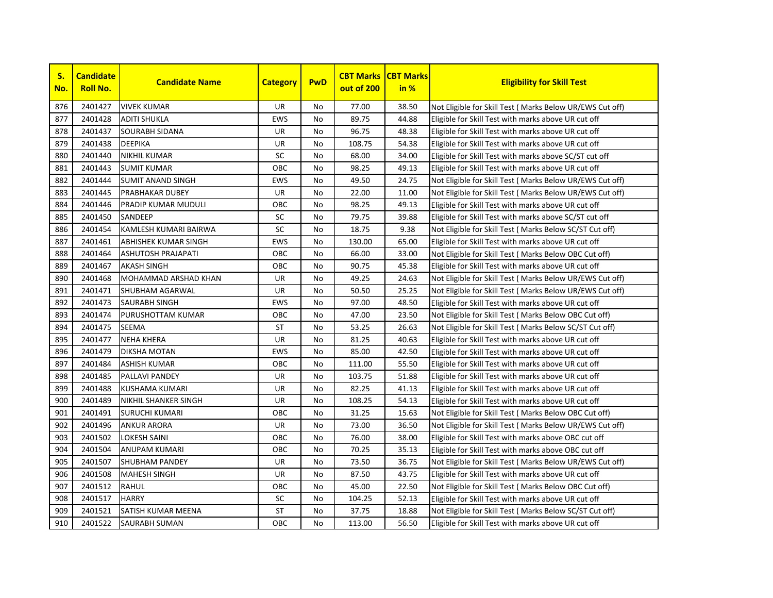

| S.<br>No. | <b>Candidate</b><br><b>Roll No.</b> | <b>Candidate Name</b>       | <b>Category</b> | <b>PwD</b> | <b>CBT Marks</b><br>out of 200 | <b>CBT Marks</b><br>in % | <b>Eligibility for Skill Test</b>                         |
|-----------|-------------------------------------|-----------------------------|-----------------|------------|--------------------------------|--------------------------|-----------------------------------------------------------|
| 876       | 2401427                             | <b>VIVEK KUMAR</b>          | <b>UR</b>       | No         | 77.00                          | 38.50                    | Not Eligible for Skill Test (Marks Below UR/EWS Cut off)  |
| 877       | 2401428                             | <b>ADITI SHUKLA</b>         | <b>EWS</b>      | No.        | 89.75                          | 44.88                    | Eligible for Skill Test with marks above UR cut off       |
| 878       | 2401437                             | <b>SOURABH SIDANA</b>       | UR              | No.        | 96.75                          | 48.38                    | Eligible for Skill Test with marks above UR cut off       |
| 879       | 2401438                             | <b>DEEPIKA</b>              | UR              | No         | 108.75                         | 54.38                    | Eligible for Skill Test with marks above UR cut off       |
| 880       | 2401440                             | <b>NIKHIL KUMAR</b>         | SC              | No.        | 68.00                          | 34.00                    | Eligible for Skill Test with marks above SC/ST cut off    |
| 881       | 2401443                             | <b>SUMIT KUMAR</b>          | OBC             | No         | 98.25                          | 49.13                    | Eligible for Skill Test with marks above UR cut off       |
| 882       | 2401444                             | <b>SUMIT ANAND SINGH</b>    | <b>EWS</b>      | No         | 49.50                          | 24.75                    | Not Eligible for Skill Test ( Marks Below UR/EWS Cut off) |
| 883       | 2401445                             | <b>PRABHAKAR DUBEY</b>      | UR              | No         | 22.00                          | 11.00                    | Not Eligible for Skill Test ( Marks Below UR/EWS Cut off) |
| 884       | 2401446                             | <b>PRADIP KUMAR MUDULI</b>  | OBC             | No         | 98.25                          | 49.13                    | Eligible for Skill Test with marks above UR cut off       |
| 885       | 2401450                             | <b>SANDEEP</b>              | SC              | No         | 79.75                          | 39.88                    | Eligible for Skill Test with marks above SC/ST cut off    |
| 886       | 2401454                             | KAMLESH KUMARI BAIRWA       | SC              | No.        | 18.75                          | 9.38                     | Not Eligible for Skill Test (Marks Below SC/ST Cut off)   |
| 887       | 2401461                             | <b>ABHISHEK KUMAR SINGH</b> | <b>EWS</b>      | No.        | 130.00                         | 65.00                    | Eligible for Skill Test with marks above UR cut off       |
| 888       | 2401464                             | <b>ASHUTOSH PRAJAPATI</b>   | OBC             | No.        | 66.00                          | 33.00                    | Not Eligible for Skill Test (Marks Below OBC Cut off)     |
| 889       | 2401467                             | <b>AKASH SINGH</b>          | OBC             | No         | 90.75                          | 45.38                    | Eligible for Skill Test with marks above UR cut off       |
| 890       | 2401468                             | MOHAMMAD ARSHAD KHAN        | UR              | No         | 49.25                          | 24.63                    | Not Eligible for Skill Test ( Marks Below UR/EWS Cut off) |
| 891       | 2401471                             | <b>SHUBHAM AGARWAL</b>      | UR              | No         | 50.50                          | 25.25                    | Not Eligible for Skill Test ( Marks Below UR/EWS Cut off) |
| 892       | 2401473                             | <b>SAURABH SINGH</b>        | <b>EWS</b>      | No         | 97.00                          | 48.50                    | Eligible for Skill Test with marks above UR cut off       |
| 893       | 2401474                             | PURUSHOTTAM KUMAR           | OBC             | No         | 47.00                          | 23.50                    | Not Eligible for Skill Test ( Marks Below OBC Cut off)    |
| 894       | 2401475                             | <b>SEEMA</b>                | <b>ST</b>       | No.        | 53.25                          | 26.63                    | Not Eligible for Skill Test (Marks Below SC/ST Cut off)   |
| 895       | 2401477                             | <b>NEHA KHERA</b>           | UR              | No.        | 81.25                          | 40.63                    | Eligible for Skill Test with marks above UR cut off       |
| 896       | 2401479                             | <b>DIKSHA MOTAN</b>         | <b>EWS</b>      | No.        | 85.00                          | 42.50                    | Eligible for Skill Test with marks above UR cut off       |
| 897       | 2401484                             | <b>ASHISH KUMAR</b>         | OBC             | No.        | 111.00                         | 55.50                    | Eligible for Skill Test with marks above UR cut off       |
| 898       | 2401485                             | PALLAVI PANDEY              | <b>UR</b>       | No.        | 103.75                         | 51.88                    | Eligible for Skill Test with marks above UR cut off       |
| 899       | 2401488                             | KUSHAMA KUMARI              | UR              | No         | 82.25                          | 41.13                    | Eligible for Skill Test with marks above UR cut off       |
| 900       | 2401489                             | NIKHIL SHANKER SINGH        | UR              | No         | 108.25                         | 54.13                    | Eligible for Skill Test with marks above UR cut off       |
| 901       | 2401491                             | <b>SURUCHI KUMARI</b>       | OBC             | No         | 31.25                          | 15.63                    | Not Eligible for Skill Test ( Marks Below OBC Cut off)    |
| 902       | 2401496                             | <b>ANKUR ARORA</b>          | UR              | No         | 73.00                          | 36.50                    | Not Eligible for Skill Test ( Marks Below UR/EWS Cut off) |
| 903       | 2401502                             | <b>LOKESH SAINI</b>         | OBC             | No         | 76.00                          | 38.00                    | Eligible for Skill Test with marks above OBC cut off      |
| 904       | 2401504                             | <b>ANUPAM KUMARI</b>        | OBC             | No.        | 70.25                          | 35.13                    | Eligible for Skill Test with marks above OBC cut off      |
| 905       | 2401507                             | <b>SHUBHAM PANDEY</b>       | UR              | No.        | 73.50                          | 36.75                    | Not Eligible for Skill Test ( Marks Below UR/EWS Cut off) |
| 906       | 2401508                             | <b>MAHESH SINGH</b>         | UR              | No.        | 87.50                          | 43.75                    | Eligible for Skill Test with marks above UR cut off       |
| 907       | 2401512                             | <b>RAHUL</b>                | OBC             | No.        | 45.00                          | 22.50                    | Not Eligible for Skill Test (Marks Below OBC Cut off)     |
| 908       | 2401517                             | <b>HARRY</b>                | SC              | No         | 104.25                         | 52.13                    | Eligible for Skill Test with marks above UR cut off       |
| 909       | 2401521                             | <b>SATISH KUMAR MEENA</b>   | ST              | No         | 37.75                          | 18.88                    | Not Eligible for Skill Test (Marks Below SC/ST Cut off)   |
| 910       | 2401522                             | <b>SAURABH SUMAN</b>        | OBC             | No         | 113.00                         | 56.50                    | Eligible for Skill Test with marks above UR cut off       |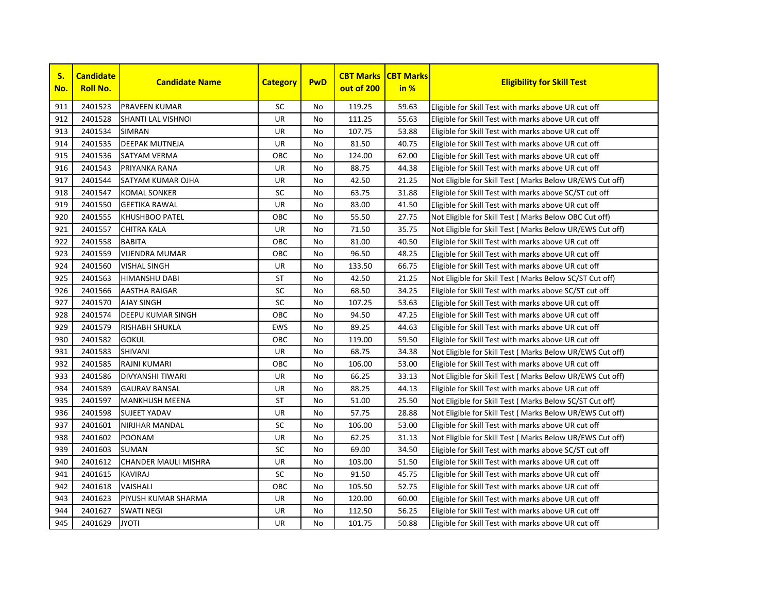

| S.<br>No. | <b>Candidate</b><br><b>Roll No.</b> | <b>Candidate Name</b>       | <b>Category</b> | <b>PwD</b> | <b>CBT Marks</b><br>out of 200 | <b>CBT Marks</b><br>in % | <b>Eligibility for Skill Test</b>                         |
|-----------|-------------------------------------|-----------------------------|-----------------|------------|--------------------------------|--------------------------|-----------------------------------------------------------|
| 911       | 2401523                             | <b>PRAVEEN KUMAR</b>        | <b>SC</b>       | No         | 119.25                         | 59.63                    | Eligible for Skill Test with marks above UR cut off       |
| 912       | 2401528                             | <b>SHANTI LAL VISHNOI</b>   | <b>UR</b>       | <b>No</b>  | 111.25                         | 55.63                    | Eligible for Skill Test with marks above UR cut off       |
| 913       | 2401534                             | <b>SIMRAN</b>               | UR              | No         | 107.75                         | 53.88                    | Eligible for Skill Test with marks above UR cut off       |
| 914       | 2401535                             | <b>DEEPAK MUTNEJA</b>       | UR              | <b>No</b>  | 81.50                          | 40.75                    | Eligible for Skill Test with marks above UR cut off       |
| 915       | 2401536                             | <b>SATYAM VERMA</b>         | OBC             | <b>No</b>  | 124.00                         | 62.00                    | Eligible for Skill Test with marks above UR cut off       |
| 916       | 2401543                             | PRIYANKA RANA               | <b>UR</b>       | <b>No</b>  | 88.75                          | 44.38                    | Eligible for Skill Test with marks above UR cut off       |
| 917       | 2401544                             | <b>SATYAM KUMAR OJHA</b>    | <b>UR</b>       | <b>No</b>  | 42.50                          | 21.25                    | Not Eligible for Skill Test ( Marks Below UR/EWS Cut off) |
| 918       | 2401547                             | <b>KOMAL SONKER</b>         | SC              | <b>No</b>  | 63.75                          | 31.88                    | Eligible for Skill Test with marks above SC/ST cut off    |
| 919       | 2401550                             | <b>GEETIKA RAWAL</b>        | UR              | No         | 83.00                          | 41.50                    | Eligible for Skill Test with marks above UR cut off       |
| 920       | 2401555                             | <b>KHUSHBOO PATEL</b>       | OBC             | <b>No</b>  | 55.50                          | 27.75                    | Not Eligible for Skill Test ( Marks Below OBC Cut off)    |
| 921       | 2401557                             | <b>CHITRA KALA</b>          | UR              | No         | 71.50                          | 35.75                    | Not Eligible for Skill Test ( Marks Below UR/EWS Cut off) |
| 922       | 2401558                             | <b>BABITA</b>               | OBC             | No         | 81.00                          | 40.50                    | Eligible for Skill Test with marks above UR cut off       |
| 923       | 2401559                             | <b>VIJENDRA MUMAR</b>       | OBC             | No         | 96.50                          | 48.25                    | Eligible for Skill Test with marks above UR cut off       |
| 924       | 2401560                             | <b>VISHAL SINGH</b>         | UR              | <b>No</b>  | 133.50                         | 66.75                    | Eligible for Skill Test with marks above UR cut off       |
| 925       | 2401563                             | <b>HIMANSHU DABI</b>        | ST              | No         | 42.50                          | 21.25                    | Not Eligible for Skill Test (Marks Below SC/ST Cut off)   |
| 926       | 2401566                             | <b>AASTHA RAIGAR</b>        | SC              | No         | 68.50                          | 34.25                    | Eligible for Skill Test with marks above SC/ST cut off    |
| 927       | 2401570                             | <b>AJAY SINGH</b>           | SC              | No         | 107.25                         | 53.63                    | Eligible for Skill Test with marks above UR cut off       |
| 928       | 2401574                             | <b>DEEPU KUMAR SINGH</b>    | OBC             | No         | 94.50                          | 47.25                    | Eligible for Skill Test with marks above UR cut off       |
| 929       | 2401579                             | <b>RISHABH SHUKLA</b>       | <b>EWS</b>      | <b>No</b>  | 89.25                          | 44.63                    | Eligible for Skill Test with marks above UR cut off       |
| 930       | 2401582                             | <b>GOKUL</b>                | OBC             | <b>No</b>  | 119.00                         | 59.50                    | Eligible for Skill Test with marks above UR cut off       |
| 931       | 2401583                             | <b>SHIVANI</b>              | UR              | No         | 68.75                          | 34.38                    | Not Eligible for Skill Test ( Marks Below UR/EWS Cut off) |
| 932       | 2401585                             | RAJNI KUMARI                | OBC             | <b>No</b>  | 106.00                         | 53.00                    | Eligible for Skill Test with marks above UR cut off       |
| 933       | 2401586                             | <b>DIVYANSHI TIWARI</b>     | UR              | No         | 66.25                          | 33.13                    | Not Eligible for Skill Test (Marks Below UR/EWS Cut off)  |
| 934       | 2401589                             | <b>GAURAV BANSAL</b>        | UR              | <b>No</b>  | 88.25                          | 44.13                    | Eligible for Skill Test with marks above UR cut off       |
| 935       | 2401597                             | <b>MANKHUSH MEENA</b>       | <b>ST</b>       | <b>No</b>  | 51.00                          | 25.50                    | Not Eligible for Skill Test (Marks Below SC/ST Cut off)   |
| 936       | 2401598                             | <b>SUJEET YADAV</b>         | UR              | <b>No</b>  | 57.75                          | 28.88                    | Not Eligible for Skill Test (Marks Below UR/EWS Cut off)  |
| 937       | 2401601                             | <b>NIRJHAR MANDAL</b>       | <b>SC</b>       | <b>No</b>  | 106.00                         | 53.00                    | Eligible for Skill Test with marks above UR cut off       |
| 938       | 2401602                             | POONAM                      | UR              | <b>No</b>  | 62.25                          | 31.13                    | Not Eligible for Skill Test ( Marks Below UR/EWS Cut off) |
| 939       | 2401603                             | <b>SUMAN</b>                | SC              | No         | 69.00                          | 34.50                    | Eligible for Skill Test with marks above SC/ST cut off    |
| 940       | 2401612                             | <b>CHANDER MAULI MISHRA</b> | UR              | <b>No</b>  | 103.00                         | 51.50                    | Eligible for Skill Test with marks above UR cut off       |
| 941       | 2401615                             | <b>KAVIRAJ</b>              | SC              | No         | 91.50                          | 45.75                    | Eligible for Skill Test with marks above UR cut off       |
| 942       | 2401618                             | <b>VAISHALI</b>             | OBC             | <b>No</b>  | 105.50                         | 52.75                    | Eligible for Skill Test with marks above UR cut off       |
| 943       | 2401623                             | PIYUSH KUMAR SHARMA         | <b>UR</b>       | No         | 120.00                         | 60.00                    | Eligible for Skill Test with marks above UR cut off       |
| 944       | 2401627                             | <b>SWATI NEGI</b>           | UR              | No         | 112.50                         | 56.25                    | Eligible for Skill Test with marks above UR cut off       |
| 945       | 2401629                             | <b>JYOTI</b>                | UR              | No         | 101.75                         | 50.88                    | Eligible for Skill Test with marks above UR cut off       |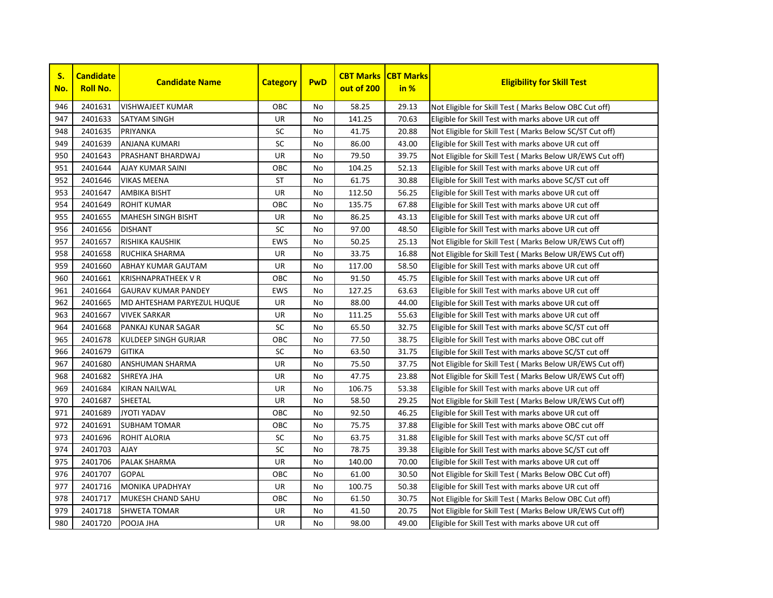

| S.<br>No. | <b>Candidate</b><br><b>Roll No.</b> | <b>Candidate Name</b>       | <b>Category</b> | <b>PwD</b> | <b>CBT Marks</b><br>out of 200 | <b>CBT Marks</b><br>in % | <b>Eligibility for Skill Test</b>                         |
|-----------|-------------------------------------|-----------------------------|-----------------|------------|--------------------------------|--------------------------|-----------------------------------------------------------|
| 946       | 2401631                             | <b>VISHWAJEET KUMAR</b>     | OBC             | No         | 58.25                          | 29.13                    | Not Eligible for Skill Test (Marks Below OBC Cut off)     |
| 947       | 2401633                             | <b>SATYAM SINGH</b>         | <b>UR</b>       | <b>No</b>  | 141.25                         | 70.63                    | Eligible for Skill Test with marks above UR cut off       |
| 948       | 2401635                             | PRIYANKA                    | SC              | No         | 41.75                          | 20.88                    | Not Eligible for Skill Test ( Marks Below SC/ST Cut off)  |
| 949       | 2401639                             | <b>ANJANA KUMARI</b>        | SC              | <b>No</b>  | 86.00                          | 43.00                    | Eligible for Skill Test with marks above UR cut off       |
| 950       | 2401643                             | PRASHANT BHARDWAJ           | UR              | <b>No</b>  | 79.50                          | 39.75                    | Not Eligible for Skill Test ( Marks Below UR/EWS Cut off) |
| 951       | 2401644                             | <b>AJAY KUMAR SAINI</b>     | OBC             | <b>No</b>  | 104.25                         | 52.13                    | Eligible for Skill Test with marks above UR cut off       |
| 952       | 2401646                             | <b>VIKAS MEENA</b>          | <b>ST</b>       | <b>No</b>  | 61.75                          | 30.88                    | Eligible for Skill Test with marks above SC/ST cut off    |
| 953       | 2401647                             | <b>AMBIKA BISHT</b>         | <b>UR</b>       | <b>No</b>  | 112.50                         | 56.25                    | Eligible for Skill Test with marks above UR cut off       |
| 954       | 2401649                             | <b>ROHIT KUMAR</b>          | OBC             | No         | 135.75                         | 67.88                    | Eligible for Skill Test with marks above UR cut off       |
| 955       | 2401655                             | <b>MAHESH SINGH BISHT</b>   | UR              | <b>No</b>  | 86.25                          | 43.13                    | Eligible for Skill Test with marks above UR cut off       |
| 956       | 2401656                             | <b>DISHANT</b>              | SC              | No         | 97.00                          | 48.50                    | Eligible for Skill Test with marks above UR cut off       |
| 957       | 2401657                             | <b>RISHIKA KAUSHIK</b>      | <b>EWS</b>      | No         | 50.25                          | 25.13                    | Not Eligible for Skill Test (Marks Below UR/EWS Cut off)  |
| 958       | 2401658                             | <b>RUCHIKA SHARMA</b>       | UR              | No         | 33.75                          | 16.88                    | Not Eligible for Skill Test (Marks Below UR/EWS Cut off)  |
| 959       | 2401660                             | <b>ABHAY KUMAR GAUTAM</b>   | UR              | <b>No</b>  | 117.00                         | 58.50                    | Eligible for Skill Test with marks above UR cut off       |
| 960       | 2401661                             | <b>KRISHNAPRATHEEK V R</b>  | ОВС             | No         | 91.50                          | 45.75                    | Eligible for Skill Test with marks above UR cut off       |
| 961       | 2401664                             | <b>GAURAV KUMAR PANDEY</b>  | <b>EWS</b>      | No         | 127.25                         | 63.63                    | Eligible for Skill Test with marks above UR cut off       |
| 962       | 2401665                             | MD AHTESHAM PARYEZUL HUQUE  | UR              | No         | 88.00                          | 44.00                    | Eligible for Skill Test with marks above UR cut off       |
| 963       | 2401667                             | <b>VIVEK SARKAR</b>         | UR              | No         | 111.25                         | 55.63                    | Eligible for Skill Test with marks above UR cut off       |
| 964       | 2401668                             | PANKAJ KUNAR SAGAR          | SC              | <b>No</b>  | 65.50                          | 32.75                    | Eligible for Skill Test with marks above SC/ST cut off    |
| 965       | 2401678                             | <b>KULDEEP SINGH GURJAR</b> | OBC             | <b>No</b>  | 77.50                          | 38.75                    | Eligible for Skill Test with marks above OBC cut off      |
| 966       | 2401679                             | <b>GITIKA</b>               | $\sf SC$        | No         | 63.50                          | 31.75                    | Eligible for Skill Test with marks above SC/ST cut off    |
| 967       | 2401680                             | ANSHUMAN SHARMA             | UR              | <b>No</b>  | 75.50                          | 37.75                    | Not Eligible for Skill Test ( Marks Below UR/EWS Cut off) |
| 968       | 2401682                             | <b>SHREYA JHA</b>           | UR              | No         | 47.75                          | 23.88                    | Not Eligible for Skill Test (Marks Below UR/EWS Cut off)  |
| 969       | 2401684                             | <b>KIRAN NAILWAL</b>        | UR              | <b>No</b>  | 106.75                         | 53.38                    | Eligible for Skill Test with marks above UR cut off       |
| 970       | 2401687                             | SHEETAL                     | UR              | <b>No</b>  | 58.50                          | 29.25                    | Not Eligible for Skill Test (Marks Below UR/EWS Cut off)  |
| 971       | 2401689                             | <b>JYOTI YADAV</b>          | OBC             | <b>No</b>  | 92.50                          | 46.25                    | Eligible for Skill Test with marks above UR cut off       |
| 972       | 2401691                             | <b>SUBHAM TOMAR</b>         | OBC             | <b>No</b>  | 75.75                          | 37.88                    | Eligible for Skill Test with marks above OBC cut off      |
| 973       | 2401696                             | <b>ROHIT ALORIA</b>         | SC              | <b>No</b>  | 63.75                          | 31.88                    | Eligible for Skill Test with marks above SC/ST cut off    |
| 974       | 2401703                             | <b>AJAY</b>                 | SC              | No         | 78.75                          | 39.38                    | Eligible for Skill Test with marks above SC/ST cut off    |
| 975       | 2401706                             | PALAK SHARMA                | UR              | <b>No</b>  | 140.00                         | 70.00                    | Eligible for Skill Test with marks above UR cut off       |
| 976       | 2401707                             | <b>GOPAL</b>                | OBC             | No         | 61.00                          | 30.50                    | Not Eligible for Skill Test ( Marks Below OBC Cut off)    |
| 977       | 2401716                             | <b>MONIKA UPADHYAY</b>      | <b>UR</b>       | <b>No</b>  | 100.75                         | 50.38                    | Eligible for Skill Test with marks above UR cut off       |
| 978       | 2401717                             | <b>MUKESH CHAND SAHU</b>    | OBC             | No         | 61.50                          | 30.75                    | Not Eligible for Skill Test (Marks Below OBC Cut off)     |
| 979       | 2401718                             | <b>SHWETA TOMAR</b>         | UR              | No         | 41.50                          | 20.75                    | Not Eligible for Skill Test (Marks Below UR/EWS Cut off)  |
| 980       | 2401720                             | POOJA JHA                   | UR              | No         | 98.00                          | 49.00                    | Eligible for Skill Test with marks above UR cut off       |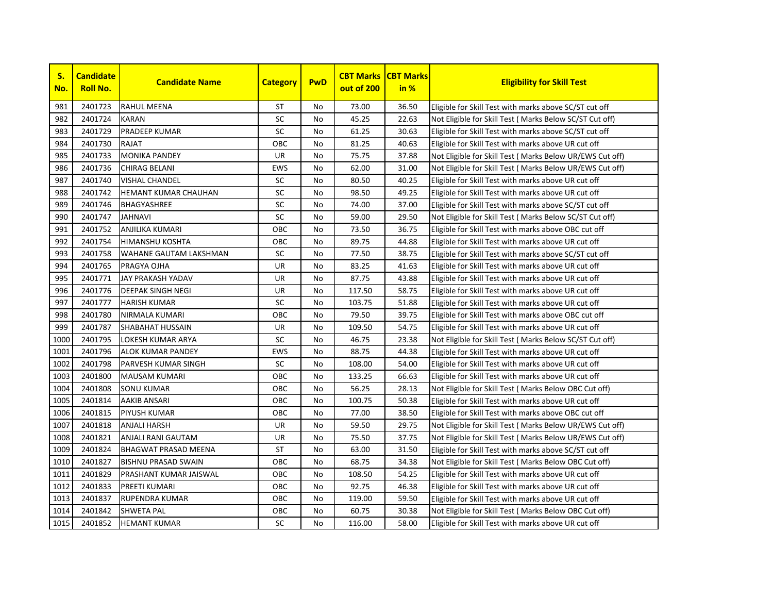

| S.<br>No. | <b>Candidate</b><br><b>Roll No.</b> | <b>Candidate Name</b>       | <b>Category</b> | <b>PwD</b> | <b>CBT Marks</b><br>out of 200 | <b>CBT Marks</b><br>in % | <b>Eligibility for Skill Test</b>                         |
|-----------|-------------------------------------|-----------------------------|-----------------|------------|--------------------------------|--------------------------|-----------------------------------------------------------|
| 981       | 2401723                             | <b>RAHUL MEENA</b>          | ST              | No         | 73.00                          | 36.50                    | Eligible for Skill Test with marks above SC/ST cut off    |
| 982       | 2401724                             | <b>KARAN</b>                | <b>SC</b>       | No         | 45.25                          | 22.63                    | Not Eligible for Skill Test ( Marks Below SC/ST Cut off)  |
| 983       | 2401729                             | <b>PRADEEP KUMAR</b>        | <b>SC</b>       | No         | 61.25                          | 30.63                    | Eligible for Skill Test with marks above SC/ST cut off    |
| 984       | 2401730                             | <b>RAJAT</b>                | OBC             | No         | 81.25                          | 40.63                    | Eligible for Skill Test with marks above UR cut off       |
| 985       | 2401733                             | <b>MONIKA PANDEY</b>        | UR              | No         | 75.75                          | 37.88                    | Not Eligible for Skill Test ( Marks Below UR/EWS Cut off) |
| 986       | 2401736                             | <b>CHIRAG BELANI</b>        | <b>EWS</b>      | No         | 62.00                          | 31.00                    | Not Eligible for Skill Test ( Marks Below UR/EWS Cut off) |
| 987       | 2401740                             | <b>VISHAL CHANDEL</b>       | SC              | No         | 80.50                          | 40.25                    | Eligible for Skill Test with marks above UR cut off       |
| 988       | 2401742                             | <b>HEMANT KUMAR CHAUHAN</b> | SC              | No         | 98.50                          | 49.25                    | Eligible for Skill Test with marks above UR cut off       |
| 989       | 2401746                             | <b>BHAGYASHREE</b>          | SC              | No         | 74.00                          | 37.00                    | Eligible for Skill Test with marks above SC/ST cut off    |
| 990       | 2401747                             | <b>JAHNAVI</b>              | SC              | No         | 59.00                          | 29.50                    | Not Eligible for Skill Test (Marks Below SC/ST Cut off)   |
| 991       | 2401752                             | <b>ANJILIKA KUMARI</b>      | ОВС             | No         | 73.50                          | 36.75                    | Eligible for Skill Test with marks above OBC cut off      |
| 992       | 2401754                             | <b>HIMANSHU KOSHTA</b>      | OBC             | No         | 89.75                          | 44.88                    | Eligible for Skill Test with marks above UR cut off       |
| 993       | 2401758                             | WAHANE GAUTAM LAKSHMAN      | SC              | No         | 77.50                          | 38.75                    | Eligible for Skill Test with marks above SC/ST cut off    |
| 994       | 2401765                             | PRAGYA OJHA                 | UR              | No         | 83.25                          | 41.63                    | Eligible for Skill Test with marks above UR cut off       |
| 995       | 2401771                             | <b>JAY PRAKASH YADAV</b>    | UR              | No         | 87.75                          | 43.88                    | Eligible for Skill Test with marks above UR cut off       |
| 996       | 2401776                             | <b>DEEPAK SINGH NEGI</b>    | UR              | No         | 117.50                         | 58.75                    | Eligible for Skill Test with marks above UR cut off       |
| 997       | 2401777                             | <b>HARISH KUMAR</b>         | SC              | No         | 103.75                         | 51.88                    | Eligible for Skill Test with marks above UR cut off       |
| 998       | 2401780                             | NIRMALA KUMARI              | OBC             | <b>No</b>  | 79.50                          | 39.75                    | Eligible for Skill Test with marks above OBC cut off      |
| 999       | 2401787                             | SHABAHAT HUSSAIN            | UR              | No         | 109.50                         | 54.75                    | Eligible for Skill Test with marks above UR cut off       |
| 1000      | 2401795                             | LOKESH KUMAR ARYA           | SC              | No         | 46.75                          | 23.38                    | Not Eligible for Skill Test ( Marks Below SC/ST Cut off)  |
| 1001      | 2401796                             | ALOK KUMAR PANDEY           | <b>EWS</b>      | No         | 88.75                          | 44.38                    | Eligible for Skill Test with marks above UR cut off       |
| 1002      | 2401798                             | <b>PARVESH KUMAR SINGH</b>  | SC              | No         | 108.00                         | 54.00                    | Eligible for Skill Test with marks above UR cut off       |
| 1003      | 2401800                             | <b>MAUSAM KUMARI</b>        | ОВС             | No         | 133.25                         | 66.63                    | Eligible for Skill Test with marks above UR cut off       |
| 1004      | 2401808                             | <b>SONU KUMAR</b>           | ОВС             | No         | 56.25                          | 28.13                    | Not Eligible for Skill Test ( Marks Below OBC Cut off)    |
| 1005      | 2401814                             | AAKIB ANSARI                | OBC             | No         | 100.75                         | 50.38                    | Eligible for Skill Test with marks above UR cut off       |
| 1006      | 2401815                             | <b>PIYUSH KUMAR</b>         | OBC             | No         | 77.00                          | 38.50                    | Eligible for Skill Test with marks above OBC cut off      |
| 1007      | 2401818                             | ANJALI HARSH                | UR              | No         | 59.50                          | 29.75                    | Not Eligible for Skill Test ( Marks Below UR/EWS Cut off) |
| 1008      | 2401821                             | ANJALI RANI GAUTAM          | UR              | No         | 75.50                          | 37.75                    | Not Eligible for Skill Test ( Marks Below UR/EWS Cut off) |
| 1009      | 2401824                             | <b>BHAGWAT PRASAD MEENA</b> | <b>ST</b>       | No         | 63.00                          | 31.50                    | Eligible for Skill Test with marks above SC/ST cut off    |
| 1010      | 2401827                             | <b>BISHNU PRASAD SWAIN</b>  | OBC             | No         | 68.75                          | 34.38                    | Not Eligible for Skill Test ( Marks Below OBC Cut off)    |
| 1011      | 2401829                             | PRASHANT KUMAR JAISWAL      | OBC             | No         | 108.50                         | 54.25                    | Eligible for Skill Test with marks above UR cut off       |
| 1012      | 2401833                             | PREETI KUMARI               | OBC             | No         | 92.75                          | 46.38                    | Eligible for Skill Test with marks above UR cut off       |
| 1013      | 2401837                             | <b>RUPENDRA KUMAR</b>       | OBC             | No         | 119.00                         | 59.50                    | Eligible for Skill Test with marks above UR cut off       |
| 1014      | 2401842                             | <b>SHWETA PAL</b>           | овс             | No         | 60.75                          | 30.38                    | Not Eligible for Skill Test (Marks Below OBC Cut off)     |
| 1015      | 2401852                             | <b>HEMANT KUMAR</b>         | SC              | No         | 116.00                         | 58.00                    | Eligible for Skill Test with marks above UR cut off       |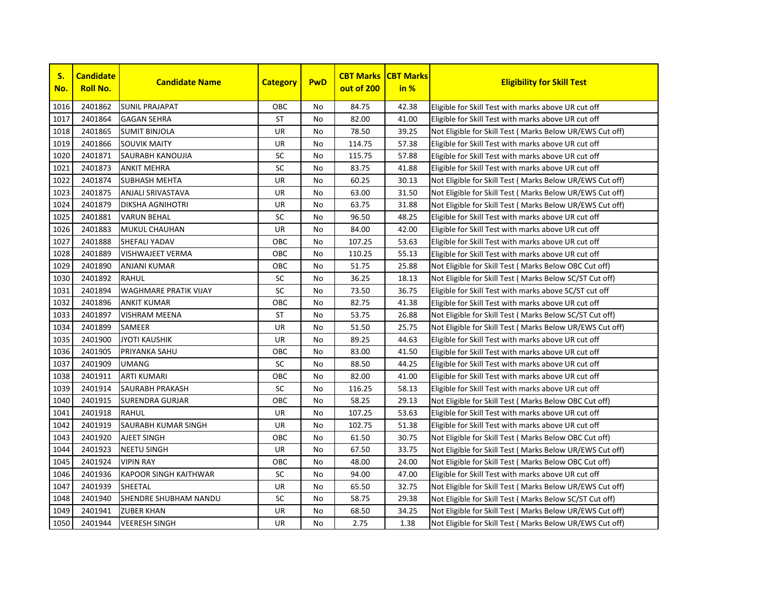

| S.<br>No. | <b>Candidate</b><br><b>Roll No.</b> | <b>Candidate Name</b>        | <b>Category</b> | <b>PwD</b> | <b>CBT Marks</b><br>out of 200 | <b>CBT Marks</b><br>in % | <b>Eligibility for Skill Test</b>                         |
|-----------|-------------------------------------|------------------------------|-----------------|------------|--------------------------------|--------------------------|-----------------------------------------------------------|
| 1016      | 2401862                             | <b>SUNIL PRAJAPAT</b>        | OBC             | No         | 84.75                          | 42.38                    | Eligible for Skill Test with marks above UR cut off       |
| 1017      | 2401864                             | <b>GAGAN SEHRA</b>           | <b>ST</b>       | <b>No</b>  | 82.00                          | 41.00                    | Eligible for Skill Test with marks above UR cut off       |
| 1018      | 2401865                             | <b>SUMIT BINJOLA</b>         | UR              | No         | 78.50                          | 39.25                    | Not Eligible for Skill Test (Marks Below UR/EWS Cut off)  |
| 1019      | 2401866                             | <b>SOUVIK MAITY</b>          | UR              | No         | 114.75                         | 57.38                    | Eligible for Skill Test with marks above UR cut off       |
| 1020      | 2401871                             | SAURABH KANOUJIA             | SC              | No         | 115.75                         | 57.88                    | Eligible for Skill Test with marks above UR cut off       |
| 1021      | 2401873                             | <b>ANKIT MEHRA</b>           | SC              | <b>No</b>  | 83.75                          | 41.88                    | Eligible for Skill Test with marks above UR cut off       |
| 1022      | 2401874                             | <b>SUBHASH MEHTA</b>         | <b>UR</b>       | <b>No</b>  | 60.25                          | 30.13                    | Not Eligible for Skill Test ( Marks Below UR/EWS Cut off) |
| 1023      | 2401875                             | <b>ANJALI SRIVASTAVA</b>     | <b>UR</b>       | <b>No</b>  | 63.00                          | 31.50                    | Not Eligible for Skill Test (Marks Below UR/EWS Cut off)  |
| 1024      | 2401879                             | <b>DIKSHA AGNIHOTRI</b>      | <b>UR</b>       | <b>No</b>  | 63.75                          | 31.88                    | Not Eligible for Skill Test (Marks Below UR/EWS Cut off)  |
| 1025      | 2401881                             | <b>VARUN BEHAL</b>           | SC              | No         | 96.50                          | 48.25                    | Eligible for Skill Test with marks above UR cut off       |
| 1026      | 2401883                             | MUKUL CHAUHAN                | UR              | No         | 84.00                          | 42.00                    | Eligible for Skill Test with marks above UR cut off       |
| 1027      | 2401888                             | SHEFALI YADAV                | OBC             | <b>No</b>  | 107.25                         | 53.63                    | Eligible for Skill Test with marks above UR cut off       |
| 1028      | 2401889                             | VISHWAJEET VERMA             | OBC             | No         | 110.25                         | 55.13                    | Eligible for Skill Test with marks above UR cut off       |
| 1029      | 2401890                             | <b>ANJANI KUMAR</b>          | OBC             | <b>No</b>  | 51.75                          | 25.88                    | Not Eligible for Skill Test (Marks Below OBC Cut off)     |
| 1030      | 2401892                             | <b>RAHUL</b>                 | $\sf SC$        | <b>No</b>  | 36.25                          | 18.13                    | Not Eligible for Skill Test ( Marks Below SC/ST Cut off)  |
| 1031      | 2401894                             | <b>WAGHMARE PRATIK VIJAY</b> | SC              | No         | 73.50                          | 36.75                    | Eligible for Skill Test with marks above SC/ST cut off    |
| 1032      | 2401896                             | <b>ANKIT KUMAR</b>           | OBC             | No         | 82.75                          | 41.38                    | Eligible for Skill Test with marks above UR cut off       |
| 1033      | 2401897                             | <b>VISHRAM MEENA</b>         | ST              | No         | 53.75                          | 26.88                    | Not Eligible for Skill Test ( Marks Below SC/ST Cut off)  |
| 1034      | 2401899                             | SAMEER                       | UR              | No         | 51.50                          | 25.75                    | Not Eligible for Skill Test (Marks Below UR/EWS Cut off)  |
| 1035      | 2401900                             | <b>JYOTI KAUSHIK</b>         | <b>UR</b>       | <b>No</b>  | 89.25                          | 44.63                    | Eligible for Skill Test with marks above UR cut off       |
| 1036      | 2401905                             | PRIYANKA SAHU                | OBC             | <b>No</b>  | 83.00                          | 41.50                    | Eligible for Skill Test with marks above UR cut off       |
| 1037      | 2401909                             | <b>UMANG</b>                 | SC              | No         | 88.50                          | 44.25                    | Eligible for Skill Test with marks above UR cut off       |
| 1038      | 2401911                             | <b>ARTI KUMARI</b>           | OBC             | No         | 82.00                          | 41.00                    | Eligible for Skill Test with marks above UR cut off       |
| 1039      | 2401914                             | SAURABH PRAKASH              | SC              | No         | 116.25                         | 58.13                    | Eligible for Skill Test with marks above UR cut off       |
| 1040      | 2401915                             | <b>SURENDRA GURJAR</b>       | OBC             | No         | 58.25                          | 29.13                    | Not Eligible for Skill Test ( Marks Below OBC Cut off)    |
| 1041      | 2401918                             | RAHUL                        | <b>UR</b>       | No         | 107.25                         | 53.63                    | Eligible for Skill Test with marks above UR cut off       |
| 1042      | 2401919                             | SAURABH KUMAR SINGH          | <b>UR</b>       | <b>No</b>  | 102.75                         | 51.38                    | Eligible for Skill Test with marks above UR cut off       |
| 1043      | 2401920                             | AJEET SINGH                  | OBC             | No         | 61.50                          | 30.75                    | Not Eligible for Skill Test ( Marks Below OBC Cut off)    |
| 1044      | 2401923                             | <b>NEETU SINGH</b>           | UR              | No         | 67.50                          | 33.75                    | Not Eligible for Skill Test ( Marks Below UR/EWS Cut off) |
| 1045      | 2401924                             | <b>VIPIN RAY</b>             | OBC             | No         | 48.00                          | 24.00                    | Not Eligible for Skill Test ( Marks Below OBC Cut off)    |
| 1046      | 2401936                             | KAPOOR SINGH KAITHWAR        | SC              | <b>No</b>  | 94.00                          | 47.00                    | Eligible for Skill Test with marks above UR cut off       |
| 1047      | 2401939                             | <b>SHEETAL</b>               | <b>UR</b>       | <b>No</b>  | 65.50                          | 32.75                    | Not Eligible for Skill Test (Marks Below UR/EWS Cut off)  |
| 1048      | 2401940                             | SHENDRE SHUBHAM NANDU        | SC              | <b>No</b>  | 58.75                          | 29.38                    | Not Eligible for Skill Test (Marks Below SC/ST Cut off)   |
| 1049      | 2401941                             | <b>ZUBER KHAN</b>            | UR              | No         | 68.50                          | 34.25                    | Not Eligible for Skill Test ( Marks Below UR/EWS Cut off) |
| 1050      | 2401944                             | <b>VEERESH SINGH</b>         | UR              | No         | 2.75                           | 1.38                     | Not Eligible for Skill Test (Marks Below UR/EWS Cut off)  |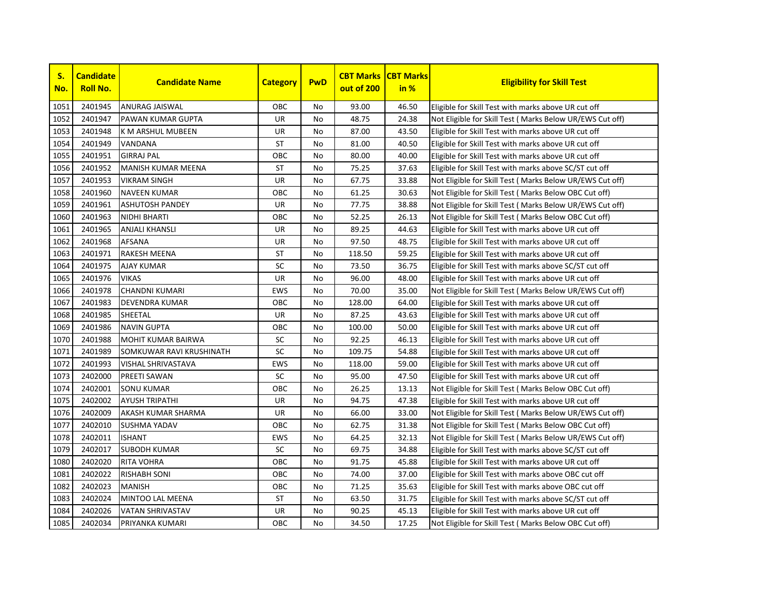

| S.<br>No. | <b>Candidate</b><br><b>Roll No.</b> | <b>Candidate Name</b>     | <b>Category</b> | <b>PwD</b> | <b>CBT Marks</b><br>out of 200 | <b>CBT Marks</b><br>in % | <b>Eligibility for Skill Test</b>                         |
|-----------|-------------------------------------|---------------------------|-----------------|------------|--------------------------------|--------------------------|-----------------------------------------------------------|
| 1051      | 2401945                             | <b>ANURAG JAISWAL</b>     | OBC             | No         | 93.00                          | 46.50                    | Eligible for Skill Test with marks above UR cut off       |
| 1052      | 2401947                             | <b>PAWAN KUMAR GUPTA</b>  | <b>UR</b>       | <b>No</b>  | 48.75                          | 24.38                    | Not Eligible for Skill Test (Marks Below UR/EWS Cut off)  |
| 1053      | 2401948                             | K M ARSHUL MUBEEN         | UR              | No         | 87.00                          | 43.50                    | Eligible for Skill Test with marks above UR cut off       |
| 1054      | 2401949                             | <b>VANDANA</b>            | ST              | <b>No</b>  | 81.00                          | 40.50                    | Eligible for Skill Test with marks above UR cut off       |
| 1055      | 2401951                             | <b>GIRRAJ PAL</b>         | OBC             | <b>No</b>  | 80.00                          | 40.00                    | Eligible for Skill Test with marks above UR cut off       |
| 1056      | 2401952                             | <b>MANISH KUMAR MEENA</b> | <b>ST</b>       | <b>No</b>  | 75.25                          | 37.63                    | Eligible for Skill Test with marks above SC/ST cut off    |
| 1057      | 2401953                             | <b>VIKRAM SINGH</b>       | <b>UR</b>       | <b>No</b>  | 67.75                          | 33.88                    | Not Eligible for Skill Test ( Marks Below UR/EWS Cut off) |
| 1058      | 2401960                             | <b>NAVEEN KUMAR</b>       | OBC             | <b>No</b>  | 61.25                          | 30.63                    | Not Eligible for Skill Test ( Marks Below OBC Cut off)    |
| 1059      | 2401961                             | <b>ASHUTOSH PANDEY</b>    | UR              | No         | 77.75                          | 38.88                    | Not Eligible for Skill Test (Marks Below UR/EWS Cut off)  |
| 1060      | 2401963                             | <b>NIDHI BHARTI</b>       | OBC             | <b>No</b>  | 52.25                          | 26.13                    | Not Eligible for Skill Test ( Marks Below OBC Cut off)    |
| 1061      | 2401965                             | <b>ANJALI KHANSLI</b>     | UR              | No         | 89.25                          | 44.63                    | Eligible for Skill Test with marks above UR cut off       |
| 1062      | 2401968                             | <b>AFSANA</b>             | UR              | No         | 97.50                          | 48.75                    | Eligible for Skill Test with marks above UR cut off       |
| 1063      | 2401971                             | <b>RAKESH MEENA</b>       | ST              | No         | 118.50                         | 59.25                    | Eligible for Skill Test with marks above UR cut off       |
| 1064      | 2401975                             | <b>AJAY KUMAR</b>         | SC              | <b>No</b>  | 73.50                          | 36.75                    | Eligible for Skill Test with marks above SC/ST cut off    |
| 1065      | 2401976                             | <b>VIKAS</b>              | UR              | No         | 96.00                          | 48.00                    | Eligible for Skill Test with marks above UR cut off       |
| 1066      | 2401978                             | <b>CHANDNI KUMARI</b>     | <b>EWS</b>      | No         | 70.00                          | 35.00                    | Not Eligible for Skill Test ( Marks Below UR/EWS Cut off) |
| 1067      | 2401983                             | <b>DEVENDRA KUMAR</b>     | OBC             | No         | 128.00                         | 64.00                    | Eligible for Skill Test with marks above UR cut off       |
| 1068      | 2401985                             | <b>SHEETAL</b>            | UR              | No         | 87.25                          | 43.63                    | Eligible for Skill Test with marks above UR cut off       |
| 1069      | 2401986                             | <b>NAVIN GUPTA</b>        | OBC             | <b>No</b>  | 100.00                         | 50.00                    | Eligible for Skill Test with marks above UR cut off       |
| 1070      | 2401988                             | <b>MOHIT KUMAR BAIRWA</b> | SC              | <b>No</b>  | 92.25                          | 46.13                    | Eligible for Skill Test with marks above UR cut off       |
| 1071      | 2401989                             | SOMKUWAR RAVI KRUSHINATH  | SC              | No         | 109.75                         | 54.88                    | Eligible for Skill Test with marks above UR cut off       |
| 1072      | 2401993                             | <b>VISHAL SHRIVASTAVA</b> | <b>EWS</b>      | <b>No</b>  | 118.00                         | 59.00                    | Eligible for Skill Test with marks above UR cut off       |
| 1073      | 2402000                             | <b>PREETI SAWAN</b>       | SC              | No         | 95.00                          | 47.50                    | Eligible for Skill Test with marks above UR cut off       |
| 1074      | 2402001                             | <b>SONU KUMAR</b>         | OBC             | <b>No</b>  | 26.25                          | 13.13                    | Not Eligible for Skill Test (Marks Below OBC Cut off)     |
| 1075      | 2402002                             | <b>AYUSH TRIPATHI</b>     | UR              | <b>No</b>  | 94.75                          | 47.38                    | Eligible for Skill Test with marks above UR cut off       |
| 1076      | 2402009                             | AKASH KUMAR SHARMA        | UR              | <b>No</b>  | 66.00                          | 33.00                    | Not Eligible for Skill Test (Marks Below UR/EWS Cut off)  |
| 1077      | 2402010                             | SUSHMA YADAV              | OBC             | <b>No</b>  | 62.75                          | 31.38                    | Not Eligible for Skill Test (Marks Below OBC Cut off)     |
| 1078      | 2402011                             | <b>ISHANT</b>             | <b>EWS</b>      | <b>No</b>  | 64.25                          | 32.13                    | Not Eligible for Skill Test ( Marks Below UR/EWS Cut off) |
| 1079      | 2402017                             | <b>SUBODH KUMAR</b>       | SC              | No         | 69.75                          | 34.88                    | Eligible for Skill Test with marks above SC/ST cut off    |
| 1080      | 2402020                             | <b>RITA VOHRA</b>         | OBC             | <b>No</b>  | 91.75                          | 45.88                    | Eligible for Skill Test with marks above UR cut off       |
| 1081      | 2402022                             | <b>RISHABH SONI</b>       | OBC             | No         | 74.00                          | 37.00                    | Eligible for Skill Test with marks above OBC cut off      |
| 1082      | 2402023                             | <b>MANISH</b>             | OBC             | <b>No</b>  | 71.25                          | 35.63                    | Eligible for Skill Test with marks above OBC cut off      |
| 1083      | 2402024                             | MINTOO LAL MEENA          | <b>ST</b>       | No         | 63.50                          | 31.75                    | Eligible for Skill Test with marks above SC/ST cut off    |
| 1084      | 2402026                             | <b>VATAN SHRIVASTAV</b>   | UR              | No         | 90.25                          | 45.13                    | Eligible for Skill Test with marks above UR cut off       |
| 1085      | 2402034                             | PRIYANKA KUMARI           | OBC             | No         | 34.50                          | 17.25                    | Not Eligible for Skill Test (Marks Below OBC Cut off)     |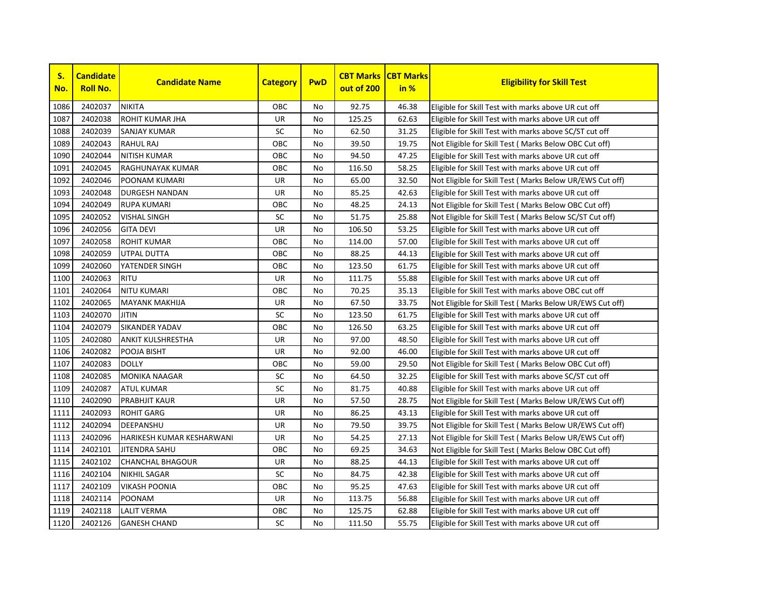

| S.<br>No. | <b>Candidate</b><br><b>Roll No.</b> | <b>Candidate Name</b>     | <b>Category</b> | <b>PwD</b> | <b>CBT Marks</b><br>out of 200 | <b>CBT Marks</b><br>in % | <b>Eligibility for Skill Test</b>                         |
|-----------|-------------------------------------|---------------------------|-----------------|------------|--------------------------------|--------------------------|-----------------------------------------------------------|
| 1086      | 2402037                             | <b>NIKITA</b>             | ОВС             | No         | 92.75                          | 46.38                    | Eligible for Skill Test with marks above UR cut off       |
| 1087      | 2402038                             | ROHIT KUMAR JHA           | UR              | <b>No</b>  | 125.25                         | 62.63                    | Eligible for Skill Test with marks above UR cut off       |
| 1088      | 2402039                             | SANJAY KUMAR              | SC              | No         | 62.50                          | 31.25                    | Eligible for Skill Test with marks above SC/ST cut off    |
| 1089      | 2402043                             | <b>RAHUL RAJ</b>          | OBC             | <b>No</b>  | 39.50                          | 19.75                    | Not Eligible for Skill Test ( Marks Below OBC Cut off)    |
| 1090      | 2402044                             | <b>NITISH KUMAR</b>       | OBC             | <b>No</b>  | 94.50                          | 47.25                    | Eligible for Skill Test with marks above UR cut off       |
| 1091      | 2402045                             | RAGHUNAYAK KUMAR          | OBC             | <b>No</b>  | 116.50                         | 58.25                    | Eligible for Skill Test with marks above UR cut off       |
| 1092      | 2402046                             | POONAM KUMARI             | UR              | <b>No</b>  | 65.00                          | 32.50                    | Not Eligible for Skill Test ( Marks Below UR/EWS Cut off) |
| 1093      | 2402048                             | <b>DURGESH NANDAN</b>     | UR              | No         | 85.25                          | 42.63                    | Eligible for Skill Test with marks above UR cut off       |
| 1094      | 2402049                             | <b>RUPA KUMARI</b>        | ОВС             | No         | 48.25                          | 24.13                    | Not Eligible for Skill Test ( Marks Below OBC Cut off)    |
| 1095      | 2402052                             | <b>VISHAL SINGH</b>       | SC              | No         | 51.75                          | 25.88                    | Not Eligible for Skill Test (Marks Below SC/ST Cut off)   |
| 1096      | 2402056                             | <b>GITA DEVI</b>          | UR              | <b>No</b>  | 106.50                         | 53.25                    | Eligible for Skill Test with marks above UR cut off       |
| 1097      | 2402058                             | <b>ROHIT KUMAR</b>        | ОВС             | <b>No</b>  | 114.00                         | 57.00                    | Eligible for Skill Test with marks above UR cut off       |
| 1098      | 2402059                             | <b>UTPAL DUTTA</b>        | OBC             | No         | 88.25                          | 44.13                    | Eligible for Skill Test with marks above UR cut off       |
| 1099      | 2402060                             | YATENDER SINGH            | ОВС             | No         | 123.50                         | 61.75                    | Eligible for Skill Test with marks above UR cut off       |
| 1100      | 2402063                             | <b>RITU</b>               | UR              | No         | 111.75                         | 55.88                    | Eligible for Skill Test with marks above UR cut off       |
| 1101      | 2402064                             | <b>NITU KUMARI</b>        | OBC             | <b>No</b>  | 70.25                          | 35.13                    | Eligible for Skill Test with marks above OBC cut off      |
| 1102      | 2402065                             | <b>MAYANK MAKHIJA</b>     | UR              | <b>No</b>  | 67.50                          | 33.75                    | Not Eligible for Skill Test ( Marks Below UR/EWS Cut off) |
| 1103      | 2402070                             | <b>JITIN</b>              | SC              | <b>No</b>  | 123.50                         | 61.75                    | Eligible for Skill Test with marks above UR cut off       |
| 1104      | 2402079                             | <b>SIKANDER YADAV</b>     | OBC             | No         | 126.50                         | 63.25                    | Eligible for Skill Test with marks above UR cut off       |
| 1105      | 2402080                             | ANKIT KULSHRESTHA         | UR              | No         | 97.00                          | 48.50                    | Eligible for Skill Test with marks above UR cut off       |
| 1106      | 2402082                             | POOJA BISHT               | UR              | No         | 92.00                          | 46.00                    | Eligible for Skill Test with marks above UR cut off       |
| 1107      | 2402083                             | <b>DOLLY</b>              | ОВС             | No         | 59.00                          | 29.50                    | Not Eligible for Skill Test ( Marks Below OBC Cut off)    |
| 1108      | 2402085                             | <b>MONIKA NAAGAR</b>      | SC              | No         | 64.50                          | 32.25                    | Eligible for Skill Test with marks above SC/ST cut off    |
| 1109      | 2402087                             | <b>ATUL KUMAR</b>         | SC              | No         | 81.75                          | 40.88                    | Eligible for Skill Test with marks above UR cut off       |
| 1110      | 2402090                             | <b>PRABHJIT KAUR</b>      | UR              | No         | 57.50                          | 28.75                    | Not Eligible for Skill Test ( Marks Below UR/EWS Cut off) |
| 1111      | 2402093                             | <b>ROHIT GARG</b>         | UR              | No         | 86.25                          | 43.13                    | Eligible for Skill Test with marks above UR cut off       |
| 1112      | 2402094                             | DEEPANSHU                 | UR              | No         | 79.50                          | 39.75                    | Not Eligible for Skill Test (Marks Below UR/EWS Cut off)  |
| 1113      | 2402096                             | HARIKESH KUMAR KESHARWANI | UR              | No         | 54.25                          | 27.13                    | Not Eligible for Skill Test (Marks Below UR/EWS Cut off)  |
| 1114      | 2402101                             | <b>JITENDRA SAHU</b>      | OBC             | No         | 69.25                          | 34.63                    | Not Eligible for Skill Test (Marks Below OBC Cut off)     |
| 1115      | 2402102                             | <b>CHANCHAL BHAGOUR</b>   | <b>UR</b>       | No         | 88.25                          | 44.13                    | Eligible for Skill Test with marks above UR cut off       |
| 1116      | 2402104                             | <b>NIKHIL SAGAR</b>       | SC              | No         | 84.75                          | 42.38                    | Eligible for Skill Test with marks above UR cut off       |
| 1117      | 2402109                             | <b>VIKASH POONIA</b>      | ОВС             | No         | 95.25                          | 47.63                    | Eligible for Skill Test with marks above UR cut off       |
| 1118      | 2402114                             | POONAM                    | UR              | No         | 113.75                         | 56.88                    | Eligible for Skill Test with marks above UR cut off       |
| 1119      | 2402118                             | <b>LALIT VERMA</b>        | ОВС             | No         | 125.75                         | 62.88                    | Eligible for Skill Test with marks above UR cut off       |
| 1120      | 2402126                             | <b>GANESH CHAND</b>       | <b>SC</b>       | No         | 111.50                         | 55.75                    | Eligible for Skill Test with marks above UR cut off       |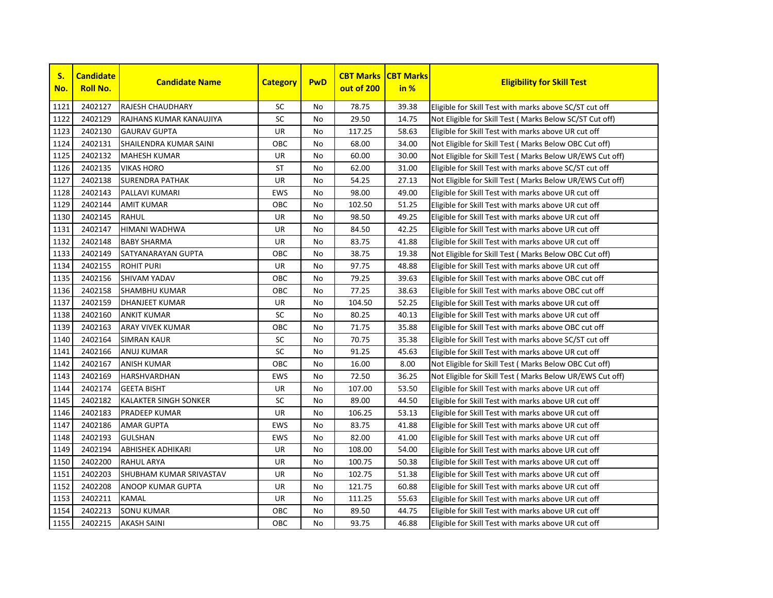

| S.<br>No. | <b>Candidate</b><br><b>Roll No.</b> | <b>Candidate Name</b>        | <b>Category</b> | <b>PwD</b> | <b>CBT Marks</b><br>out of 200 | <b>CBT Marks</b><br>in % | <b>Eligibility for Skill Test</b>                         |
|-----------|-------------------------------------|------------------------------|-----------------|------------|--------------------------------|--------------------------|-----------------------------------------------------------|
| 1121      | 2402127                             | <b>RAJESH CHAUDHARY</b>      | SC              | No         | 78.75                          | 39.38                    | Eligible for Skill Test with marks above SC/ST cut off    |
| 1122      | 2402129                             | RAJHANS KUMAR KANAUJIYA      | SC              | <b>No</b>  | 29.50                          | 14.75                    | Not Eligible for Skill Test (Marks Below SC/ST Cut off)   |
| 1123      | 2402130                             | <b>GAURAV GUPTA</b>          | UR              | No         | 117.25                         | 58.63                    | Eligible for Skill Test with marks above UR cut off       |
| 1124      | 2402131                             | SHAILENDRA KUMAR SAINI       | ОВС             | <b>No</b>  | 68.00                          | 34.00                    | Not Eligible for Skill Test (Marks Below OBC Cut off)     |
| 1125      | 2402132                             | <b>MAHESH KUMAR</b>          | UR              | <b>No</b>  | 60.00                          | 30.00                    | Not Eligible for Skill Test ( Marks Below UR/EWS Cut off) |
| 1126      | 2402135                             | <b>VIKAS HORO</b>            | <b>ST</b>       | <b>No</b>  | 62.00                          | 31.00                    | Eligible for Skill Test with marks above SC/ST cut off    |
| 1127      | 2402138                             | <b>SURENDRA PATHAK</b>       | UR              | <b>No</b>  | 54.25                          | 27.13                    | Not Eligible for Skill Test ( Marks Below UR/EWS Cut off) |
| 1128      | 2402143                             | PALLAVI KUMARI               | <b>EWS</b>      | <b>No</b>  | 98.00                          | 49.00                    | Eligible for Skill Test with marks above UR cut off       |
| 1129      | 2402144                             | <b>AMIT KUMAR</b>            | ОВС             | No         | 102.50                         | 51.25                    | Eligible for Skill Test with marks above UR cut off       |
| 1130      | 2402145                             | RAHUL                        | UR              | <b>No</b>  | 98.50                          | 49.25                    | Eligible for Skill Test with marks above UR cut off       |
| 1131      | 2402147                             | <b>HIMANI WADHWA</b>         | UR              | <b>No</b>  | 84.50                          | 42.25                    | Eligible for Skill Test with marks above UR cut off       |
| 1132      | 2402148                             | <b>BABY SHARMA</b>           | UR              | <b>No</b>  | 83.75                          | 41.88                    | Eligible for Skill Test with marks above UR cut off       |
| 1133      | 2402149                             | <b>SATYANARAYAN GUPTA</b>    | ОВС             | <b>No</b>  | 38.75                          | 19.38                    | Not Eligible for Skill Test (Marks Below OBC Cut off)     |
| 1134      | 2402155                             | <b>ROHIT PURI</b>            | UR              | <b>No</b>  | 97.75                          | 48.88                    | Eligible for Skill Test with marks above UR cut off       |
| 1135      | 2402156                             | <b>SHIVAM YADAV</b>          | ОВС             | No         | 79.25                          | 39.63                    | Eligible for Skill Test with marks above OBC cut off      |
| 1136      | 2402158                             | <b>SHAMBHU KUMAR</b>         | OBC             | No         | 77.25                          | 38.63                    | Eligible for Skill Test with marks above OBC cut off      |
| 1137      | 2402159                             | <b>DHANJEET KUMAR</b>        | UR              | <b>No</b>  | 104.50                         | 52.25                    | Eligible for Skill Test with marks above UR cut off       |
| 1138      | 2402160                             | <b>ANKIT KUMAR</b>           | SC              | No         | 80.25                          | 40.13                    | Eligible for Skill Test with marks above UR cut off       |
| 1139      | 2402163                             | <b>ARAY VIVEK KUMAR</b>      | OBC             | <b>No</b>  | 71.75                          | 35.88                    | Eligible for Skill Test with marks above OBC cut off      |
| 1140      | 2402164                             | <b>SIMRAN KAUR</b>           | SC              | <b>No</b>  | 70.75                          | 35.38                    | Eligible for Skill Test with marks above SC/ST cut off    |
| 1141      | 2402166                             | <b>ANUJ KUMAR</b>            | SC              | No         | 91.25                          | 45.63                    | Eligible for Skill Test with marks above UR cut off       |
| 1142      | 2402167                             | <b>ANISH KUMAR</b>           | OBC             | No         | 16.00                          | 8.00                     | Not Eligible for Skill Test ( Marks Below OBC Cut off)    |
| 1143      | 2402169                             | <b>HARSHVARDHAN</b>          | <b>EWS</b>      | No         | 72.50                          | 36.25                    | Not Eligible for Skill Test ( Marks Below UR/EWS Cut off) |
| 1144      | 2402174                             | <b>GEETA BISHT</b>           | UR              | <b>No</b>  | 107.00                         | 53.50                    | Eligible for Skill Test with marks above UR cut off       |
| 1145      | 2402182                             | <b>KALAKTER SINGH SONKER</b> | SC              | <b>No</b>  | 89.00                          | 44.50                    | Eligible for Skill Test with marks above UR cut off       |
| 1146      | 2402183                             | <b>PRADEEP KUMAR</b>         | UR              | <b>No</b>  | 106.25                         | 53.13                    | Eligible for Skill Test with marks above UR cut off       |
| 1147      | 2402186                             | <b>AMAR GUPTA</b>            | EWS             | <b>No</b>  | 83.75                          | 41.88                    | Eligible for Skill Test with marks above UR cut off       |
| 1148      | 2402193                             | <b>GULSHAN</b>               | <b>EWS</b>      | <b>No</b>  | 82.00                          | 41.00                    | Eligible for Skill Test with marks above UR cut off       |
| 1149      | 2402194                             | <b>ABHISHEK ADHIKARI</b>     | UR              | No         | 108.00                         | 54.00                    | Eligible for Skill Test with marks above UR cut off       |
| 1150      | 2402200                             | <b>RAHUL ARYA</b>            | UR              | No         | 100.75                         | 50.38                    | Eligible for Skill Test with marks above UR cut off       |
| 1151      | 2402203                             | SHUBHAM KUMAR SRIVASTAV      | UR              | No         | 102.75                         | 51.38                    | Eligible for Skill Test with marks above UR cut off       |
| 1152      | 2402208                             | <b>ANOOP KUMAR GUPTA</b>     | UR              | <b>No</b>  | 121.75                         | 60.88                    | Eligible for Skill Test with marks above UR cut off       |
| 1153      | 2402211                             | <b>KAMAL</b>                 | UR              | <b>No</b>  | 111.25                         | 55.63                    | Eligible for Skill Test with marks above UR cut off       |
| 1154      | 2402213                             | <b>SONU KUMAR</b>            | ОВС             | No         | 89.50                          | 44.75                    | Eligible for Skill Test with marks above UR cut off       |
| 1155      | 2402215                             | <b>AKASH SAINI</b>           | OBC             | No         | 93.75                          | 46.88                    | Eligible for Skill Test with marks above UR cut off       |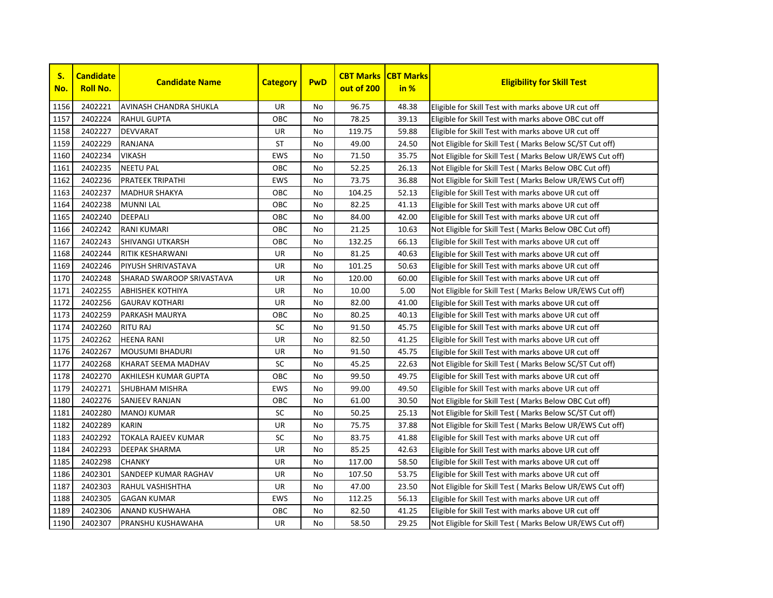

| S.<br>No. | <b>Candidate</b><br><b>Roll No.</b> | <b>Candidate Name</b>      | <b>Category</b> | <b>PwD</b> | <b>CBT Marks</b><br>out of 200 | <b>CBT Marks</b><br>in % | <b>Eligibility for Skill Test</b>                         |
|-----------|-------------------------------------|----------------------------|-----------------|------------|--------------------------------|--------------------------|-----------------------------------------------------------|
| 1156      | 2402221                             | AVINASH CHANDRA SHUKLA     | <b>UR</b>       | No         | 96.75                          | 48.38                    | Eligible for Skill Test with marks above UR cut off       |
| 1157      | 2402224                             | <b>RAHUL GUPTA</b>         | OBC             | No.        | 78.25                          | 39.13                    | Eligible for Skill Test with marks above OBC cut off      |
| 1158      | 2402227                             | <b>DEVVARAT</b>            | UR              | No.        | 119.75                         | 59.88                    | Eligible for Skill Test with marks above UR cut off       |
| 1159      | 2402229                             | <b>RANJANA</b>             | <b>ST</b>       | No         | 49.00                          | 24.50                    | Not Eligible for Skill Test (Marks Below SC/ST Cut off)   |
| 1160      | 2402234                             | <b>VIKASH</b>              | <b>EWS</b>      | No         | 71.50                          | 35.75                    | Not Eligible for Skill Test ( Marks Below UR/EWS Cut off) |
| 1161      | 2402235                             | <b>NEETU PAL</b>           | OBC             | No         | 52.25                          | 26.13                    | Not Eligible for Skill Test ( Marks Below OBC Cut off)    |
| 1162      | 2402236                             | <b>PRATEEK TRIPATHI</b>    | <b>EWS</b>      | No.        | 73.75                          | 36.88                    | Not Eligible for Skill Test ( Marks Below UR/EWS Cut off) |
| 1163      | 2402237                             | <b>MADHUR SHAKYA</b>       | OBC             | No         | 104.25                         | 52.13                    | Eligible for Skill Test with marks above UR cut off       |
| 1164      | 2402238                             | <b>MUNNI LAL</b>           | OBC             | No.        | 82.25                          | 41.13                    | Eligible for Skill Test with marks above UR cut off       |
| 1165      | 2402240                             | <b>DEEPALI</b>             | OBC             | No         | 84.00                          | 42.00                    | Eligible for Skill Test with marks above UR cut off       |
| 1166      | 2402242                             | <b>RANI KUMARI</b>         | OBC             | No.        | 21.25                          | 10.63                    | Not Eligible for Skill Test ( Marks Below OBC Cut off)    |
| 1167      | 2402243                             | <b>SHIVANGI UTKARSH</b>    | OBC             | No         | 132.25                         | 66.13                    | Eligible for Skill Test with marks above UR cut off       |
| 1168      | 2402244                             | <b>RITIK KESHARWANI</b>    | UR              | No         | 81.25                          | 40.63                    | Eligible for Skill Test with marks above UR cut off       |
| 1169      | 2402246                             | PIYUSH SHRIVASTAVA         | UR              | No         | 101.25                         | 50.63                    | Eligible for Skill Test with marks above UR cut off       |
| 1170      | 2402248                             | SHARAD SWAROOP SRIVASTAVA  | UR              | No         | 120.00                         | 60.00                    | Eligible for Skill Test with marks above UR cut off       |
| 1171      | 2402255                             | <b>ABHISHEK KOTHIYA</b>    | UR              | No.        | 10.00                          | 5.00                     | Not Eligible for Skill Test ( Marks Below UR/EWS Cut off) |
| 1172      | 2402256                             | <b>GAURAV KOTHARI</b>      | UR              | No.        | 82.00                          | 41.00                    | Eligible for Skill Test with marks above UR cut off       |
| 1173      | 2402259                             | PARKASH MAURYA             | OBC             | <b>No</b>  | 80.25                          | 40.13                    | Eligible for Skill Test with marks above UR cut off       |
| 1174      | 2402260                             | <b>RITU RAJ</b>            | SC              | No         | 91.50                          | 45.75                    | Eligible for Skill Test with marks above UR cut off       |
| 1175      | 2402262                             | <b>HEENA RANI</b>          | UR              | No         | 82.50                          | 41.25                    | Eligible for Skill Test with marks above UR cut off       |
| 1176      | 2402267                             | <b>MOUSUMI BHADURI</b>     | <b>UR</b>       | No         | 91.50                          | 45.75                    | Eligible for Skill Test with marks above UR cut off       |
| 1177      | 2402268                             | KHARAT SEEMA MADHAV        | SC              | No         | 45.25                          | 22.63                    | Not Eligible for Skill Test (Marks Below SC/ST Cut off)   |
| 1178      | 2402270                             | AKHILESH KUMAR GUPTA       | OBC             | No         | 99.50                          | 49.75                    | Eligible for Skill Test with marks above UR cut off       |
| 1179      | 2402271                             | <b>SHUBHAM MISHRA</b>      | <b>EWS</b>      | No         | 99.00                          | 49.50                    | Eligible for Skill Test with marks above UR cut off       |
| 1180      | 2402276                             | <b>SANJEEV RANJAN</b>      | OBC             | No.        | 61.00                          | 30.50                    | Not Eligible for Skill Test (Marks Below OBC Cut off)     |
| 1181      | 2402280                             | <b>MANOJ KUMAR</b>         | SC              | No         | 50.25                          | 25.13                    | Not Eligible for Skill Test (Marks Below SC/ST Cut off)   |
| 1182      | 2402289                             | <b>KARIN</b>               | UR              | No         | 75.75                          | 37.88                    | Not Eligible for Skill Test ( Marks Below UR/EWS Cut off) |
| 1183      | 2402292                             | <b>TOKALA RAJEEV KUMAR</b> | SC              | No         | 83.75                          | 41.88                    | Eligible for Skill Test with marks above UR cut off       |
| 1184      | 2402293                             | <b>DEEPAK SHARMA</b>       | UR              | No         | 85.25                          | 42.63                    | Eligible for Skill Test with marks above UR cut off       |
| 1185      | 2402298                             | <b>CHANKY</b>              | UR              | No         | 117.00                         | 58.50                    | Eligible for Skill Test with marks above UR cut off       |
| 1186      | 2402301                             | SANDEEP KUMAR RAGHAV       | UR              | No.        | 107.50                         | 53.75                    | Eligible for Skill Test with marks above UR cut off       |
| 1187      | 2402303                             | <b>RAHUL VASHISHTHA</b>    | <b>UR</b>       | No         | 47.00                          | 23.50                    | Not Eligible for Skill Test ( Marks Below UR/EWS Cut off) |
| 1188      | 2402305                             | <b>GAGAN KUMAR</b>         | EWS             | No         | 112.25                         | 56.13                    | Eligible for Skill Test with marks above UR cut off       |
| 1189      | 2402306                             | ANAND KUSHWAHA             | OBC             | No         | 82.50                          | 41.25                    | Eligible for Skill Test with marks above UR cut off       |
| 1190      | 2402307                             | <b>PRANSHU KUSHAWAHA</b>   | UR              | No         | 58.50                          | 29.25                    | Not Eligible for Skill Test (Marks Below UR/EWS Cut off)  |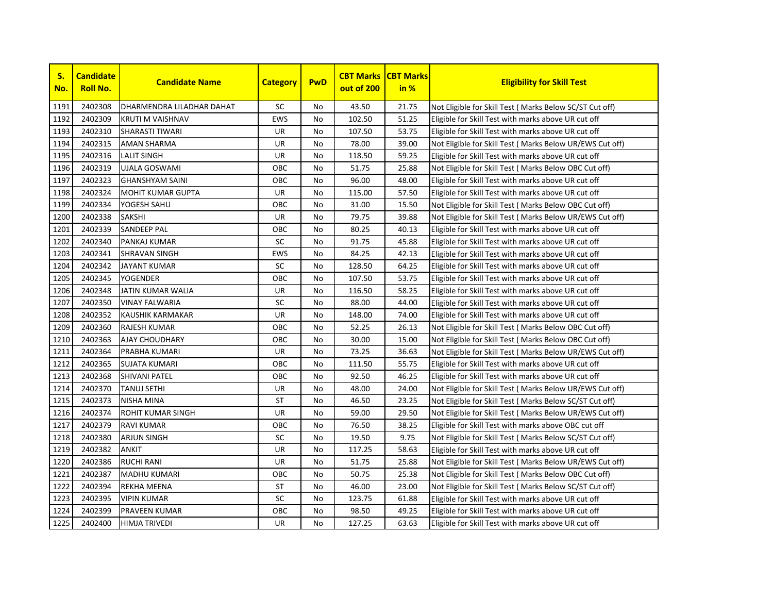

| S.<br>No. | <b>Candidate</b><br><b>Roll No.</b> | <b>Candidate Name</b>     | <b>Category</b> | <b>PwD</b> | <b>CBT Marks</b><br>out of 200 | <b>CBT Marks</b><br>in % | <b>Eligibility for Skill Test</b>                         |
|-----------|-------------------------------------|---------------------------|-----------------|------------|--------------------------------|--------------------------|-----------------------------------------------------------|
| 1191      | 2402308                             | DHARMENDRA LILADHAR DAHAT | <b>SC</b>       | No         | 43.50                          | 21.75                    | Not Eligible for Skill Test ( Marks Below SC/ST Cut off)  |
| 1192      | 2402309                             | KRUTI M VAISHNAV          | <b>EWS</b>      | No         | 102.50                         | 51.25                    | Eligible for Skill Test with marks above UR cut off       |
| 1193      | 2402310                             | <b>SHARASTI TIWARI</b>    | UR              | No         | 107.50                         | 53.75                    | Eligible for Skill Test with marks above UR cut off       |
| 1194      | 2402315                             | <b>AMAN SHARMA</b>        | UR              | No         | 78.00                          | 39.00                    | Not Eligible for Skill Test ( Marks Below UR/EWS Cut off) |
| 1195      | 2402316                             | <b>LALIT SINGH</b>        | UR              | No         | 118.50                         | 59.25                    | Eligible for Skill Test with marks above UR cut off       |
| 1196      | 2402319                             | <b>UJALA GOSWAMI</b>      | OBC             | <b>No</b>  | 51.75                          | 25.88                    | Not Eligible for Skill Test ( Marks Below OBC Cut off)    |
| 1197      | 2402323                             | <b>GHANSHYAM SAINI</b>    | OBC             | <b>No</b>  | 96.00                          | 48.00                    | Eligible for Skill Test with marks above UR cut off       |
| 1198      | 2402324                             | <b>MOHIT KUMAR GUPTA</b>  | UR              | No         | 115.00                         | 57.50                    | Eligible for Skill Test with marks above UR cut off       |
| 1199      | 2402334                             | YOGESH SAHU               | OBC             | No         | 31.00                          | 15.50                    | Not Eligible for Skill Test ( Marks Below OBC Cut off)    |
| 1200      | 2402338                             | <b>SAKSHI</b>             | UR              | No         | 79.75                          | 39.88                    | Not Eligible for Skill Test ( Marks Below UR/EWS Cut off) |
| 1201      | 2402339                             | <b>SANDEEP PAL</b>        | OBC             | <b>No</b>  | 80.25                          | 40.13                    | Eligible for Skill Test with marks above UR cut off       |
| 1202      | 2402340                             | <b>PANKAJ KUMAR</b>       | <b>SC</b>       | <b>No</b>  | 91.75                          | 45.88                    | Eligible for Skill Test with marks above UR cut off       |
| 1203      | 2402341                             | <b>SHRAVAN SINGH</b>      | <b>EWS</b>      | No         | 84.25                          | 42.13                    | Eligible for Skill Test with marks above UR cut off       |
| 1204      | 2402342                             | <b>JAYANT KUMAR</b>       | SC              | No         | 128.50                         | 64.25                    | Eligible for Skill Test with marks above UR cut off       |
| 1205      | 2402345                             | <b>YOGENDER</b>           | ОВС             | No         | 107.50                         | 53.75                    | Eligible for Skill Test with marks above UR cut off       |
| 1206      | 2402348                             | JATIN KUMAR WALIA         | UR              | <b>No</b>  | 116.50                         | 58.25                    | Eligible for Skill Test with marks above UR cut off       |
| 1207      | 2402350                             | <b>VINAY FALWARIA</b>     | <b>SC</b>       | <b>No</b>  | 88.00                          | 44.00                    | Eligible for Skill Test with marks above UR cut off       |
| 1208      | 2402352                             | KAUSHIK KARMAKAR          | UR              | No         | 148.00                         | 74.00                    | Eligible for Skill Test with marks above UR cut off       |
| 1209      | 2402360                             | <b>RAJESH KUMAR</b>       | ОВС             | No         | 52.25                          | 26.13                    | Not Eligible for Skill Test ( Marks Below OBC Cut off)    |
| 1210      | 2402363                             | <b>AJAY CHOUDHARY</b>     | OBC             | No         | 30.00                          | 15.00                    | Not Eligible for Skill Test ( Marks Below OBC Cut off)    |
| 1211      | 2402364                             | PRABHA KUMARI             | UR              | No         | 73.25                          | 36.63                    | Not Eligible for Skill Test ( Marks Below UR/EWS Cut off) |
| 1212      | 2402365                             | <b>SUJATA KUMARI</b>      | OBC             | No         | 111.50                         | 55.75                    | Eligible for Skill Test with marks above UR cut off       |
| 1213      | 2402368                             | <b>SHIVANI PATEL</b>      | ОВС             | No         | 92.50                          | 46.25                    | Eligible for Skill Test with marks above UR cut off       |
| 1214      | 2402370                             | <b>TANUJ SETHI</b>        | UR              | No         | 48.00                          | 24.00                    | Not Eligible for Skill Test (Marks Below UR/EWS Cut off)  |
| 1215      | 2402373                             | <b>NISHA MINA</b>         | ST              | No         | 46.50                          | 23.25                    | Not Eligible for Skill Test (Marks Below SC/ST Cut off)   |
| 1216      | 2402374                             | <b>ROHIT KUMAR SINGH</b>  | UR              | No         | 59.00                          | 29.50                    | Not Eligible for Skill Test ( Marks Below UR/EWS Cut off) |
| 1217      | 2402379                             | <b>RAVI KUMAR</b>         | OBC             | No         | 76.50                          | 38.25                    | Eligible for Skill Test with marks above OBC cut off      |
| 1218      | 2402380                             | <b>ARJUN SINGH</b>        | <b>SC</b>       | No         | 19.50                          | 9.75                     | Not Eligible for Skill Test ( Marks Below SC/ST Cut off)  |
| 1219      | 2402382                             | <b>ANKIT</b>              | UR              | No         | 117.25                         | 58.63                    | Eligible for Skill Test with marks above UR cut off       |
| 1220      | 2402386                             | <b>RUCHI RANI</b>         | UR              | No         | 51.75                          | 25.88                    | Not Eligible for Skill Test (Marks Below UR/EWS Cut off)  |
| 1221      | 2402387                             | <b>MADHU KUMARI</b>       | ОВС             | No         | 50.75                          | 25.38                    | Not Eligible for Skill Test ( Marks Below OBC Cut off)    |
| 1222      | 2402394                             | <b>REKHA MEENA</b>        | ST              | No         | 46.00                          | 23.00                    | Not Eligible for Skill Test (Marks Below SC/ST Cut off)   |
| 1223      | 2402395                             | <b>VIPIN KUMAR</b>        | <b>SC</b>       | <b>No</b>  | 123.75                         | 61.88                    | Eligible for Skill Test with marks above UR cut off       |
| 1224      | 2402399                             | <b>PRAVEEN KUMAR</b>      | ОВС             | No         | 98.50                          | 49.25                    | Eligible for Skill Test with marks above UR cut off       |
| 1225      | 2402400                             | <b>HIMJA TRIVEDI</b>      | UR              | No         | 127.25                         | 63.63                    | Eligible for Skill Test with marks above UR cut off       |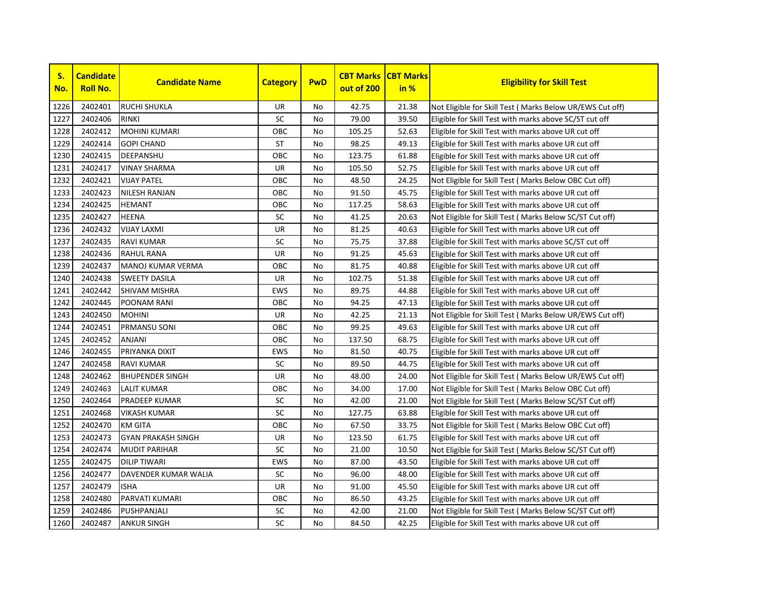

| S.<br>No. | <b>Candidate</b><br><b>Roll No.</b> | <b>Candidate Name</b>     | <b>Category</b> | <b>PwD</b> | <b>CBT Marks</b><br>out of 200 | <b>CBT Marks</b><br>in % | <b>Eligibility for Skill Test</b>                         |
|-----------|-------------------------------------|---------------------------|-----------------|------------|--------------------------------|--------------------------|-----------------------------------------------------------|
| 1226      | 2402401                             | <b>RUCHI SHUKLA</b>       | <b>UR</b>       | No         | 42.75                          | 21.38                    | Not Eligible for Skill Test (Marks Below UR/EWS Cut off)  |
| 1227      | 2402406                             | <b>RINKI</b>              | SC              | No.        | 79.00                          | 39.50                    | Eligible for Skill Test with marks above SC/ST cut off    |
| 1228      | 2402412                             | <b>MOHINI KUMARI</b>      | OBC             | No.        | 105.25                         | 52.63                    | Eligible for Skill Test with marks above UR cut off       |
| 1229      | 2402414                             | <b>GOPI CHAND</b>         | <b>ST</b>       | No.        | 98.25                          | 49.13                    | Eligible for Skill Test with marks above UR cut off       |
| 1230      | 2402415                             | <b>DEEPANSHU</b>          | OBC             | No         | 123.75                         | 61.88                    | Eligible for Skill Test with marks above UR cut off       |
| 1231      | 2402417                             | <b>VINAY SHARMA</b>       | UR              | No         | 105.50                         | 52.75                    | Eligible for Skill Test with marks above UR cut off       |
| 1232      | 2402421                             | <b>VIJAY PATEL</b>        | OBC             | No.        | 48.50                          | 24.25                    | Not Eligible for Skill Test ( Marks Below OBC Cut off)    |
| 1233      | 2402423                             | <b>NILESH RANJAN</b>      | OBC             | No         | 91.50                          | 45.75                    | Eligible for Skill Test with marks above UR cut off       |
| 1234      | 2402425                             | <b>HEMANT</b>             | OBC             | No.        | 117.25                         | 58.63                    | Eligible for Skill Test with marks above UR cut off       |
| 1235      | 2402427                             | <b>HEENA</b>              | SC              | No         | 41.25                          | 20.63                    | Not Eligible for Skill Test (Marks Below SC/ST Cut off)   |
| 1236      | 2402432                             | <b>VIJAY LAXMI</b>        | UR              | No.        | 81.25                          | 40.63                    | Eligible for Skill Test with marks above UR cut off       |
| 1237      | 2402435                             | <b>RAVI KUMAR</b>         | SC              | No         | 75.75                          | 37.88                    | Eligible for Skill Test with marks above SC/ST cut off    |
| 1238      | 2402436                             | <b>RAHUL RANA</b>         | UR              | No         | 91.25                          | 45.63                    | Eligible for Skill Test with marks above UR cut off       |
| 1239      | 2402437                             | <b>MANOJ KUMAR VERMA</b>  | OBC             | No         | 81.75                          | 40.88                    | Eligible for Skill Test with marks above UR cut off       |
| 1240      | 2402438                             | <b>SWEETY DASILA</b>      | UR              | No         | 102.75                         | 51.38                    | Eligible for Skill Test with marks above UR cut off       |
| 1241      | 2402442                             | <b>SHIVAM MISHRA</b>      | <b>EWS</b>      | No.        | 89.75                          | 44.88                    | Eligible for Skill Test with marks above UR cut off       |
| 1242      | 2402445                             | <b>POONAM RANI</b>        | OBC             | No.        | 94.25                          | 47.13                    | Eligible for Skill Test with marks above UR cut off       |
| 1243      | 2402450                             | <b>MOHINI</b>             | UR              | <b>No</b>  | 42.25                          | 21.13                    | Not Eligible for Skill Test ( Marks Below UR/EWS Cut off) |
| 1244      | 2402451                             | <b>PRMANSU SONI</b>       | OBC             | No         | 99.25                          | 49.63                    | Eligible for Skill Test with marks above UR cut off       |
| 1245      | 2402452                             | <b>ANJANI</b>             | OBC             | No         | 137.50                         | 68.75                    | Eligible for Skill Test with marks above UR cut off       |
| 1246      | 2402455                             | PRIYANKA DIXIT            | EWS             | No         | 81.50                          | 40.75                    | Eligible for Skill Test with marks above UR cut off       |
| 1247      | 2402458                             | <b>RAVI KUMAR</b>         | SC              | No         | 89.50                          | 44.75                    | Eligible for Skill Test with marks above UR cut off       |
| 1248      | 2402462                             | <b>BHUPENDER SINGH</b>    | UR              | No         | 48.00                          | 24.00                    | Not Eligible for Skill Test (Marks Below UR/EWS Cut off)  |
| 1249      | 2402463                             | <b>LALIT KUMAR</b>        | OBC             | No         | 34.00                          | 17.00                    | Not Eligible for Skill Test (Marks Below OBC Cut off)     |
| 1250      | 2402464                             | <b>PRADEEP KUMAR</b>      | SC              | No.        | 42.00                          | 21.00                    | Not Eligible for Skill Test (Marks Below SC/ST Cut off)   |
| 1251      | 2402468                             | <b>VIKASH KUMAR</b>       | ${\sf SC}$      | No         | 127.75                         | 63.88                    | Eligible for Skill Test with marks above UR cut off       |
| 1252      | 2402470                             | <b>KM GITA</b>            | OBC             | No         | 67.50                          | 33.75                    | Not Eligible for Skill Test (Marks Below OBC Cut off)     |
| 1253      | 2402473                             | <b>GYAN PRAKASH SINGH</b> | UR              | No         | 123.50                         | 61.75                    | Eligible for Skill Test with marks above UR cut off       |
| 1254      | 2402474                             | <b>MUDIT PARIHAR</b>      | <b>SC</b>       | No         | 21.00                          | 10.50                    | Not Eligible for Skill Test (Marks Below SC/ST Cut off)   |
| 1255      | 2402475                             | <b>DILIP TIWARI</b>       | <b>EWS</b>      | No         | 87.00                          | 43.50                    | Eligible for Skill Test with marks above UR cut off       |
| 1256      | 2402477                             | DAVENDER KUMAR WALIA      | SC              | No.        | 96.00                          | 48.00                    | Eligible for Skill Test with marks above UR cut off       |
| 1257      | 2402479                             | <b>ISHA</b>               | UR              | No         | 91.00                          | 45.50                    | Eligible for Skill Test with marks above UR cut off       |
| 1258      | 2402480                             | PARVATI KUMARI            | OBC             | No         | 86.50                          | 43.25                    | Eligible for Skill Test with marks above UR cut off       |
| 1259      | 2402486                             | PUSHPANJALI               | <b>SC</b>       | No         | 42.00                          | 21.00                    | Not Eligible for Skill Test (Marks Below SC/ST Cut off)   |
| 1260      | 2402487                             | <b>ANKUR SINGH</b>        | SC              | No         | 84.50                          | 42.25                    | Eligible for Skill Test with marks above UR cut off       |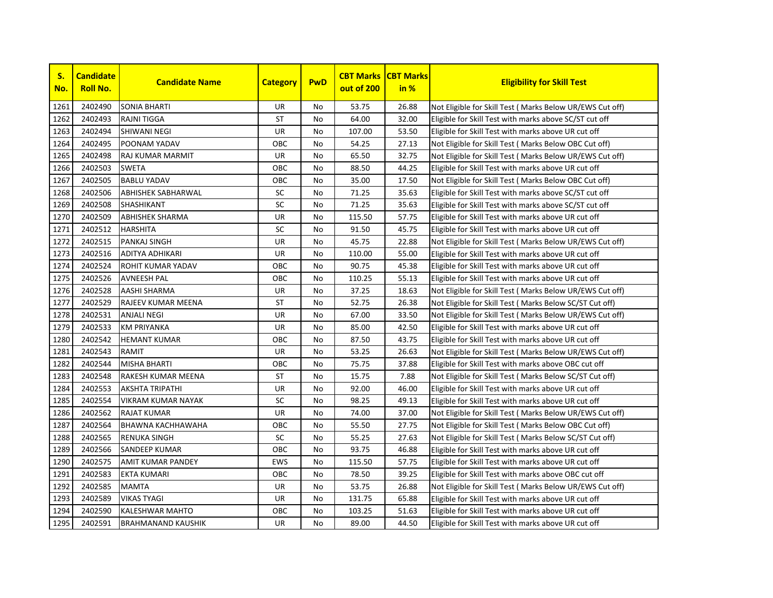

| S.<br>No. | <b>Candidate</b><br><b>Roll No.</b> | <b>Candidate Name</b>     | <b>Category</b> | <b>PwD</b> | <b>CBT Marks</b><br>out of 200 | <b>CBT Marks</b><br>in % | <b>Eligibility for Skill Test</b>                         |
|-----------|-------------------------------------|---------------------------|-----------------|------------|--------------------------------|--------------------------|-----------------------------------------------------------|
| 1261      | 2402490                             | <b>SONIA BHARTI</b>       | UR              | No         | 53.75                          | 26.88                    | Not Eligible for Skill Test (Marks Below UR/EWS Cut off)  |
| 1262      | 2402493                             | <b>RAJNI TIGGA</b>        | <b>ST</b>       | No.        | 64.00                          | 32.00                    | Eligible for Skill Test with marks above SC/ST cut off    |
| 1263      | 2402494                             | <b>SHIWANI NEGI</b>       | UR              | No         | 107.00                         | 53.50                    | Eligible for Skill Test with marks above UR cut off       |
| 1264      | 2402495                             | POONAM YADAV              | OBC             | No         | 54.25                          | 27.13                    | Not Eligible for Skill Test (Marks Below OBC Cut off)     |
| 1265      | 2402498                             | <b>RAJ KUMAR MARMIT</b>   | UR              | No         | 65.50                          | 32.75                    | Not Eligible for Skill Test ( Marks Below UR/EWS Cut off) |
| 1266      | 2402503                             | <b>SWETA</b>              | OBC             | No.        | 88.50                          | 44.25                    | Eligible for Skill Test with marks above UR cut off       |
| 1267      | 2402505                             | <b>BABLU YADAV</b>        | OBC             | No.        | 35.00                          | 17.50                    | Not Eligible for Skill Test ( Marks Below OBC Cut off)    |
| 1268      | 2402506                             | <b>ABHISHEK SABHARWAL</b> | <b>SC</b>       | <b>No</b>  | 71.25                          | 35.63                    | Eligible for Skill Test with marks above SC/ST cut off    |
| 1269      | 2402508                             | <b>SHASHIKANT</b>         | SC              | No         | 71.25                          | 35.63                    | Eligible for Skill Test with marks above SC/ST cut off    |
| 1270      | 2402509                             | <b>ABHISHEK SHARMA</b>    | UR              | No         | 115.50                         | 57.75                    | Eligible for Skill Test with marks above UR cut off       |
| 1271      | 2402512                             | <b>HARSHITA</b>           | SC              | No.        | 91.50                          | 45.75                    | Eligible for Skill Test with marks above UR cut off       |
| 1272      | 2402515                             | PANKAJ SINGH              | UR              | No.        | 45.75                          | 22.88                    | Not Eligible for Skill Test ( Marks Below UR/EWS Cut off) |
| 1273      | 2402516                             | <b>ADITYA ADHIKARI</b>    | UR              | No         | 110.00                         | 55.00                    | Eligible for Skill Test with marks above UR cut off       |
| 1274      | 2402524                             | <b>ROHIT KUMAR YADAV</b>  | OBC             | No.        | 90.75                          | 45.38                    | Eligible for Skill Test with marks above UR cut off       |
| 1275      | 2402526                             | <b>AVNEESH PAL</b>        | OBC             | No         | 110.25                         | 55.13                    | Eligible for Skill Test with marks above UR cut off       |
| 1276      | 2402528                             | <b>AASHI SHARMA</b>       | UR              | No         | 37.25                          | 18.63                    | Not Eligible for Skill Test ( Marks Below UR/EWS Cut off) |
| 1277      | 2402529                             | RAJEEV KUMAR MEENA        | <b>ST</b>       | No         | 52.75                          | 26.38                    | Not Eligible for Skill Test (Marks Below SC/ST Cut off)   |
| 1278      | 2402531                             | <b>ANJALI NEGI</b>        | UR              | No         | 67.00                          | 33.50                    | Not Eligible for Skill Test ( Marks Below UR/EWS Cut off) |
| 1279      | 2402533                             | <b>KM PRIYANKA</b>        | UR              | No.        | 85.00                          | 42.50                    | Eligible for Skill Test with marks above UR cut off       |
| 1280      | 2402542                             | <b>HEMANT KUMAR</b>       | OBC             | No.        | 87.50                          | 43.75                    | Eligible for Skill Test with marks above UR cut off       |
| 1281      | 2402543                             | <b>RAMIT</b>              | UR              | No         | 53.25                          | 26.63                    | Not Eligible for Skill Test ( Marks Below UR/EWS Cut off) |
| 1282      | 2402544                             | <b>MISHA BHARTI</b>       | OBC             | No         | 75.75                          | 37.88                    | Eligible for Skill Test with marks above OBC cut off      |
| 1283      | 2402548                             | RAKESH KUMAR MEENA        | ST              | No         | 15.75                          | 7.88                     | Not Eligible for Skill Test (Marks Below SC/ST Cut off)   |
| 1284      | 2402553                             | <b>AKSHTA TRIPATHI</b>    | UR              | No         | 92.00                          | 46.00                    | Eligible for Skill Test with marks above UR cut off       |
| 1285      | 2402554                             | <b>VIKRAM KUMAR NAYAK</b> | SC              | No.        | 98.25                          | 49.13                    | Eligible for Skill Test with marks above UR cut off       |
| 1286      | 2402562                             | <b>RAJAT KUMAR</b>        | UR              | No         | 74.00                          | 37.00                    | Not Eligible for Skill Test (Marks Below UR/EWS Cut off)  |
| 1287      | 2402564                             | <b>BHAWNA KACHHAWAHA</b>  | OBC             | No.        | 55.50                          | 27.75                    | Not Eligible for Skill Test (Marks Below OBC Cut off)     |
| 1288      | 2402565                             | <b>RENUKA SINGH</b>       | SC              | No         | 55.25                          | 27.63                    | Not Eligible for Skill Test ( Marks Below SC/ST Cut off)  |
| 1289      | 2402566                             | <b>SANDEEP KUMAR</b>      | OBC             | No         | 93.75                          | 46.88                    | Eligible for Skill Test with marks above UR cut off       |
| 1290      | 2402575                             | <b>AMIT KUMAR PANDEY</b>  | <b>EWS</b>      | No.        | 115.50                         | 57.75                    | Eligible for Skill Test with marks above UR cut off       |
| 1291      | 2402583                             | <b>EKTA KUMARI</b>        | OBC             | No         | 78.50                          | 39.25                    | Eligible for Skill Test with marks above OBC cut off      |
| 1292      | 2402585                             | <b>MAMTA</b>              | <b>UR</b>       | No         | 53.75                          | 26.88                    | Not Eligible for Skill Test (Marks Below UR/EWS Cut off)  |
| 1293      | 2402589                             | <b>VIKAS TYAGI</b>        | <b>UR</b>       | No         | 131.75                         | 65.88                    | Eligible for Skill Test with marks above UR cut off       |
| 1294      | 2402590                             | <b>KALESHWAR MAHTO</b>    | OBC             | No         | 103.25                         | 51.63                    | Eligible for Skill Test with marks above UR cut off       |
| 1295      | 2402591                             | <b>BRAHMANAND KAUSHIK</b> | UR              | No         | 89.00                          | 44.50                    | Eligible for Skill Test with marks above UR cut off       |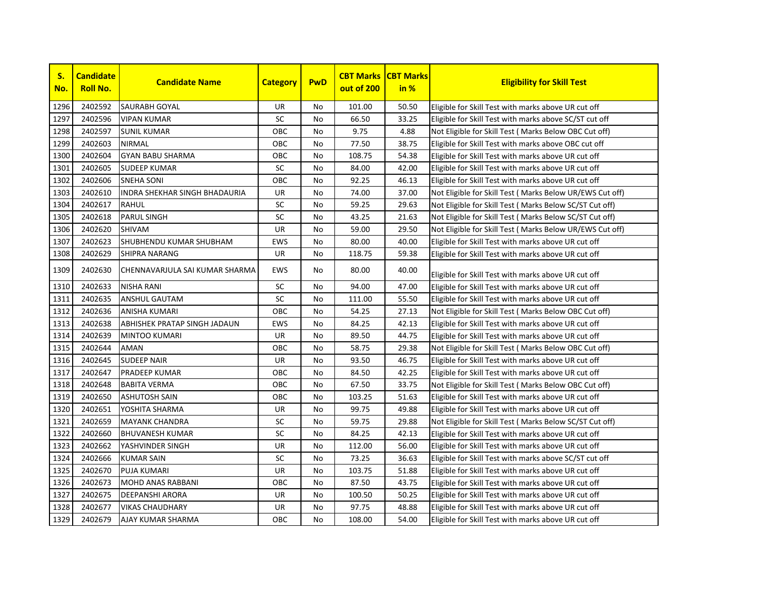

| S.<br>No. | <b>Candidate</b><br><b>Roll No.</b> | <b>Candidate Name</b>                | <b>Category</b> | <b>PwD</b> | <b>CBT Marks</b><br>out of 200 | <b>CBT Marks</b><br>in % | <b>Eligibility for Skill Test</b>                         |
|-----------|-------------------------------------|--------------------------------------|-----------------|------------|--------------------------------|--------------------------|-----------------------------------------------------------|
| 1296      | 2402592                             | <b>SAURABH GOYAL</b>                 | UR              | <b>No</b>  | 101.00                         | 50.50                    | Eligible for Skill Test with marks above UR cut off       |
| 1297      | 2402596                             | <b>VIPAN KUMAR</b>                   | SC              | No         | 66.50                          | 33.25                    | Eligible for Skill Test with marks above SC/ST cut off    |
| 1298      | 2402597                             | <b>SUNIL KUMAR</b>                   | ОВС             | No         | 9.75                           | 4.88                     | Not Eligible for Skill Test (Marks Below OBC Cut off)     |
| 1299      | 2402603                             | <b>NIRMAL</b>                        | ОВС             | No         | 77.50                          | 38.75                    | Eligible for Skill Test with marks above OBC cut off      |
| 1300      | 2402604                             | <b>GYAN BABU SHARMA</b>              | OBC             | No         | 108.75                         | 54.38                    | Eligible for Skill Test with marks above UR cut off       |
| 1301      | 2402605                             | <b>SUDEEP KUMAR</b>                  | SC              | No         | 84.00                          | 42.00                    | Eligible for Skill Test with marks above UR cut off       |
| 1302      | 2402606                             | <b>SNEHA SONI</b>                    | OBC             | No         | 92.25                          | 46.13                    | Eligible for Skill Test with marks above UR cut off       |
| 1303      | 2402610                             | <b>INDRA SHEKHAR SINGH BHADAURIA</b> | UR              | <b>No</b>  | 74.00                          | 37.00                    | Not Eligible for Skill Test ( Marks Below UR/EWS Cut off) |
| 1304      | 2402617                             | <b>RAHUL</b>                         | SC              | <b>No</b>  | 59.25                          | 29.63                    | Not Eligible for Skill Test ( Marks Below SC/ST Cut off)  |
| 1305      | 2402618                             | <b>PARUL SINGH</b>                   | <b>SC</b>       | <b>No</b>  | 43.25                          | 21.63                    | Not Eligible for Skill Test ( Marks Below SC/ST Cut off)  |
| 1306      | 2402620                             | <b>SHIVAM</b>                        | UR              | <b>No</b>  | 59.00                          | 29.50                    | Not Eligible for Skill Test ( Marks Below UR/EWS Cut off) |
| 1307      | 2402623                             | SHUBHENDU KUMAR SHUBHAM              | <b>EWS</b>      | No         | 80.00                          | 40.00                    | Eligible for Skill Test with marks above UR cut off       |
| 1308      | 2402629                             | <b>SHIPRA NARANG</b>                 | UR              | No         | 118.75                         | 59.38                    | Eligible for Skill Test with marks above UR cut off       |
| 1309      | 2402630                             | CHENNAVARJULA SAI KUMAR SHARMA       | <b>EWS</b>      | No.        | 80.00                          | 40.00                    | Eligible for Skill Test with marks above UR cut off       |
| 1310      | 2402633                             | <b>NISHA RANI</b>                    | SC              | No         | 94.00                          | 47.00                    | Eligible for Skill Test with marks above UR cut off       |
| 1311      | 2402635                             | <b>ANSHUL GAUTAM</b>                 | SC              | No         | 111.00                         | 55.50                    | Eligible for Skill Test with marks above UR cut off       |
| 1312      | 2402636                             | <b>ANISHA KUMARI</b>                 | ОВС             | No         | 54.25                          | 27.13                    | Not Eligible for Skill Test (Marks Below OBC Cut off)     |
| 1313      | 2402638                             | ABHISHEK PRATAP SINGH JADAUN         | <b>EWS</b>      | No         | 84.25                          | 42.13                    | Eligible for Skill Test with marks above UR cut off       |
| 1314      | 2402639                             | MINTOO KUMARI                        | UR              | <b>No</b>  | 89.50                          | 44.75                    | Eligible for Skill Test with marks above UR cut off       |
| 1315      | 2402644                             | <b>AMAN</b>                          | OBC             | <b>No</b>  | 58.75                          | 29.38                    | Not Eligible for Skill Test (Marks Below OBC Cut off)     |
| 1316      | 2402645                             | <b>SUDEEP NAIR</b>                   | UR              | <b>No</b>  | 93.50                          | 46.75                    | Eligible for Skill Test with marks above UR cut off       |
| 1317      | 2402647                             | <b>PRADEEP KUMAR</b>                 | ОВС             | <b>No</b>  | 84.50                          | 42.25                    | Eligible for Skill Test with marks above UR cut off       |
| 1318      | 2402648                             | <b>BABITA VERMA</b>                  | OBC             | <b>No</b>  | 67.50                          | 33.75                    | Not Eligible for Skill Test ( Marks Below OBC Cut off)    |
| 1319      | 2402650                             | <b>ASHUTOSH SAIN</b>                 | OBC             | No         | 103.25                         | 51.63                    | Eligible for Skill Test with marks above UR cut off       |
| 1320      | 2402651                             | YOSHITA SHARMA                       | UR              | No         | 99.75                          | 49.88                    | Eligible for Skill Test with marks above UR cut off       |
| 1321      | 2402659                             | <b>MAYANK CHANDRA</b>                | SC              | No         | 59.75                          | 29.88                    | Not Eligible for Skill Test (Marks Below SC/ST Cut off)   |
| 1322      | 2402660                             | <b>BHUVANESH KUMAR</b>               | SC              | No         | 84.25                          | 42.13                    | Eligible for Skill Test with marks above UR cut off       |
| 1323      | 2402662                             | YASHVINDER SINGH                     | UR              | No         | 112.00                         | 56.00                    | Eligible for Skill Test with marks above UR cut off       |
| 1324      | 2402666                             | <b>KUMAR SAIN</b>                    | <b>SC</b>       | <b>No</b>  | 73.25                          | 36.63                    | Eligible for Skill Test with marks above SC/ST cut off    |
| 1325      | 2402670                             | <b>PUJA KUMARI</b>                   | UR              | <b>No</b>  | 103.75                         | 51.88                    | Eligible for Skill Test with marks above UR cut off       |
| 1326      | 2402673                             | <b>MOHD ANAS RABBANI</b>             | OBC             | <b>No</b>  | 87.50                          | 43.75                    | Eligible for Skill Test with marks above UR cut off       |
| 1327      | 2402675                             | <b>DEEPANSHI ARORA</b>               | UR              | <b>No</b>  | 100.50                         | 50.25                    | Eligible for Skill Test with marks above UR cut off       |
| 1328      | 2402677                             | <b>VIKAS CHAUDHARY</b>               | UR              | No         | 97.75                          | 48.88                    | Eligible for Skill Test with marks above UR cut off       |
| 1329      | 2402679                             | <b>AJAY KUMAR SHARMA</b>             | ОВС             | No         | 108.00                         | 54.00                    | Eligible for Skill Test with marks above UR cut off       |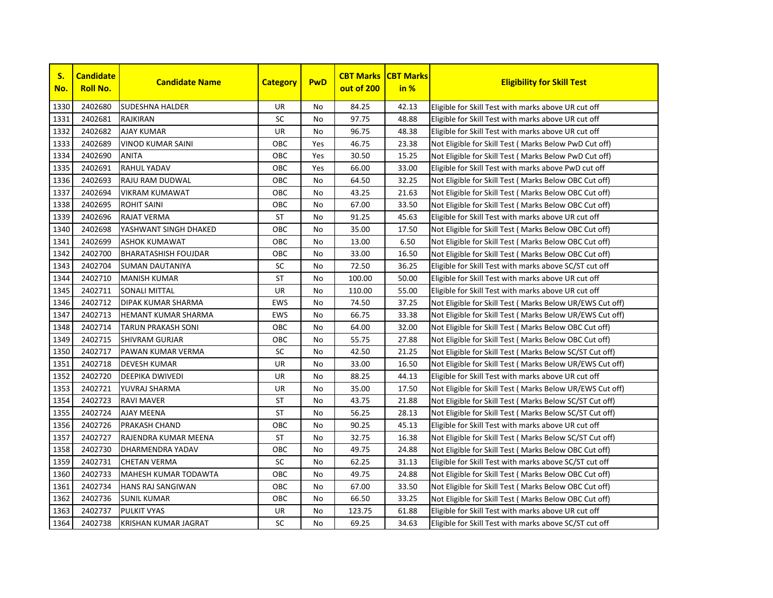

| S.<br>No. | <b>Candidate</b><br><b>Roll No.</b> | <b>Candidate Name</b>       | <b>Category</b> | <b>PwD</b> | <b>CBT Marks</b><br>out of 200 | <b>CBT Marks</b><br>in % | <b>Eligibility for Skill Test</b>                         |
|-----------|-------------------------------------|-----------------------------|-----------------|------------|--------------------------------|--------------------------|-----------------------------------------------------------|
| 1330      | 2402680                             | <b>SUDESHNA HALDER</b>      | UR              | No         | 84.25                          | 42.13                    | Eligible for Skill Test with marks above UR cut off       |
| 1331      | 2402681                             | <b>RAJKIRAN</b>             | SC              | <b>No</b>  | 97.75                          | 48.88                    | Eligible for Skill Test with marks above UR cut off       |
| 1332      | 2402682                             | <b>AJAY KUMAR</b>           | UR              | <b>No</b>  | 96.75                          | 48.38                    | Eligible for Skill Test with marks above UR cut off       |
| 1333      | 2402689                             | <b>VINOD KUMAR SAINI</b>    | ОВС             | Yes        | 46.75                          | 23.38                    | Not Eligible for Skill Test (Marks Below PwD Cut off)     |
| 1334      | 2402690                             | <b>ANITA</b>                | OBC             | Yes        | 30.50                          | 15.25                    | Not Eligible for Skill Test (Marks Below PwD Cut off)     |
| 1335      | 2402691                             | RAHUL YADAV                 | OBC             | Yes        | 66.00                          | 33.00                    | Eligible for Skill Test with marks above PwD cut off      |
| 1336      | 2402693                             | RAJU RAM DUDWAL             | OBC             | No         | 64.50                          | 32.25                    | Not Eligible for Skill Test ( Marks Below OBC Cut off)    |
| 1337      | 2402694                             | <b>VIKRAM KUMAWAT</b>       | OBC             | No         | 43.25                          | 21.63                    | Not Eligible for Skill Test ( Marks Below OBC Cut off)    |
| 1338      | 2402695                             | <b>ROHIT SAINI</b>          | OBC             | No         | 67.00                          | 33.50                    | Not Eligible for Skill Test ( Marks Below OBC Cut off)    |
| 1339      | 2402696                             | RAJAT VERMA                 | ST              | No         | 91.25                          | 45.63                    | Eligible for Skill Test with marks above UR cut off       |
| 1340      | 2402698                             | YASHWANT SINGH DHAKED       | OBC             | No         | 35.00                          | 17.50                    | Not Eligible for Skill Test (Marks Below OBC Cut off)     |
| 1341      | 2402699                             | <b>ASHOK KUMAWAT</b>        | OBC             | <b>No</b>  | 13.00                          | 6.50                     | Not Eligible for Skill Test (Marks Below OBC Cut off)     |
| 1342      | 2402700                             | <b>BHARATASHISH FOUJDAR</b> | OBC             | No         | 33.00                          | 16.50                    | Not Eligible for Skill Test (Marks Below OBC Cut off)     |
| 1343      | 2402704                             | <b>SUMAN DAUTANIYA</b>      | SC              | <b>No</b>  | 72.50                          | 36.25                    | Eligible for Skill Test with marks above SC/ST cut off    |
| 1344      | 2402710                             | <b>MANISH KUMAR</b>         | ST              | No         | 100.00                         | 50.00                    | Eligible for Skill Test with marks above UR cut off       |
| 1345      | 2402711                             | <b>SONALI MITTAL</b>        | UR              | No         | 110.00                         | 55.00                    | Eligible for Skill Test with marks above UR cut off       |
| 1346      | 2402712                             | <b>DIPAK KUMAR SHARMA</b>   | <b>EWS</b>      | No         | 74.50                          | 37.25                    | Not Eligible for Skill Test ( Marks Below UR/EWS Cut off) |
| 1347      | 2402713                             | <b>HEMANT KUMAR SHARMA</b>  | <b>EWS</b>      | No         | 66.75                          | 33.38                    | Not Eligible for Skill Test (Marks Below UR/EWS Cut off)  |
| 1348      | 2402714                             | <b>TARUN PRAKASH SONI</b>   | OBC             | <b>No</b>  | 64.00                          | 32.00                    | Not Eligible for Skill Test ( Marks Below OBC Cut off)    |
| 1349      | 2402715                             | <b>SHIVRAM GURJAR</b>       | OBC             | No         | 55.75                          | 27.88                    | Not Eligible for Skill Test ( Marks Below OBC Cut off)    |
| 1350      | 2402717                             | PAWAN KUMAR VERMA           | SC              | <b>No</b>  | 42.50                          | 21.25                    | Not Eligible for Skill Test (Marks Below SC/ST Cut off)   |
| 1351      | 2402718                             | <b>DEVESH KUMAR</b>         | UR              | <b>No</b>  | 33.00                          | 16.50                    | Not Eligible for Skill Test (Marks Below UR/EWS Cut off)  |
| 1352      | 2402720                             | <b>DEEPIKA DWIVEDI</b>      | UR              | No         | 88.25                          | 44.13                    | Eligible for Skill Test with marks above UR cut off       |
| 1353      | 2402721                             | YUVRAJ SHARMA               | UR              | No         | 35.00                          | 17.50                    | Not Eligible for Skill Test ( Marks Below UR/EWS Cut off) |
| 1354      | 2402723                             | <b>RAVI MAVER</b>           | ST              | No         | 43.75                          | 21.88                    | Not Eligible for Skill Test (Marks Below SC/ST Cut off)   |
| 1355      | 2402724                             | <b>AJAY MEENA</b>           | <b>ST</b>       | No         | 56.25                          | 28.13                    | Not Eligible for Skill Test (Marks Below SC/ST Cut off)   |
| 1356      | 2402726                             | PRAKASH CHAND               | ОВС             | No         | 90.25                          | 45.13                    | Eligible for Skill Test with marks above UR cut off       |
| 1357      | 2402727                             | RAJENDRA KUMAR MEENA        | ST              | No         | 32.75                          | 16.38                    | Not Eligible for Skill Test (Marks Below SC/ST Cut off)   |
| 1358      | 2402730                             | DHARMENDRA YADAV            | OBC             | <b>No</b>  | 49.75                          | 24.88                    | Not Eligible for Skill Test ( Marks Below OBC Cut off)    |
| 1359      | 2402731                             | <b>CHETAN VERMA</b>         | <b>SC</b>       | <b>No</b>  | 62.25                          | 31.13                    | Eligible for Skill Test with marks above SC/ST cut off    |
| 1360      | 2402733                             | <b>MAHESH KUMAR TODAWTA</b> | OBC             | <b>No</b>  | 49.75                          | 24.88                    | Not Eligible for Skill Test (Marks Below OBC Cut off)     |
| 1361      | 2402734                             | <b>HANS RAJ SANGIWAN</b>    | OBC             | No         | 67.00                          | 33.50                    | Not Eligible for Skill Test ( Marks Below OBC Cut off)    |
| 1362      | 2402736                             | <b>SUNIL KUMAR</b>          | OBC             | No         | 66.50                          | 33.25                    | Not Eligible for Skill Test ( Marks Below OBC Cut off)    |
| 1363      | 2402737                             | <b>PULKIT VYAS</b>          | UR              | No         | 123.75                         | 61.88                    | Eligible for Skill Test with marks above UR cut off       |
| 1364      | 2402738                             | <b>KRISHAN KUMAR JAGRAT</b> | <b>SC</b>       | <b>No</b>  | 69.25                          | 34.63                    | Eligible for Skill Test with marks above SC/ST cut off    |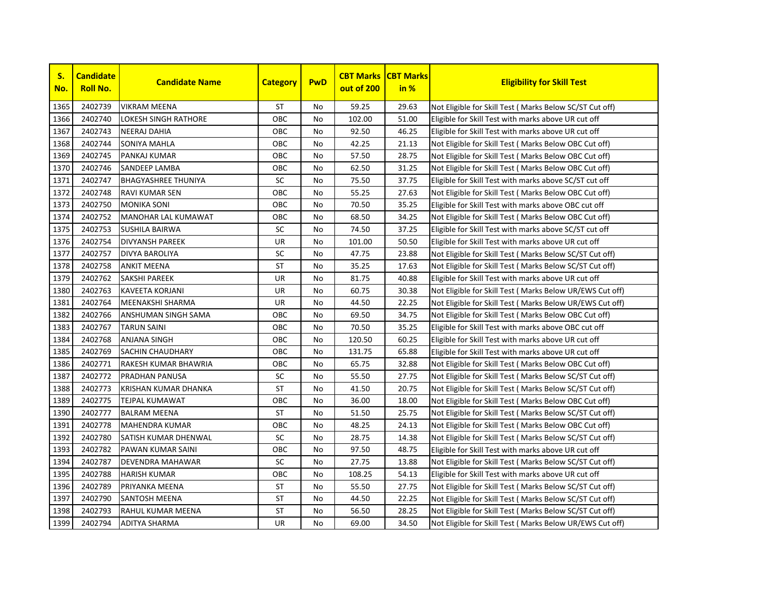

| S.<br>No. | <b>Candidate</b><br><b>Roll No.</b> | <b>Candidate Name</b>       | <b>Category</b> | <b>PwD</b> | <b>CBT Marks</b><br>out of 200 | <b>CBT Marks</b><br>in % | <b>Eligibility for Skill Test</b>                         |
|-----------|-------------------------------------|-----------------------------|-----------------|------------|--------------------------------|--------------------------|-----------------------------------------------------------|
| 1365      | 2402739                             | <b>VIKRAM MEENA</b>         | <b>ST</b>       | No         | 59.25                          | 29.63                    | Not Eligible for Skill Test (Marks Below SC/ST Cut off)   |
| 1366      | 2402740                             | <b>LOKESH SINGH RATHORE</b> | OBC             | No         | 102.00                         | 51.00                    | Eligible for Skill Test with marks above UR cut off       |
| 1367      | 2402743                             | <b>NEERAJ DAHIA</b>         | OBC             | <b>No</b>  | 92.50                          | 46.25                    | Eligible for Skill Test with marks above UR cut off       |
| 1368      | 2402744                             | <b>SONIYA MAHLA</b>         | OBC             | <b>No</b>  | 42.25                          | 21.13                    | Not Eligible for Skill Test (Marks Below OBC Cut off)     |
| 1369      | 2402745                             | <b>PANKAJ KUMAR</b>         | OBC             | <b>No</b>  | 57.50                          | 28.75                    | Not Eligible for Skill Test (Marks Below OBC Cut off)     |
| 1370      | 2402746                             | <b>SANDEEP LAMBA</b>        | OBC             | No         | 62.50                          | 31.25                    | Not Eligible for Skill Test (Marks Below OBC Cut off)     |
| 1371      | 2402747                             | <b>BHAGYASHREE THUNIYA</b>  | SC              | No         | 75.50                          | 37.75                    | Eligible for Skill Test with marks above SC/ST cut off    |
| 1372      | 2402748                             | <b>RAVI KUMAR SEN</b>       | OBC             | No         | 55.25                          | 27.63                    | Not Eligible for Skill Test ( Marks Below OBC Cut off)    |
| 1373      | 2402750                             | <b>MONIKA SONI</b>          | OBC             | No         | 70.50                          | 35.25                    | Eligible for Skill Test with marks above OBC cut off      |
| 1374      | 2402752                             | <b>MANOHAR LAL KUMAWAT</b>  | OBC             | No         | 68.50                          | 34.25                    | Not Eligible for Skill Test ( Marks Below OBC Cut off)    |
| 1375      | 2402753                             | <b>SUSHILA BAIRWA</b>       | <b>SC</b>       | No         | 74.50                          | 37.25                    | Eligible for Skill Test with marks above SC/ST cut off    |
| 1376      | 2402754                             | <b>DIVYANSH PAREEK</b>      | UR              | <b>No</b>  | 101.00                         | 50.50                    | Eligible for Skill Test with marks above UR cut off       |
| 1377      | 2402757                             | <b>DIVYA BAROLIYA</b>       | SC              | No         | 47.75                          | 23.88                    | Not Eligible for Skill Test (Marks Below SC/ST Cut off)   |
| 1378      | 2402758                             | <b>ANKIT MEENA</b>          | <b>ST</b>       | <b>No</b>  | 35.25                          | 17.63                    | Not Eligible for Skill Test (Marks Below SC/ST Cut off)   |
| 1379      | 2402762                             | <b>SAKSHI PAREEK</b>        | UR              | No         | 81.75                          | 40.88                    | Eligible for Skill Test with marks above UR cut off       |
| 1380      | 2402763                             | <b>KAVEETA KORJANI</b>      | UR              | No         | 60.75                          | 30.38                    | Not Eligible for Skill Test ( Marks Below UR/EWS Cut off) |
| 1381      | 2402764                             | <b>MEENAKSHI SHARMA</b>     | UR              | No         | 44.50                          | 22.25                    | Not Eligible for Skill Test ( Marks Below UR/EWS Cut off) |
| 1382      | 2402766                             | ANSHUMAN SINGH SAMA         | OBC             | No         | 69.50                          | 34.75                    | Not Eligible for Skill Test ( Marks Below OBC Cut off)    |
| 1383      | 2402767                             | <b>TARUN SAINI</b>          | <b>OBC</b>      | No         | 70.50                          | 35.25                    | Eligible for Skill Test with marks above OBC cut off      |
| 1384      | 2402768                             | <b>ANJANA SINGH</b>         | OBC             | No         | 120.50                         | 60.25                    | Eligible for Skill Test with marks above UR cut off       |
| 1385      | 2402769                             | <b>SACHIN CHAUDHARY</b>     | OBC             | <b>No</b>  | 131.75                         | 65.88                    | Eligible for Skill Test with marks above UR cut off       |
| 1386      | 2402771                             | RAKESH KUMAR BHAWRIA        | OBC             | <b>No</b>  | 65.75                          | 32.88                    | Not Eligible for Skill Test ( Marks Below OBC Cut off)    |
| 1387      | 2402772                             | <b>PRADHAN PANUSA</b>       | SC              | No         | 55.50                          | 27.75                    | Not Eligible for Skill Test ( Marks Below SC/ST Cut off)  |
| 1388      | 2402773                             | <b>KRISHAN KUMAR DHANKA</b> | ST              | No         | 41.50                          | 20.75                    | Not Eligible for Skill Test (Marks Below SC/ST Cut off)   |
| 1389      | 2402775                             | <b>TEJPAL KUMAWAT</b>       | OBC             | No         | 36.00                          | 18.00                    | Not Eligible for Skill Test (Marks Below OBC Cut off)     |
| 1390      | 2402777                             | <b>BALRAM MEENA</b>         | ST              | No         | 51.50                          | 25.75                    | Not Eligible for Skill Test (Marks Below SC/ST Cut off)   |
| 1391      | 2402778                             | MAHENDRA KUMAR              | OBC             | No         | 48.25                          | 24.13                    | Not Eligible for Skill Test ( Marks Below OBC Cut off)    |
| 1392      | 2402780                             | SATISH KUMAR DHENWAL        | SC              | No         | 28.75                          | 14.38                    | Not Eligible for Skill Test (Marks Below SC/ST Cut off)   |
| 1393      | 2402782                             | PAWAN KUMAR SAINI           | OBC             | <b>No</b>  | 97.50                          | 48.75                    | Eligible for Skill Test with marks above UR cut off       |
| 1394      | 2402787                             | <b>DEVENDRA MAHAWAR</b>     | <b>SC</b>       | <b>No</b>  | 27.75                          | 13.88                    | Not Eligible for Skill Test ( Marks Below SC/ST Cut off)  |
| 1395      | 2402788                             | <b>HARISH KUMAR</b>         | OBC             | <b>No</b>  | 108.25                         | 54.13                    | Eligible for Skill Test with marks above UR cut off       |
| 1396      | 2402789                             | PRIYANKA MEENA              | <b>ST</b>       | No         | 55.50                          | 27.75                    | Not Eligible for Skill Test ( Marks Below SC/ST Cut off)  |
| 1397      | 2402790                             | <b>SANTOSH MEENA</b>        | ST              | No         | 44.50                          | 22.25                    | Not Eligible for Skill Test (Marks Below SC/ST Cut off)   |
| 1398      | 2402793                             | RAHUL KUMAR MEENA           | ST              | No         | 56.50                          | 28.25                    | Not Eligible for Skill Test (Marks Below SC/ST Cut off)   |
| 1399      | 2402794                             | <b>ADITYA SHARMA</b>        | <b>UR</b>       | No         | 69.00                          | 34.50                    | Not Eligible for Skill Test (Marks Below UR/EWS Cut off)  |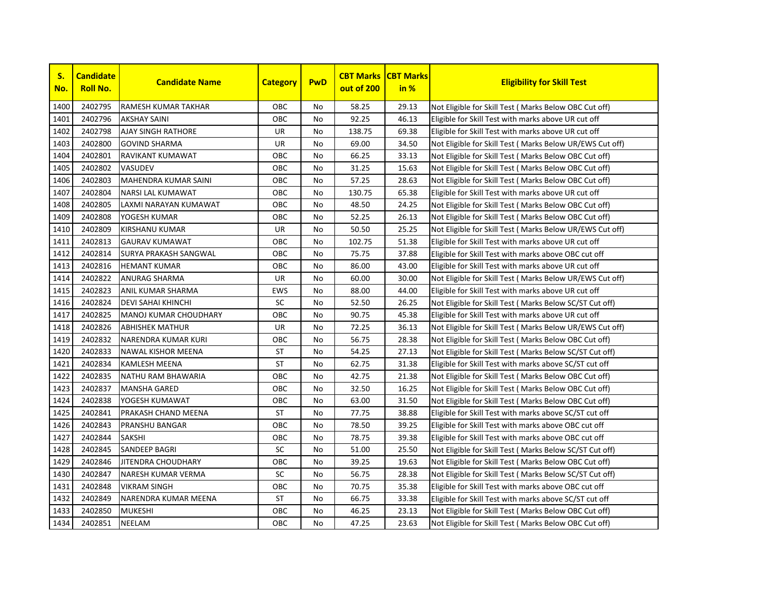

| S.<br>No. | <b>Candidate</b><br><b>Roll No.</b> | <b>Candidate Name</b>        | <b>Category</b> | <b>PwD</b> | <b>CBT Marks</b><br>out of 200 | <b>CBT Marks</b><br>in % | <b>Eligibility for Skill Test</b>                         |
|-----------|-------------------------------------|------------------------------|-----------------|------------|--------------------------------|--------------------------|-----------------------------------------------------------|
| 1400      | 2402795                             | <b>RAMESH KUMAR TAKHAR</b>   | OBC             | <b>No</b>  | 58.25                          | 29.13                    | Not Eligible for Skill Test (Marks Below OBC Cut off)     |
| 1401      | 2402796                             | <b>AKSHAY SAINI</b>          | OBC             | <b>No</b>  | 92.25                          | 46.13                    | Eligible for Skill Test with marks above UR cut off       |
| 1402      | 2402798                             | <b>AJAY SINGH RATHORE</b>    | UR              | No         | 138.75                         | 69.38                    | Eligible for Skill Test with marks above UR cut off       |
| 1403      | 2402800                             | <b>GOVIND SHARMA</b>         | UR              | No         | 69.00                          | 34.50                    | Not Eligible for Skill Test (Marks Below UR/EWS Cut off)  |
| 1404      | 2402801                             | <b>RAVIKANT KUMAWAT</b>      | OBC             | <b>No</b>  | 66.25                          | 33.13                    | Not Eligible for Skill Test (Marks Below OBC Cut off)     |
| 1405      | 2402802                             | <b>VASUDEV</b>               | OBC             | <b>No</b>  | 31.25                          | 15.63                    | Not Eligible for Skill Test (Marks Below OBC Cut off)     |
| 1406      | 2402803                             | <b>MAHENDRA KUMAR SAINI</b>  | OBC             | <b>No</b>  | 57.25                          | 28.63                    | Not Eligible for Skill Test (Marks Below OBC Cut off)     |
| 1407      | 2402804                             | <b>NARSI LAL KUMAWAT</b>     | OBC             | <b>No</b>  | 130.75                         | 65.38                    | Eligible for Skill Test with marks above UR cut off       |
| 1408      | 2402805                             | LAXMI NARAYAN KUMAWAT        | OBC             | No         | 48.50                          | 24.25                    | Not Eligible for Skill Test (Marks Below OBC Cut off)     |
| 1409      | 2402808                             | YOGESH KUMAR                 | OBC             | <b>No</b>  | 52.25                          | 26.13                    | Not Eligible for Skill Test (Marks Below OBC Cut off)     |
| 1410      | 2402809                             | KIRSHANU KUMAR               | UR              | No         | 50.50                          | 25.25                    | Not Eligible for Skill Test ( Marks Below UR/EWS Cut off) |
| 1411      | 2402813                             | <b>GAURAV KUMAWAT</b>        | OBC             | No         | 102.75                         | 51.38                    | Eligible for Skill Test with marks above UR cut off       |
| 1412      | 2402814                             | <b>SURYA PRAKASH SANGWAL</b> | OBC             | No         | 75.75                          | 37.88                    | Eligible for Skill Test with marks above OBC cut off      |
| 1413      | 2402816                             | <b>HEMANT KUMAR</b>          | OBC             | <b>No</b>  | 86.00                          | 43.00                    | Eligible for Skill Test with marks above UR cut off       |
| 1414      | 2402822                             | <b>ANURAG SHARMA</b>         | UR              | No         | 60.00                          | 30.00                    | Not Eligible for Skill Test (Marks Below UR/EWS Cut off)  |
| 1415      | 2402823                             | <b>ANIL KUMAR SHARMA</b>     | <b>EWS</b>      | No         | 88.00                          | 44.00                    | Eligible for Skill Test with marks above UR cut off       |
| 1416      | 2402824                             | <b>DEVI SAHAI KHINCHI</b>    | SC              | No         | 52.50                          | 26.25                    | Not Eligible for Skill Test (Marks Below SC/ST Cut off)   |
| 1417      | 2402825                             | <b>MANOJ KUMAR CHOUDHARY</b> | OBC             | No         | 90.75                          | 45.38                    | Eligible for Skill Test with marks above UR cut off       |
| 1418      | 2402826                             | <b>ABHISHEK MATHUR</b>       | UR              | <b>No</b>  | 72.25                          | 36.13                    | Not Eligible for Skill Test ( Marks Below UR/EWS Cut off) |
| 1419      | 2402832                             | <b>NARENDRA KUMAR KURI</b>   | OBC             | <b>No</b>  | 56.75                          | 28.38                    | Not Eligible for Skill Test (Marks Below OBC Cut off)     |
| 1420      | 2402833                             | <b>NAWAL KISHOR MEENA</b>    | ST              | No         | 54.25                          | 27.13                    | Not Eligible for Skill Test ( Marks Below SC/ST Cut off)  |
| 1421      | 2402834                             | <b>KAMLESH MEENA</b>         | ST              | No         | 62.75                          | 31.38                    | Eligible for Skill Test with marks above SC/ST cut off    |
| 1422      | 2402835                             | NATHU RAM BHAWARIA           | OBC             | No         | 42.75                          | 21.38                    | Not Eligible for Skill Test (Marks Below OBC Cut off)     |
| 1423      | 2402837                             | <b>MANSHA GARED</b>          | OBC             | No         | 32.50                          | 16.25                    | Not Eligible for Skill Test (Marks Below OBC Cut off)     |
| 1424      | 2402838                             | YOGESH KUMAWAT               | OBC             | <b>No</b>  | 63.00                          | 31.50                    | Not Eligible for Skill Test (Marks Below OBC Cut off)     |
| 1425      | 2402841                             | PRAKASH CHAND MEENA          | ST              | <b>No</b>  | 77.75                          | 38.88                    | Eligible for Skill Test with marks above SC/ST cut off    |
| 1426      | 2402843                             | <b>PRANSHU BANGAR</b>        | OBC             | <b>No</b>  | 78.50                          | 39.25                    | Eligible for Skill Test with marks above OBC cut off      |
| 1427      | 2402844                             | <b>SAKSHI</b>                | OBC             | <b>No</b>  | 78.75                          | 39.38                    | Eligible for Skill Test with marks above OBC cut off      |
| 1428      | 2402845                             | <b>SANDEEP BAGRI</b>         | SC              | No         | 51.00                          | 25.50                    | Not Eligible for Skill Test (Marks Below SC/ST Cut off)   |
| 1429      | 2402846                             | JITENDRA CHOUDHARY           | OBC             | <b>No</b>  | 39.25                          | 19.63                    | Not Eligible for Skill Test (Marks Below OBC Cut off)     |
| 1430      | 2402847                             | NARESH KUMAR VERMA           | SC              | No         | 56.75                          | 28.38                    | Not Eligible for Skill Test (Marks Below SC/ST Cut off)   |
| 1431      | 2402848                             | <b>VIKRAM SINGH</b>          | OBC             | <b>No</b>  | 70.75                          | 35.38                    | Eligible for Skill Test with marks above OBC cut off      |
| 1432      | 2402849                             | NARENDRA KUMAR MEENA         | <b>ST</b>       | No         | 66.75                          | 33.38                    | Eligible for Skill Test with marks above SC/ST cut off    |
| 1433      | 2402850                             | <b>MUKESHI</b>               | OBC             | No         | 46.25                          | 23.13                    | Not Eligible for Skill Test (Marks Below OBC Cut off)     |
| 1434      | 2402851                             | <b>NEELAM</b>                | OBC             | No         | 47.25                          | 23.63                    | Not Eligible for Skill Test (Marks Below OBC Cut off)     |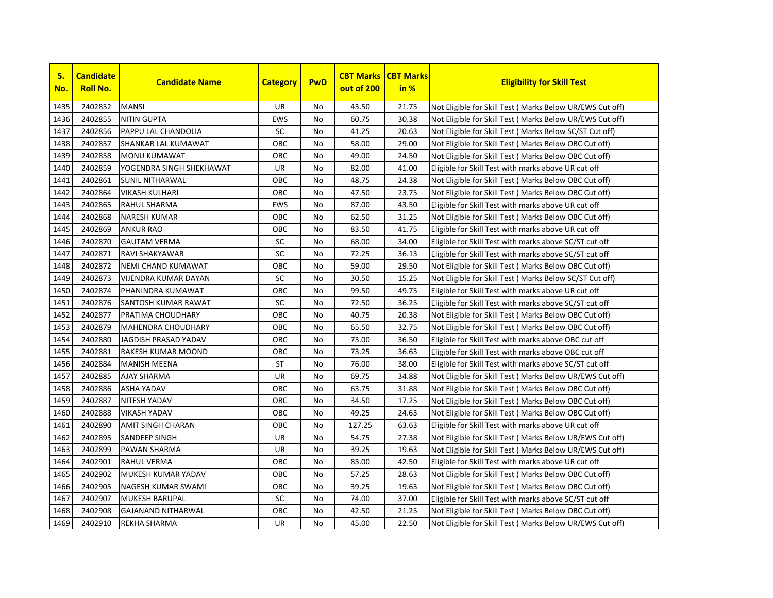

| S.<br>No. | <b>Candidate</b><br><b>Roll No.</b> | <b>Candidate Name</b>       | <b>Category</b> | <b>PwD</b> | <b>CBT Marks</b><br>out of 200 | <b>CBT Marks</b><br>in % | <b>Eligibility for Skill Test</b>                         |
|-----------|-------------------------------------|-----------------------------|-----------------|------------|--------------------------------|--------------------------|-----------------------------------------------------------|
| 1435      | 2402852                             | <b>MANSI</b>                | <b>UR</b>       | No         | 43.50                          | 21.75                    | Not Eligible for Skill Test (Marks Below UR/EWS Cut off)  |
| 1436      | 2402855                             | <b>NITIN GUPTA</b>          | <b>EWS</b>      | No         | 60.75                          | 30.38                    | Not Eligible for Skill Test ( Marks Below UR/EWS Cut off) |
| 1437      | 2402856                             | PAPPU LAL CHANDOLIA         | SC              | No         | 41.25                          | 20.63                    | Not Eligible for Skill Test (Marks Below SC/ST Cut off)   |
| 1438      | 2402857                             | SHANKAR LAL KUMAWAT         | OBC             | No         | 58.00                          | 29.00                    | Not Eligible for Skill Test ( Marks Below OBC Cut off)    |
| 1439      | 2402858                             | <b>MONU KUMAWAT</b>         | OBC             | No.        | 49.00                          | 24.50                    | Not Eligible for Skill Test ( Marks Below OBC Cut off)    |
| 1440      | 2402859                             | YOGENDRA SINGH SHEKHAWAT    | <b>UR</b>       | No.        | 82.00                          | 41.00                    | Eligible for Skill Test with marks above UR cut off       |
| 1441      | 2402861                             | <b>SUNIL NITHARWAL</b>      | OBC             | <b>No</b>  | 48.75                          | 24.38                    | Not Eligible for Skill Test ( Marks Below OBC Cut off)    |
| 1442      | 2402864                             | VIKASH KULHARI              | OBC             | No         | 47.50                          | 23.75                    | Not Eligible for Skill Test (Marks Below OBC Cut off)     |
| 1443      | 2402865                             | RAHUL SHARMA                | <b>EWS</b>      | No         | 87.00                          | 43.50                    | Eligible for Skill Test with marks above UR cut off       |
| 1444      | 2402868                             | <b>NARESH KUMAR</b>         | OBC             | No         | 62.50                          | 31.25                    | Not Eligible for Skill Test (Marks Below OBC Cut off)     |
| 1445      | 2402869                             | <b>ANKUR RAO</b>            | OBC             | No         | 83.50                          | 41.75                    | Eligible for Skill Test with marks above UR cut off       |
| 1446      | 2402870                             | <b>GAUTAM VERMA</b>         | SC              | No         | 68.00                          | 34.00                    | Eligible for Skill Test with marks above SC/ST cut off    |
| 1447      | 2402871                             | <b>RAVI SHAKYAWAR</b>       | SC              | No         | 72.25                          | 36.13                    | Eligible for Skill Test with marks above SC/ST cut off    |
| 1448      | 2402872                             | NEMI CHAND KUMAWAT          | OBC             | No         | 59.00                          | 29.50                    | Not Eligible for Skill Test ( Marks Below OBC Cut off)    |
| 1449      | 2402873                             | <b>VIJENDRA KUMAR DAYAN</b> | SC              | No         | 30.50                          | 15.25                    | Not Eligible for Skill Test ( Marks Below SC/ST Cut off)  |
| 1450      | 2402874                             | PHANINDRA KUMAWAT           | OBC             | No         | 99.50                          | 49.75                    | Eligible for Skill Test with marks above UR cut off       |
| 1451      | 2402876                             | <b>SANTOSH KUMAR RAWAT</b>  | <b>SC</b>       | No         | 72.50                          | 36.25                    | Eligible for Skill Test with marks above SC/ST cut off    |
| 1452      | 2402877                             | PRATIMA CHOUDHARY           | OBC             | No.        | 40.75                          | 20.38                    | Not Eligible for Skill Test ( Marks Below OBC Cut off)    |
| 1453      | 2402879                             | <b>MAHENDRA CHOUDHARY</b>   | OBC             | No         | 65.50                          | 32.75                    | Not Eligible for Skill Test ( Marks Below OBC Cut off)    |
| 1454      | 2402880                             | JAGDISH PRASAD YADAV        | OBC             | No         | 73.00                          | 36.50                    | Eligible for Skill Test with marks above OBC cut off      |
| 1455      | 2402881                             | RAKESH KUMAR MOOND          | OBC             | No         | 73.25                          | 36.63                    | Eligible for Skill Test with marks above OBC cut off      |
| 1456      | 2402884                             | <b>MANISH MEENA</b>         | ST              | No         | 76.00                          | 38.00                    | Eligible for Skill Test with marks above SC/ST cut off    |
| 1457      | 2402885                             | <b>AJAY SHARMA</b>          | UR              | No         | 69.75                          | 34.88                    | Not Eligible for Skill Test (Marks Below UR/EWS Cut off)  |
| 1458      | 2402886                             | ASHA YADAV                  | OBC             | No         | 63.75                          | 31.88                    | Not Eligible for Skill Test (Marks Below OBC Cut off)     |
| 1459      | 2402887                             | <b>NITESH YADAV</b>         | OBC             | No         | 34.50                          | 17.25                    | Not Eligible for Skill Test (Marks Below OBC Cut off)     |
| 1460      | 2402888                             | <b>VIKASH YADAV</b>         | OBC             | No         | 49.25                          | 24.63                    | Not Eligible for Skill Test (Marks Below OBC Cut off)     |
| 1461      | 2402890                             | <b>AMIT SINGH CHARAN</b>    | OBC             | No         | 127.25                         | 63.63                    | Eligible for Skill Test with marks above UR cut off       |
| 1462      | 2402895                             | <b>SANDEEP SINGH</b>        | UR              | No         | 54.75                          | 27.38                    | Not Eligible for Skill Test (Marks Below UR/EWS Cut off)  |
| 1463      | 2402899                             | PAWAN SHARMA                | UR              | No         | 39.25                          | 19.63                    | Not Eligible for Skill Test ( Marks Below UR/EWS Cut off) |
| 1464      | 2402901                             | <b>RAHUL VERMA</b>          | OBC             | No.        | 85.00                          | 42.50                    | Eligible for Skill Test with marks above UR cut off       |
| 1465      | 2402902                             | MUKESH KUMAR YADAV          | OBC             | No         | 57.25                          | 28.63                    | Not Eligible for Skill Test (Marks Below OBC Cut off)     |
| 1466      | 2402905                             | NAGESH KUMAR SWAMI          | OBC             | No         | 39.25                          | 19.63                    | Not Eligible for Skill Test ( Marks Below OBC Cut off)    |
| 1467      | 2402907                             | <b>MUKESH BARUPAL</b>       | SC              | No         | 74.00                          | 37.00                    | Eligible for Skill Test with marks above SC/ST cut off    |
| 1468      | 2402908                             | <b>GAJANAND NITHARWAL</b>   | OBC             | No         | 42.50                          | 21.25                    | Not Eligible for Skill Test ( Marks Below OBC Cut off)    |
| 1469      | 2402910                             | <b>REKHA SHARMA</b>         | <b>UR</b>       | No         | 45.00                          | 22.50                    | Not Eligible for Skill Test (Marks Below UR/EWS Cut off)  |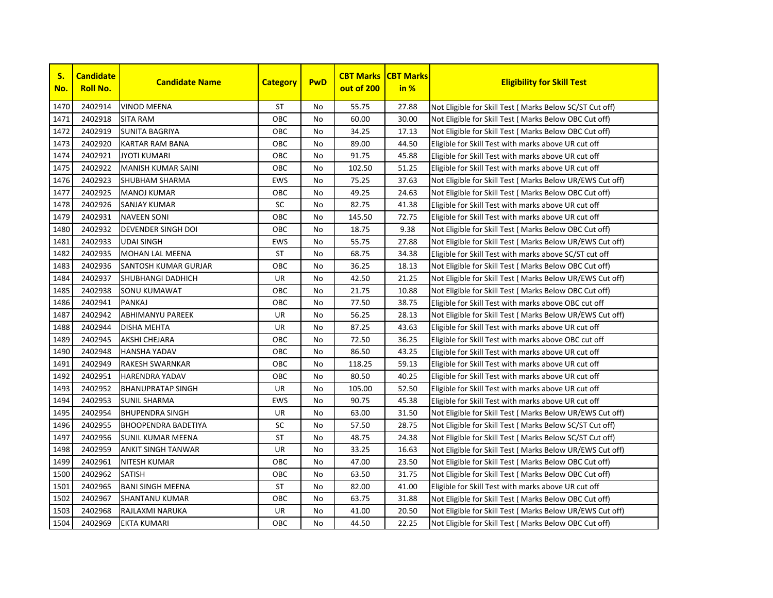

| S.<br>No. | <b>Candidate</b><br><b>Roll No.</b> | <b>Candidate Name</b>      | <b>Category</b> | <b>PwD</b> | <b>CBT Marks</b><br>out of 200 | <b>CBT Marks</b><br>in % | <b>Eligibility for Skill Test</b>                         |
|-----------|-------------------------------------|----------------------------|-----------------|------------|--------------------------------|--------------------------|-----------------------------------------------------------|
| 1470      | 2402914                             | <b>VINOD MEENA</b>         | <b>ST</b>       | No         | 55.75                          | 27.88                    | Not Eligible for Skill Test (Marks Below SC/ST Cut off)   |
| 1471      | 2402918                             | <b>SITA RAM</b>            | OBC             | No         | 60.00                          | 30.00                    | Not Eligible for Skill Test (Marks Below OBC Cut off)     |
| 1472      | 2402919                             | <b>SUNITA BAGRIYA</b>      | ОВС             | No         | 34.25                          | 17.13                    | Not Eligible for Skill Test (Marks Below OBC Cut off)     |
| 1473      | 2402920                             | <b>KARTAR RAM BANA</b>     | OBC             | <b>No</b>  | 89.00                          | 44.50                    | Eligible for Skill Test with marks above UR cut off       |
| 1474      | 2402921                             | <b>JYOTI KUMARI</b>        | OBC             | No         | 91.75                          | 45.88                    | Eligible for Skill Test with marks above UR cut off       |
| 1475      | 2402922                             | MANISH KUMAR SAINI         | OBC             | No         | 102.50                         | 51.25                    | Eligible for Skill Test with marks above UR cut off       |
| 1476      | 2402923                             | <b>SHUBHAM SHARMA</b>      | <b>EWS</b>      | No         | 75.25                          | 37.63                    | Not Eligible for Skill Test ( Marks Below UR/EWS Cut off) |
| 1477      | 2402925                             | <b>MANOJ KUMAR</b>         | OBC             | No         | 49.25                          | 24.63                    | Not Eligible for Skill Test ( Marks Below OBC Cut off)    |
| 1478      | 2402926                             | <b>SANJAY KUMAR</b>        | SC              | No         | 82.75                          | 41.38                    | Eligible for Skill Test with marks above UR cut off       |
| 1479      | 2402931                             | <b>NAVEEN SONI</b>         | OBC             | No         | 145.50                         | 72.75                    | Eligible for Skill Test with marks above UR cut off       |
| 1480      | 2402932                             | <b>DEVENDER SINGH DOI</b>  | OBC             | <b>No</b>  | 18.75                          | 9.38                     | Not Eligible for Skill Test (Marks Below OBC Cut off)     |
| 1481      | 2402933                             | <b>UDAI SINGH</b>          | <b>EWS</b>      | <b>No</b>  | 55.75                          | 27.88                    | Not Eligible for Skill Test (Marks Below UR/EWS Cut off)  |
| 1482      | 2402935                             | <b>MOHAN LAL MEENA</b>     | <b>ST</b>       | <b>No</b>  | 68.75                          | 34.38                    | Eligible for Skill Test with marks above SC/ST cut off    |
| 1483      | 2402936                             | SANTOSH KUMAR GURJAR       | OBC             | <b>No</b>  | 36.25                          | 18.13                    | Not Eligible for Skill Test ( Marks Below OBC Cut off)    |
| 1484      | 2402937                             | <b>SHUBHANGI DADHICH</b>   | UR              | No         | 42.50                          | 21.25                    | Not Eligible for Skill Test ( Marks Below UR/EWS Cut off) |
| 1485      | 2402938                             | <b>SONU KUMAWAT</b>        | ОВС             | No         | 21.75                          | 10.88                    | Not Eligible for Skill Test ( Marks Below OBC Cut off)    |
| 1486      | 2402941                             | <b>PANKAJ</b>              | ОВС             | No         | 77.50                          | 38.75                    | Eligible for Skill Test with marks above OBC cut off      |
| 1487      | 2402942                             | <b>ABHIMANYU PAREEK</b>    | UR              | <b>No</b>  | 56.25                          | 28.13                    | Not Eligible for Skill Test ( Marks Below UR/EWS Cut off) |
| 1488      | 2402944                             | <b>DISHA MEHTA</b>         | UR              | <b>No</b>  | 87.25                          | 43.63                    | Eligible for Skill Test with marks above UR cut off       |
| 1489      | 2402945                             | AKSHI CHEJARA              | OBC             | No         | 72.50                          | 36.25                    | Eligible for Skill Test with marks above OBC cut off      |
| 1490      | 2402948                             | <b>HANSHA YADAV</b>        | OBC             | No         | 86.50                          | 43.25                    | Eligible for Skill Test with marks above UR cut off       |
| 1491      | 2402949                             | RAKESH SWARNKAR            | OBC             | No         | 118.25                         | 59.13                    | Eligible for Skill Test with marks above UR cut off       |
| 1492      | 2402951                             | <b>HARENDRA YADAV</b>      | OBC             | No         | 80.50                          | 40.25                    | Eligible for Skill Test with marks above UR cut off       |
| 1493      | 2402952                             | <b>BHANUPRATAP SINGH</b>   | UR              | No         | 105.00                         | 52.50                    | Eligible for Skill Test with marks above UR cut off       |
| 1494      | 2402953                             | <b>SUNIL SHARMA</b>        | <b>EWS</b>      | No         | 90.75                          | 45.38                    | Eligible for Skill Test with marks above UR cut off       |
| 1495      | 2402954                             | <b>BHUPENDRA SINGH</b>     | UR              | No         | 63.00                          | 31.50                    | Not Eligible for Skill Test (Marks Below UR/EWS Cut off)  |
| 1496      | 2402955                             | <b>BHOOPENDRA BADETIYA</b> | SC              | No         | 57.50                          | 28.75                    | Not Eligible for Skill Test ( Marks Below SC/ST Cut off)  |
| 1497      | 2402956                             | SUNIL KUMAR MEENA          | ST              | No         | 48.75                          | 24.38                    | Not Eligible for Skill Test (Marks Below SC/ST Cut off)   |
| 1498      | 2402959                             | ANKIT SINGH TANWAR         | UR              | No         | 33.25                          | 16.63                    | Not Eligible for Skill Test (Marks Below UR/EWS Cut off)  |
| 1499      | 2402961                             | <b>NITESH KUMAR</b>        | OBC             | No         | 47.00                          | 23.50                    | Not Eligible for Skill Test ( Marks Below OBC Cut off)    |
| 1500      | 2402962                             | <b>SATISH</b>              | OBC             | No         | 63.50                          | 31.75                    | Not Eligible for Skill Test ( Marks Below OBC Cut off)    |
| 1501      | 2402965                             | <b>BANI SINGH MEENA</b>    | <b>ST</b>       | No         | 82.00                          | 41.00                    | Eligible for Skill Test with marks above UR cut off       |
| 1502      | 2402967                             | <b>SHANTANU KUMAR</b>      | ОВС             | No         | 63.75                          | 31.88                    | Not Eligible for Skill Test ( Marks Below OBC Cut off)    |
| 1503      | 2402968                             | RAJLAXMI NARUKA            | UR              | No         | 41.00                          | 20.50                    | Not Eligible for Skill Test (Marks Below UR/EWS Cut off)  |
| 1504      | 2402969                             | <b>EKTA KUMARI</b>         | OBC             | No         | 44.50                          | 22.25                    | Not Eligible for Skill Test (Marks Below OBC Cut off)     |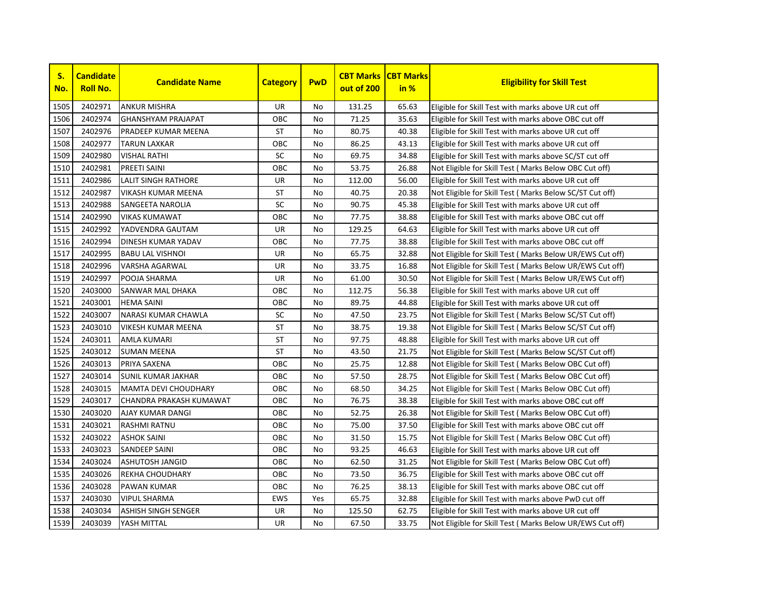

| S.<br>No. | <b>Candidate</b><br><b>Roll No.</b> | <b>Candidate Name</b>       | <b>Category</b> | <b>PwD</b> | <b>CBT Marks</b><br>out of 200 | <b>CBT Marks</b><br>in % | <b>Eligibility for Skill Test</b>                         |
|-----------|-------------------------------------|-----------------------------|-----------------|------------|--------------------------------|--------------------------|-----------------------------------------------------------|
| 1505      | 2402971                             | <b>ANKUR MISHRA</b>         | <b>UR</b>       | No         | 131.25                         | 65.63                    | Eligible for Skill Test with marks above UR cut off       |
| 1506      | 2402974                             | <b>GHANSHYAM PRAJAPAT</b>   | OBC             | No         | 71.25                          | 35.63                    | Eligible for Skill Test with marks above OBC cut off      |
| 1507      | 2402976                             | PRADEEP KUMAR MEENA         | <b>ST</b>       | <b>No</b>  | 80.75                          | 40.38                    | Eligible for Skill Test with marks above UR cut off       |
| 1508      | 2402977                             | <b>TARUN LAXKAR</b>         | OBC             | <b>No</b>  | 86.25                          | 43.13                    | Eligible for Skill Test with marks above UR cut off       |
| 1509      | 2402980                             | <b>VISHAL RATHI</b>         | <b>SC</b>       | <b>No</b>  | 69.75                          | 34.88                    | Eligible for Skill Test with marks above SC/ST cut off    |
| 1510      | 2402981                             | <b>PREETI SAINI</b>         | OBC             | No         | 53.75                          | 26.88                    | Not Eligible for Skill Test ( Marks Below OBC Cut off)    |
| 1511      | 2402986                             | <b>LALIT SINGH RATHORE</b>  | UR              | No         | 112.00                         | 56.00                    | Eligible for Skill Test with marks above UR cut off       |
| 1512      | 2402987                             | <b>VIKASH KUMAR MEENA</b>   | <b>ST</b>       | No         | 40.75                          | 20.38                    | Not Eligible for Skill Test (Marks Below SC/ST Cut off)   |
| 1513      | 2402988                             | SANGEETA NAROLIA            | SC              | No         | 90.75                          | 45.38                    | Eligible for Skill Test with marks above UR cut off       |
| 1514      | 2402990                             | <b>VIKAS KUMAWAT</b>        | OBC             | No         | 77.75                          | 38.88                    | Eligible for Skill Test with marks above OBC cut off      |
| 1515      | 2402992                             | YADVENDRA GAUTAM            | <b>UR</b>       | No         | 129.25                         | 64.63                    | Eligible for Skill Test with marks above UR cut off       |
| 1516      | 2402994                             | <b>DINESH KUMAR YADAV</b>   | OBC             | No         | 77.75                          | 38.88                    | Eligible for Skill Test with marks above OBC cut off      |
| 1517      | 2402995                             | <b>BABU LAL VISHNOI</b>     | UR              | No         | 65.75                          | 32.88                    | Not Eligible for Skill Test (Marks Below UR/EWS Cut off)  |
| 1518      | 2402996                             | VARSHA AGARWAL              | <b>UR</b>       | <b>No</b>  | 33.75                          | 16.88                    | Not Eligible for Skill Test ( Marks Below UR/EWS Cut off) |
| 1519      | 2402997                             | POOJA SHARMA                | UR              | No         | 61.00                          | 30.50                    | Not Eligible for Skill Test (Marks Below UR/EWS Cut off)  |
| 1520      | 2403000                             | <b>SANWAR MAL DHAKA</b>     | OBC             | No         | 112.75                         | 56.38                    | Eligible for Skill Test with marks above UR cut off       |
| 1521      | 2403001                             | <b>HEMA SAINI</b>           | OBC             | No         | 89.75                          | 44.88                    | Eligible for Skill Test with marks above UR cut off       |
| 1522      | 2403007                             | <b>NARASI KUMAR CHAWLA</b>  | SC              | No         | 47.50                          | 23.75                    | Not Eligible for Skill Test (Marks Below SC/ST Cut off)   |
| 1523      | 2403010                             | <b>VIKESH KUMAR MEENA</b>   | <b>ST</b>       | <b>No</b>  | 38.75                          | 19.38                    | Not Eligible for Skill Test ( Marks Below SC/ST Cut off)  |
| 1524      | 2403011                             | <b>AMLA KUMARI</b>          | <b>ST</b>       | No         | 97.75                          | 48.88                    | Eligible for Skill Test with marks above UR cut off       |
| 1525      | 2403012                             | <b>SUMAN MEENA</b>          | <b>ST</b>       | <b>No</b>  | 43.50                          | 21.75                    | Not Eligible for Skill Test (Marks Below SC/ST Cut off)   |
| 1526      | 2403013                             | PRIYA SAXENA                | OBC             | <b>No</b>  | 25.75                          | 12.88                    | Not Eligible for Skill Test ( Marks Below OBC Cut off)    |
| 1527      | 2403014                             | <b>SUNIL KUMAR JAKHAR</b>   | OBC             | <b>No</b>  | 57.50                          | 28.75                    | Not Eligible for Skill Test ( Marks Below OBC Cut off)    |
| 1528      | 2403015                             | <b>MAMTA DEVI CHOUDHARY</b> | OBC             | No         | 68.50                          | 34.25                    | Not Eligible for Skill Test ( Marks Below OBC Cut off)    |
| 1529      | 2403017                             | CHANDRA PRAKASH KUMAWAT     | OBC             | No         | 76.75                          | 38.38                    | Eligible for Skill Test with marks above OBC cut off      |
| 1530      | 2403020                             | AJAY KUMAR DANGI            | OBC             | No         | 52.75                          | 26.38                    | Not Eligible for Skill Test (Marks Below OBC Cut off)     |
| 1531      | 2403021                             | RASHMI RATNU                | OBC             | No         | 75.00                          | 37.50                    | Eligible for Skill Test with marks above OBC cut off      |
| 1532      | 2403022                             | <b>ASHOK SAINI</b>          | OBC             | No         | 31.50                          | 15.75                    | Not Eligible for Skill Test (Marks Below OBC Cut off)     |
| 1533      | 2403023                             | <b>SANDEEP SAINI</b>        | OBC             | <b>No</b>  | 93.25                          | 46.63                    | Eligible for Skill Test with marks above UR cut off       |
| 1534      | 2403024                             | <b>ASHUTOSH JANGID</b>      | OBC             | <b>No</b>  | 62.50                          | 31.25                    | Not Eligible for Skill Test (Marks Below OBC Cut off)     |
| 1535      | 2403026                             | <b>REKHA CHOUDHARY</b>      | OBC             | <b>No</b>  | 73.50                          | 36.75                    | Eligible for Skill Test with marks above OBC cut off      |
| 1536      | 2403028                             | PAWAN KUMAR                 | OBC             | No         | 76.25                          | 38.13                    | Eligible for Skill Test with marks above OBC cut off      |
| 1537      | 2403030                             | <b>VIPUL SHARMA</b>         | <b>EWS</b>      | Yes        | 65.75                          | 32.88                    | Eligible for Skill Test with marks above PwD cut off      |
| 1538      | 2403034                             | <b>ASHISH SINGH SENGER</b>  | UR              | No         | 125.50                         | 62.75                    | Eligible for Skill Test with marks above UR cut off       |
| 1539      | 2403039                             | YASH MITTAL                 | <b>UR</b>       | <b>No</b>  | 67.50                          | 33.75                    | Not Eligible for Skill Test (Marks Below UR/EWS Cut off)  |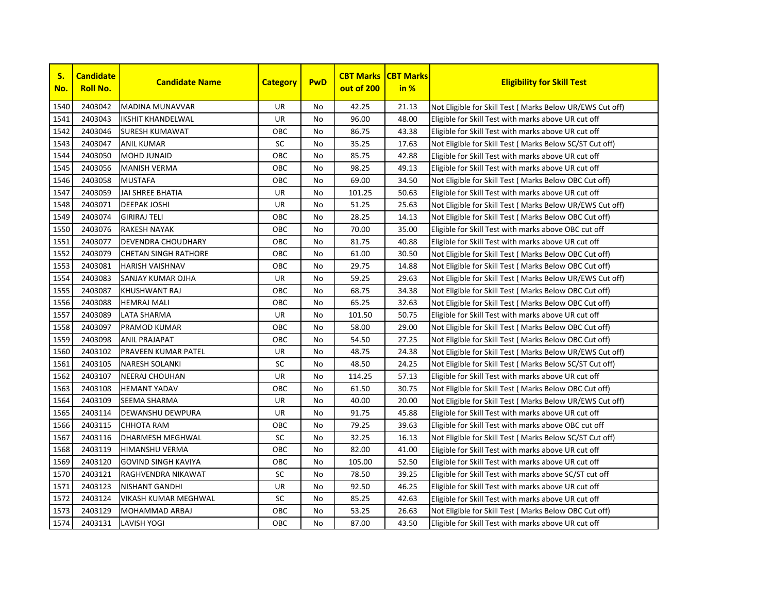

| S.<br>No. | <b>Candidate</b><br><b>Roll No.</b> | <b>Candidate Name</b>       | <b>Category</b> | <b>PwD</b> | <b>CBT Marks</b><br>out of 200 | <b>CBT Marks</b><br>in % | <b>Eligibility for Skill Test</b>                         |
|-----------|-------------------------------------|-----------------------------|-----------------|------------|--------------------------------|--------------------------|-----------------------------------------------------------|
| 1540      | 2403042                             | <b>MADINA MUNAVVAR</b>      | <b>UR</b>       | No         | 42.25                          | 21.13                    | Not Eligible for Skill Test (Marks Below UR/EWS Cut off)  |
| 1541      | 2403043                             | <b>IKSHIT KHANDELWAL</b>    | <b>UR</b>       | No         | 96.00                          | 48.00                    | Eligible for Skill Test with marks above UR cut off       |
| 1542      | 2403046                             | <b>SURESH KUMAWAT</b>       | OBC             | No.        | 86.75                          | 43.38                    | Eligible for Skill Test with marks above UR cut off       |
| 1543      | 2403047                             | <b>ANIL KUMAR</b>           | SC              | No         | 35.25                          | 17.63                    | Not Eligible for Skill Test ( Marks Below SC/ST Cut off)  |
| 1544      | 2403050                             | <b>MOHD JUNAID</b>          | OBC             | No.        | 85.75                          | 42.88                    | Eligible for Skill Test with marks above UR cut off       |
| 1545      | 2403056                             | <b>MANISH VERMA</b>         | OBC             | No         | 98.25                          | 49.13                    | Eligible for Skill Test with marks above UR cut off       |
| 1546      | 2403058                             | <b>MUSTAFA</b>              | OBC             | No         | 69.00                          | 34.50                    | Not Eligible for Skill Test ( Marks Below OBC Cut off)    |
| 1547      | 2403059                             | <b>JAI SHREE BHATIA</b>     | <b>UR</b>       | No         | 101.25                         | 50.63                    | Eligible for Skill Test with marks above UR cut off       |
| 1548      | 2403071                             | <b>DEEPAK JOSHI</b>         | UR              | No         | 51.25                          | 25.63                    | Not Eligible for Skill Test ( Marks Below UR/EWS Cut off) |
| 1549      | 2403074                             | <b>GIRIRAJ TELI</b>         | OBC             | No         | 28.25                          | 14.13                    | Not Eligible for Skill Test ( Marks Below OBC Cut off)    |
| 1550      | 2403076                             | <b>RAKESH NAYAK</b>         | OBC             | No         | 70.00                          | 35.00                    | Eligible for Skill Test with marks above OBC cut off      |
| 1551      | 2403077                             | <b>DEVENDRA CHOUDHARY</b>   | OBC             | No         | 81.75                          | 40.88                    | Eligible for Skill Test with marks above UR cut off       |
| 1552      | 2403079                             | <b>CHETAN SINGH RATHORE</b> | OBC             | No.        | 61.00                          | 30.50                    | Not Eligible for Skill Test (Marks Below OBC Cut off)     |
| 1553      | 2403081                             | <b>HARISH VAISHNAV</b>      | OBC             | No         | 29.75                          | 14.88                    | Not Eligible for Skill Test (Marks Below OBC Cut off)     |
| 1554      | 2403083                             | SANJAY KUMAR OJHA           | UR              | No         | 59.25                          | 29.63                    | Not Eligible for Skill Test ( Marks Below UR/EWS Cut off) |
| 1555      | 2403087                             | <b>KHUSHWANT RAJ</b>        | OBC             | No         | 68.75                          | 34.38                    | Not Eligible for Skill Test ( Marks Below OBC Cut off)    |
| 1556      | 2403088                             | <b>HEMRAJ MALI</b>          | OBC             | No         | 65.25                          | 32.63                    | Not Eligible for Skill Test ( Marks Below OBC Cut off)    |
| 1557      | 2403089                             | <b>LATA SHARMA</b>          | UR              | No         | 101.50                         | 50.75                    | Eligible for Skill Test with marks above UR cut off       |
| 1558      | 2403097                             | <b>PRAMOD KUMAR</b>         | OBC             | No.        | 58.00                          | 29.00                    | Not Eligible for Skill Test ( Marks Below OBC Cut off)    |
| 1559      | 2403098                             | <b>ANIL PRAJAPAT</b>        | OBC             | No.        | 54.50                          | 27.25                    | Not Eligible for Skill Test ( Marks Below OBC Cut off)    |
| 1560      | 2403102                             | <b>PRAVEEN KUMAR PATEL</b>  | UR              | No.        | 48.75                          | 24.38                    | Not Eligible for Skill Test (Marks Below UR/EWS Cut off)  |
| 1561      | 2403105                             | <b>NARESH SOLANKI</b>       | SC              | No         | 48.50                          | 24.25                    | Not Eligible for Skill Test ( Marks Below SC/ST Cut off)  |
| 1562      | 2403107                             | <b>NEERAJ CHOUHAN</b>       | UR              | No         | 114.25                         | 57.13                    | Eligible for Skill Test with marks above UR cut off       |
| 1563      | 2403108                             | <b>HEMANT YADAV</b>         | OBC             | No         | 61.50                          | 30.75                    | Not Eligible for Skill Test ( Marks Below OBC Cut off)    |
| 1564      | 2403109                             | <b>SEEMA SHARMA</b>         | UR              | No         | 40.00                          | 20.00                    | Not Eligible for Skill Test (Marks Below UR/EWS Cut off)  |
| 1565      | 2403114                             | <b>DEWANSHU DEWPURA</b>     | UR              | No         | 91.75                          | 45.88                    | Eligible for Skill Test with marks above UR cut off       |
| 1566      | 2403115                             | <b>CHHOTA RAM</b>           | OBC             | No.        | 79.25                          | 39.63                    | Eligible for Skill Test with marks above OBC cut off      |
| 1567      | 2403116                             | <b>DHARMESH MEGHWAL</b>     | SC              | No         | 32.25                          | 16.13                    | Not Eligible for Skill Test (Marks Below SC/ST Cut off)   |
| 1568      | 2403119                             | <b>HIMANSHU VERMA</b>       | OBC             | No         | 82.00                          | 41.00                    | Eligible for Skill Test with marks above UR cut off       |
| 1569      | 2403120                             | <b>GOVIND SINGH KAVIYA</b>  | OBC             | No.        | 105.00                         | 52.50                    | Eligible for Skill Test with marks above UR cut off       |
| 1570      | 2403121                             | RAGHVENDRA NIKAWAT          | <b>SC</b>       | No.        | 78.50                          | 39.25                    | Eligible for Skill Test with marks above SC/ST cut off    |
| 1571      | 2403123                             | <b>NISHANT GANDHI</b>       | UR              | No         | 92.50                          | 46.25                    | Eligible for Skill Test with marks above UR cut off       |
| 1572      | 2403124                             | <b>VIKASH KUMAR MEGHWAL</b> | SC              | No         | 85.25                          | 42.63                    | Eligible for Skill Test with marks above UR cut off       |
| 1573      | 2403129                             | MOHAMMAD ARBAJ              | OBC             | No         | 53.25                          | 26.63                    | Not Eligible for Skill Test (Marks Below OBC Cut off)     |
| 1574      | 2403131                             | <b>LAVISH YOGI</b>          | OBC             | No         | 87.00                          | 43.50                    | Eligible for Skill Test with marks above UR cut off       |